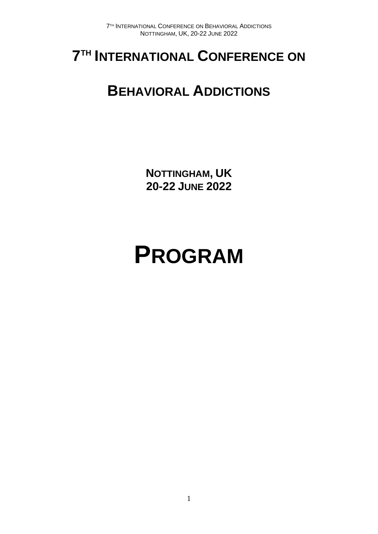## **7 TH INTERNATIONAL CONFERENCE ON**

## **BEHAVIORAL ADDICTIONS**

**NOTTINGHAM, UK 20-22 JUNE 2022**

# **PROGRAM**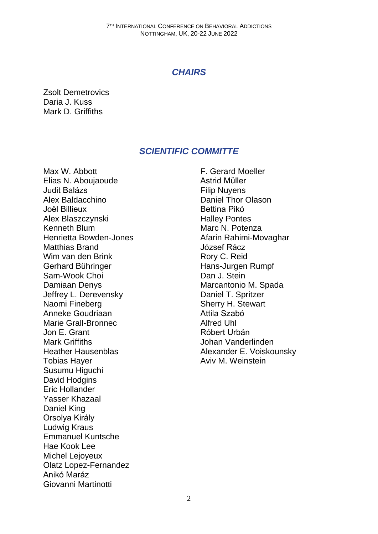## *CHAIRS*

Zsolt Demetrovics Daria J. Kuss Mark D. Griffiths

## *SCIENTIFIC COMMITTE*

Max W. Abbott Elias N. Aboujaoude Judit Balázs Alex Baldacchino Joël Billieux Alex Blaszczynski Kenneth Blum Henrietta Bowden-Jones Matthias Brand Wim van den Brink Gerhard Bühringer Sam-Wook Choi Damiaan Denys Jeffrey L. Derevensky Naomi Fineberg Anneke Goudriaan Marie Grall-Bronnec Jon E. Grant Mark Griffiths Heather Hausenblas Tobias Hayer Susumu Higuchi David Hodgins Eric Hollander Yasser Khazaal Daniel King Orsolya Király Ludwig Kraus Emmanuel Kuntsche Hae Kook Lee Michel Lejoyeux Olatz Lopez-Fernandez Anikó Maráz Giovanni Martinotti

F. Gerard Moeller Astrid Müller Filip Nuyens Daniel Thor Olason Bettina Pikó Halley Pontes Marc N. Potenza Afarin Rahimi-Movaghar József Rácz Rory C. Reid Hans-Jurgen Rumpf Dan J. Stein Marcantonio M. Spada Daniel T. Spritzer Sherry H. Stewart Attila Szabó Alfred Uhl Róbert Urbán Johan Vanderlinden Alexander E. Voiskounsky Aviv M. Weinstein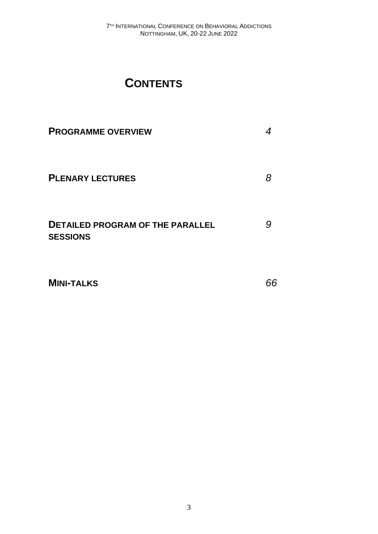## **CONTENTS**

| <b>PROGRAMME OVERVIEW</b>                                  |   |
|------------------------------------------------------------|---|
| <b>PLENARY LECTURES</b>                                    | 8 |
| <b>DETAILED PROGRAM OF THE PARALLEL</b><br><b>SESSIONS</b> | g |

**MINI-TALKS** *66*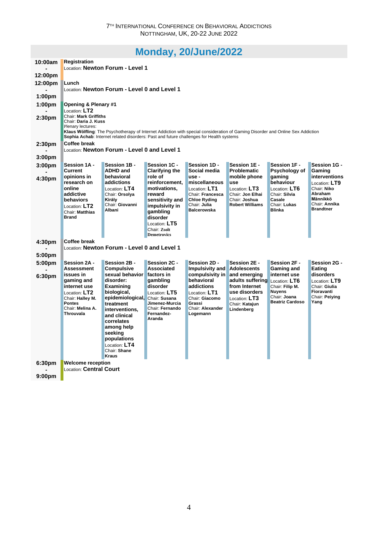## **Monday, [20/June/2022](http://www.conftool.org/icba2022/index.php?page=browseSessions&print=doc&form_date=2022-06-20)**

| 10:00am            | <b>Registration</b>                                                       |                                                                                                                                |                                                                 |                                         |                                    |                                        |                                   |
|--------------------|---------------------------------------------------------------------------|--------------------------------------------------------------------------------------------------------------------------------|-----------------------------------------------------------------|-----------------------------------------|------------------------------------|----------------------------------------|-----------------------------------|
| 12:00pm            | Location: Newton Forum - Level 1                                          |                                                                                                                                |                                                                 |                                         |                                    |                                        |                                   |
| 12:00pm            | Lunch                                                                     |                                                                                                                                |                                                                 |                                         |                                    |                                        |                                   |
|                    |                                                                           | Location: Newton Forum - Level 0 and Level 1                                                                                   |                                                                 |                                         |                                    |                                        |                                   |
| 1:00 <sub>pm</sub> |                                                                           |                                                                                                                                |                                                                 |                                         |                                    |                                        |                                   |
| 1:00 <sub>pm</sub> | Opening & Plenary #1                                                      |                                                                                                                                |                                                                 |                                         |                                    |                                        |                                   |
|                    | Location: $LT2$                                                           |                                                                                                                                |                                                                 |                                         |                                    |                                        |                                   |
| 2:30 <sub>pm</sub> | <b>Chair: Mark Griffiths</b><br>Chair: Daria J. Kuss<br>Plenary lectures: | Klaus Wölfling: The Psychotherapy of Internet Addiction with special consideration of Gaming Disorder and Online Sex Addiction |                                                                 |                                         |                                    |                                        |                                   |
|                    | <b>Coffee break</b>                                                       | Sophia Achab: Internet related disorders: Past and future challenges for Health systems                                        |                                                                 |                                         |                                    |                                        |                                   |
| 2:30 <sub>pm</sub> |                                                                           | Location: Newton Forum - Level 0 and Level 1                                                                                   |                                                                 |                                         |                                    |                                        |                                   |
| 3:00 <sub>pm</sub> |                                                                           |                                                                                                                                |                                                                 |                                         |                                    |                                        |                                   |
| 3:00pm             | Session 1A -<br>Current                                                   | Session 1B -<br><b>ADHD and</b>                                                                                                | Session 1C -                                                    | Session 1D -<br>Social media            | Session 1E -<br><b>Problematic</b> | Session 1F -                           | Session 1G -                      |
|                    | opinions in                                                               | behavioral                                                                                                                     | <b>Clarifying the</b><br>role of                                | $use -$                                 | mobile phone                       | Psychology of<br>gaming                | Gaming<br><b>interventions</b>    |
| 4:30pm             | research on                                                               | addictions                                                                                                                     | reinforcement,                                                  | miscellaneous                           | use                                | behaviour                              | Location: LT9                     |
|                    | online                                                                    | Location: LT4                                                                                                                  | motivations,                                                    | Location: LT1                           | Location: LT3                      | Location: $LT6$                        | Chair: Niko<br>Abraham            |
|                    | addictive<br>behaviors                                                    | Chair: Orsolya<br>Király                                                                                                       | reward<br>sensitivity and                                       | Chair: Francesca<br><b>Chloe Ryding</b> | Chair: Jon Elhai<br>Chair: Joshua  | Chair: Silvia<br>Casale                | Männikkö                          |
|                    | Location: LT2                                                             | Chair: Giovanni                                                                                                                | impulsivity in                                                  | Chair: Julia                            | <b>Robert Williams</b>             | Chair: Lukas                           | Chair: Annika<br><b>Brandtner</b> |
|                    | Chair: Matthias<br><b>Brand</b>                                           | Albani                                                                                                                         | qambling                                                        | <b>Balcerowska</b>                      |                                    | <b>Blinka</b>                          |                                   |
|                    |                                                                           |                                                                                                                                | disorder<br>Location: LT5<br>Chair: Zsolt<br><b>Demetrovics</b> |                                         |                                    |                                        |                                   |
| 4:30 <sub>pm</sub> | <b>Coffee break</b>                                                       |                                                                                                                                |                                                                 |                                         |                                    |                                        |                                   |
|                    |                                                                           | Location: Newton Forum - Level 0 and Level 1                                                                                   |                                                                 |                                         |                                    |                                        |                                   |
| 5:00pm             |                                                                           |                                                                                                                                |                                                                 |                                         |                                    |                                        |                                   |
| 5:00pm             | Session 2A -                                                              | Session 2B -                                                                                                                   | Session 2C -                                                    | Session 2D -                            | Session 2E -                       | Session 2F -                           | Session 2G -                      |
|                    | <b>Assessment</b>                                                         | <b>Compulsive</b>                                                                                                              | <b>Associated</b>                                               | Impulsivity and                         | <b>Adolescents</b>                 | Gaming and                             | Eating                            |
| 6:30pm             | issues in<br>gaming and                                                   | sexual behavior<br>disorder:                                                                                                   | factors in<br>qambling                                          | compulsivity in<br>behavioral           | and emerging<br>adults suffering   | internet use<br>Location: LT6          | disorders<br>Location: LT9        |
|                    | internet use                                                              | Examining                                                                                                                      | disorder                                                        | addictions                              | from Internet                      | Chair: Filip M.                        | Chair: Giulia                     |
|                    | Location: LT2                                                             | biological,                                                                                                                    | Location: LT5                                                   | Location: LT1                           | use disorders                      | <b>Nuvens</b>                          | Fioravanti                        |
|                    | Chair: Halley M.<br><b>Pontes</b>                                         | epidemiological, Chair: Susana                                                                                                 | Jimenez-Murcia                                                  | Chair: Giacomo<br>Grassi                | Location: LT3                      | Chair: Joana<br><b>Beatriz Cardoso</b> | Chair: Peiving<br>Yang            |
|                    | Chair: Melina A.                                                          | treatment<br>interventions,                                                                                                    | Chair: Fernando                                                 | Chair: Alexander                        | Chair: Kataiun<br>Lindenberg       |                                        |                                   |
|                    | Throuvala                                                                 | and clinical                                                                                                                   | Fernandez-<br>Aranda                                            | Logemann                                |                                    |                                        |                                   |
|                    |                                                                           | correlates                                                                                                                     |                                                                 |                                         |                                    |                                        |                                   |
|                    |                                                                           | among help<br>seeking                                                                                                          |                                                                 |                                         |                                    |                                        |                                   |
|                    |                                                                           | populations                                                                                                                    |                                                                 |                                         |                                    |                                        |                                   |
|                    |                                                                           | Location: LT4                                                                                                                  |                                                                 |                                         |                                    |                                        |                                   |
|                    |                                                                           | Chair: Shane<br><b>Kraus</b>                                                                                                   |                                                                 |                                         |                                    |                                        |                                   |
| 6:30pm             | <b>Welcome reception</b>                                                  |                                                                                                                                |                                                                 |                                         |                                    |                                        |                                   |
|                    | <b>Location: Central Court</b>                                            |                                                                                                                                |                                                                 |                                         |                                    |                                        |                                   |
| 9:00 <sub>pm</sub> |                                                                           |                                                                                                                                |                                                                 |                                         |                                    |                                        |                                   |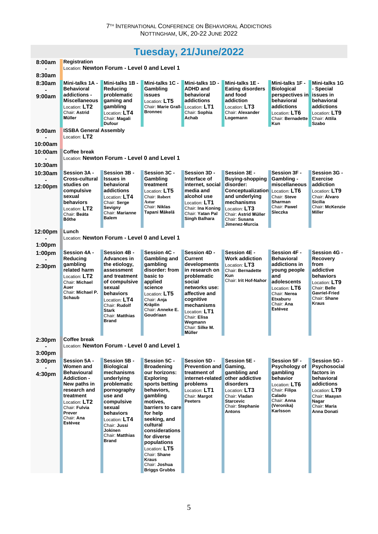## **Tuesday, [21/June/2022](http://www.conftool.org/icba2022/index.php?page=browseSessions&print=doc&form_date=2022-06-21)**

| 8:00am                       | <b>Registration</b><br>Location: Newton Forum - Level 0 and Level 1                                                                                        |                                                                                                                                                                                              |                                                                                                                                                                                                                                                                                                 |                                                                                                                                                                                               |                                                                                                                                            |                                                                                                                             |                                                                                                                         |
|------------------------------|------------------------------------------------------------------------------------------------------------------------------------------------------------|----------------------------------------------------------------------------------------------------------------------------------------------------------------------------------------------|-------------------------------------------------------------------------------------------------------------------------------------------------------------------------------------------------------------------------------------------------------------------------------------------------|-----------------------------------------------------------------------------------------------------------------------------------------------------------------------------------------------|--------------------------------------------------------------------------------------------------------------------------------------------|-----------------------------------------------------------------------------------------------------------------------------|-------------------------------------------------------------------------------------------------------------------------|
| 8:30am                       |                                                                                                                                                            |                                                                                                                                                                                              |                                                                                                                                                                                                                                                                                                 |                                                                                                                                                                                               |                                                                                                                                            |                                                                                                                             |                                                                                                                         |
| 8:30am                       | Mini-talks 1A -<br><b>Behavioral</b>                                                                                                                       | Mini-talks 1B -<br>Reducing                                                                                                                                                                  | Mini-talks 1C -<br>Gambling                                                                                                                                                                                                                                                                     | Mini-talks 1D -<br><b>ADHD and</b>                                                                                                                                                            | Mini-talks 1E -<br>Eating disorders                                                                                                        | Mini-talks 1F -<br>Biological                                                                                               | <b>Mini-talks 1G</b><br>- Special                                                                                       |
| 9:00am                       | addictions -<br><b>Miscellaneous</b><br>Location: LT2<br>Chair: Astrid<br>Müller                                                                           | problematic<br>gaming and<br>gambling<br>Location: LT4<br>Chair: Magali<br><b>Dufour</b>                                                                                                     | <b>issues</b><br>Location: LT5<br><b>Chair: Marie Grall-</b><br><b>Bronnec</b>                                                                                                                                                                                                                  | behavioral<br>addictions<br>Location: LT1<br>Chair: Sophia<br>Achab                                                                                                                           | and food<br>addiction<br>Location: LT3<br>Chair: Alexander<br>Logemann                                                                     | perspectives in<br>behavioral<br>addictions<br>Location: LT6<br>Chair: Bernadette<br>Kun                                    | <b>issues</b> in<br>behavioral<br>addictions<br>Location: LT9<br>Chair: Attila<br>Szabo                                 |
| 9:00am                       | <b>ISSBA General Assembly</b><br>Location: LT2                                                                                                             |                                                                                                                                                                                              |                                                                                                                                                                                                                                                                                                 |                                                                                                                                                                                               |                                                                                                                                            |                                                                                                                             |                                                                                                                         |
| 10:00am                      |                                                                                                                                                            |                                                                                                                                                                                              |                                                                                                                                                                                                                                                                                                 |                                                                                                                                                                                               |                                                                                                                                            |                                                                                                                             |                                                                                                                         |
| 10:00am                      | Coffee break                                                                                                                                               | Location: Newton Forum - Level 0 and Level 1                                                                                                                                                 |                                                                                                                                                                                                                                                                                                 |                                                                                                                                                                                               |                                                                                                                                            |                                                                                                                             |                                                                                                                         |
| 10:30am                      |                                                                                                                                                            |                                                                                                                                                                                              |                                                                                                                                                                                                                                                                                                 |                                                                                                                                                                                               |                                                                                                                                            |                                                                                                                             |                                                                                                                         |
| 10:30am                      | Session 3A -<br><b>Cross-cultural</b>                                                                                                                      | Session 3B -<br><b>Issues in</b>                                                                                                                                                             | Session 3C -<br>Gambling                                                                                                                                                                                                                                                                        | Session 3D -<br>Interface of                                                                                                                                                                  | Session 3E -<br>Buying-shopping                                                                                                            | Session 3F -<br>Gambling -                                                                                                  | Session 3G -<br><b>Exercise</b>                                                                                         |
| 12:00pm                      | studies on<br>compulsive<br>sexual<br>behaviors<br>Location: LT2<br>Chair: Beáta<br><b>B</b> őthe                                                          | behavioral<br>addictions<br>Location: LT4<br>Chair: Serge<br>Sevigny<br>Chair: Marianne<br><b>Balem</b>                                                                                      | treatment<br>Location: LT5<br><b>Chair: Robert</b><br>Astur<br>Chair: Niklas<br>Tapani Mäkelä                                                                                                                                                                                                   | internet, social<br>media and<br>alcohol use<br>Location: LT1<br>Chair: Ina Koning<br>Chair: Yatan Pal<br>Singh Balhara                                                                       | disorder:<br>Conceptualization<br>and underlying<br>mechanisms<br>Location: LT3<br>Chair: Astrid Müller<br>Chair: Susana<br>Jimenez-Murcia | miscellaneous<br>Location: LT6<br>Chair: Steve<br>Sharman<br>Chair: Pawel<br>Sleczka                                        | addiction<br>Location: LT9<br>Chair: Álvaro<br><b>Sicilia</b><br>Chair: McKenzie<br>Miller                              |
| 12:00pm                      | Lunch                                                                                                                                                      |                                                                                                                                                                                              |                                                                                                                                                                                                                                                                                                 |                                                                                                                                                                                               |                                                                                                                                            |                                                                                                                             |                                                                                                                         |
|                              |                                                                                                                                                            | Location: Newton Forum - Level 0 and Level 1                                                                                                                                                 |                                                                                                                                                                                                                                                                                                 |                                                                                                                                                                                               |                                                                                                                                            |                                                                                                                             |                                                                                                                         |
| 1:00pm<br>1:00 <sub>pm</sub> | Session 4A -                                                                                                                                               | Session 4B -                                                                                                                                                                                 | Session 4C -                                                                                                                                                                                                                                                                                    | Session 4D -                                                                                                                                                                                  | <b>Session 4E -</b>                                                                                                                        | <b>Session 4F -</b>                                                                                                         | <b>Session 4G -</b>                                                                                                     |
|                              | Reducing                                                                                                                                                   | <b>Advances in</b>                                                                                                                                                                           | Gambling and                                                                                                                                                                                                                                                                                    | <b>Current</b>                                                                                                                                                                                | <b>Work addiction</b>                                                                                                                      | <b>Behavioral</b>                                                                                                           | <b>Recovery</b>                                                                                                         |
| 2:30pm                       | gambling<br>related harm<br>Location: LT2<br>Chair: Michael<br>Auer<br>Chair: Michael P.<br><b>Schaub</b>                                                  | the etiology,<br>assessment<br>and treatment<br>of compulsive<br>sexual<br>behaviors<br>Location: LT4<br>Chair: Rudolf<br><b>Stark</b><br>Chair: Matthias<br><b>Brand</b>                    | gambling<br>disorder: from<br>basic to<br>applied<br>science<br>Location: LT5<br>Chair: Anja<br><b>Kräplin</b><br>Chair: Anneke E.<br><b>Goudriaan</b>                                                                                                                                          | developments<br>in research on<br>problematic<br>social<br>networks use:<br>affective and<br>cognitive<br>mechanisms<br>Location: LT1<br>Chair: Elisa<br>Wegmann<br>Chair: Silke M.<br>Müller | Location: LT3<br>Chair: Bernadette<br>Kun.<br>Chair: Irit Hof-Nahor                                                                        | addictions in<br>young people<br>and<br>adolescents<br>Location: $LT6$<br>Chair: Nerea<br>Etxaburu<br>Chair: Ana<br>Estévez | from<br>addictive<br>behaviors<br>Location: LT9<br>Chair: Belle<br><b>Gavriel-Fried</b><br>Chair: Shane<br><b>Kraus</b> |
| 2:30pm                       | Coffee break                                                                                                                                               | Location: Newton Forum - Level 0 and Level 1                                                                                                                                                 |                                                                                                                                                                                                                                                                                                 |                                                                                                                                                                                               |                                                                                                                                            |                                                                                                                             |                                                                                                                         |
| 3:00 <sub>pm</sub>           |                                                                                                                                                            |                                                                                                                                                                                              |                                                                                                                                                                                                                                                                                                 |                                                                                                                                                                                               |                                                                                                                                            |                                                                                                                             |                                                                                                                         |
| 3:00pm                       | Session 5A -<br>Women and                                                                                                                                  | Session 5B -<br><b>Biological</b>                                                                                                                                                            | Session 5C -<br><b>Broadening</b>                                                                                                                                                                                                                                                               | Session 5D -<br><b>Prevention and</b>                                                                                                                                                         | Session 5E -<br>Gaming,                                                                                                                    | <b>Session 5F -</b><br>Psychology of                                                                                        | Session 5G -<br>Psychosocial                                                                                            |
| 4:30pm                       | <b>Behavioural</b><br><b>Addiction -</b><br>New paths in<br>research and<br>treatment<br>Location: LT2<br>Chair: Fulvia<br>Prever<br>Chair: Ana<br>Estévez | mechanisms<br>underlying<br>problematic<br>pornography<br>use and<br>compulsive<br>sexual<br>behaviors<br>Location: LT4<br>Chair: Jussi<br><b>Jokinen</b><br>Chair: Matthias<br><b>Brand</b> | our horizons:<br><b>Exploring</b><br>sports betting<br>behaviors,<br>gambling<br>motives,<br>barriers to care<br>for help<br>seeking, and<br>cultural<br>considerations<br>for diverse<br>populations<br>Location: LT5<br>Chair: Shane<br><b>Kraus</b><br>Chair: Joshua<br><b>Briggs Grubbs</b> | treatment of<br>internet-related<br>problems<br>Location: LT1<br>Chair: Margot<br><b>Peeters</b>                                                                                              | gambling and<br>other addictive<br>disorders<br>Location: LT3<br>Chair: Vladan<br><b>Starcevic</b><br>Chair: Stephanie<br><b>Antons</b>    | gambling<br>behavior<br>Location: $LT6$<br>Chair: Filipa<br>Calado<br>Chair: Anna<br>(Veronika)<br>Karlsson                 | factors in<br>behavioral<br>addictions<br>Location: LT9<br>Chair: Maayan<br>Nagar<br>Chair: Maria<br>Anna Donati        |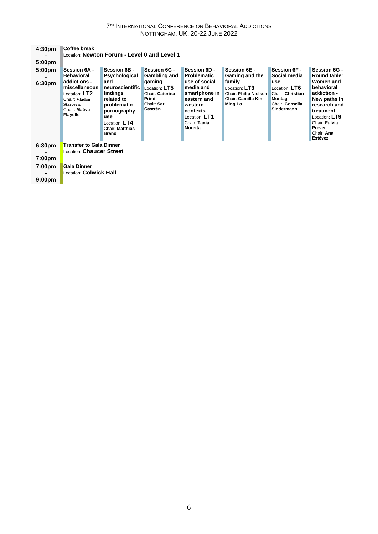#### 7 TH INTERNATIONAL CONFERENCE ON BEHAVIORAL ADDICTIONS NOTTINGHAM, UK, 20-22 JUNE 2022

| 4:30 <sub>pm</sub>                                                                   | Coffee break                                                                                                                                                |                                                                                                                                                                            |                                                                                                               |                                                                                                                                                                            |                                                                                                                     |                                                                                                                     |                                                                                                                                                                                                 |
|--------------------------------------------------------------------------------------|-------------------------------------------------------------------------------------------------------------------------------------------------------------|----------------------------------------------------------------------------------------------------------------------------------------------------------------------------|---------------------------------------------------------------------------------------------------------------|----------------------------------------------------------------------------------------------------------------------------------------------------------------------------|---------------------------------------------------------------------------------------------------------------------|---------------------------------------------------------------------------------------------------------------------|-------------------------------------------------------------------------------------------------------------------------------------------------------------------------------------------------|
|                                                                                      |                                                                                                                                                             | Location: Newton Forum - Level 0 and Level 1                                                                                                                               |                                                                                                               |                                                                                                                                                                            |                                                                                                                     |                                                                                                                     |                                                                                                                                                                                                 |
| 5:00 <sub>pm</sub>                                                                   |                                                                                                                                                             |                                                                                                                                                                            |                                                                                                               |                                                                                                                                                                            |                                                                                                                     |                                                                                                                     |                                                                                                                                                                                                 |
| 5:00 <sub>pm</sub><br>6:30 <sub>pm</sub>                                             | Session 6A -<br>Behavioral<br>addictions -<br>miscellaneous<br>Location: $\sf L T2$<br>Chair: Vladan<br><b>Starcevic</b><br>Chair: Maèva<br><b>Flayelle</b> | Session 6B -<br>Psychological<br>and<br>neuroscientific<br>findings<br>related to<br>problematic<br>pornography<br>use<br>Location: LT4<br>Chair: Matthias<br><b>Brand</b> | Session 6C -<br>Gambling and<br>gaming<br>Location: LT5<br>Chair: Caterina<br>Primi<br>Chair: Sari<br>Castrén | Session 6D -<br><b>Problematic</b><br>use of social<br>media and<br>smartphone in<br>eastern and<br>western<br>contexts<br>Location: LT1<br>Chair: Tania<br><b>Moretta</b> | Session 6E -<br>Gaming and the<br>family<br>Location: LT3<br>Chair: Philip Nielsen<br>Chair: Camilla Kin<br>Ming Lo | Session 6F -<br>Social media<br>use<br>Location: LT6<br>Chair: Christian<br>Montag<br>Chair: Cornelia<br>Sindermann | Session 6G -<br><b>Round table:</b><br>Women and<br>behavioral<br>addiction -<br>New paths in<br>research and<br>treatment<br>Location: LT9<br>Chair: Fulvia<br>Prever<br>Chair: Ana<br>Estévez |
| 6:30 <sub>pm</sub><br>7:00 <sub>pm</sub><br>7:00 <sub>pm</sub><br>9:00 <sub>pm</sub> | <b>Transfer to Gala Dinner</b><br>Location: Chaucer Street<br><b>Gala Dinner</b><br>Location: <b>Colwick Hall</b>                                           |                                                                                                                                                                            |                                                                                                               |                                                                                                                                                                            |                                                                                                                     |                                                                                                                     |                                                                                                                                                                                                 |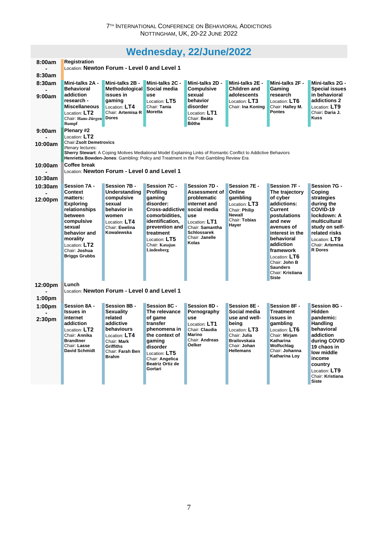## **Wednesday, [22/June/2022](http://www.conftool.org/icba2022/index.php?page=browseSessions&print=doc&form_date=2022-06-22)**

| 8:00am             | <b>Registration</b>                          |                                              |                                                                                                                 |                                  |                                     |                                   |                                  |
|--------------------|----------------------------------------------|----------------------------------------------|-----------------------------------------------------------------------------------------------------------------|----------------------------------|-------------------------------------|-----------------------------------|----------------------------------|
|                    | Location: Newton Forum - Level 0 and Level 1 |                                              |                                                                                                                 |                                  |                                     |                                   |                                  |
| 8:30am             |                                              |                                              |                                                                                                                 |                                  |                                     |                                   |                                  |
| 8:30am             | Mini-talks 2A -                              | Mini-talks 2B -                              | Mini-talks 2C -                                                                                                 | Mini-talks 2D -                  | Mini-talks 2E -                     | Mini-talks 2F -                   | Mini-talks 2G -                  |
|                    | <b>Behavioral</b>                            | <b>Methodological</b>                        | Social media                                                                                                    | <b>Compulsive</b>                | Children and                        | Gaming                            | <b>Special issues</b>            |
| 9:00am             | addiction                                    | issues in                                    | use                                                                                                             | sexual                           | adolescents                         | research                          | in behavioral                    |
|                    | research -<br><b>Miscellaneous</b>           | qaming                                       | Location: LT5<br>Chair: Tania                                                                                   | behavior<br>disorder             | Location: LT3<br>Chair: Ina Koning  | Location: LT6<br>Chair: Hallev M. | addictions 2                     |
|                    | Location: LT2                                | Location: LT4<br>Chair: Artemisa R           | <b>Moretta</b>                                                                                                  | Location: LT1                    |                                     | <b>Pontes</b>                     | Location: LT9<br>Chair: Daria J. |
|                    | Chair: Hans-Jürgen                           | <b>Dores</b>                                 |                                                                                                                 | Chair: Beáta                     |                                     |                                   | <b>Kuss</b>                      |
|                    | <b>Rumpf</b>                                 |                                              |                                                                                                                 | <b>B</b> őthe                    |                                     |                                   |                                  |
| 9:00am             | Plenary #2                                   |                                              |                                                                                                                 |                                  |                                     |                                   |                                  |
|                    | Location: LT2                                |                                              |                                                                                                                 |                                  |                                     |                                   |                                  |
| 10:00am            | <b>Chair:Zsolt Demetrovics</b>               |                                              |                                                                                                                 |                                  |                                     |                                   |                                  |
|                    | Plenary lectures:                            |                                              | Sherry Stewart: A Coping Motives Mediational Model Explaining Links of Romantic Conflict to Addictive Behaviors |                                  |                                     |                                   |                                  |
|                    |                                              |                                              | Henrietta Bowden-Jones: Gambling: Policy and Treatment in the Post Gambling Review Era                          |                                  |                                     |                                   |                                  |
| 10:00am            | Coffee break                                 |                                              |                                                                                                                 |                                  |                                     |                                   |                                  |
|                    |                                              | Location: Newton Forum - Level 0 and Level 1 |                                                                                                                 |                                  |                                     |                                   |                                  |
| 10:30am            |                                              |                                              |                                                                                                                 |                                  |                                     |                                   |                                  |
| 10:30am            | Session 7A -                                 | Session 7B -                                 | Session 7C -                                                                                                    | Session 7D -                     | Session 7E -                        | Session 7F -                      | Session 7G -                     |
|                    | Context                                      | <b>Understanding</b>                         | <b>Profiling</b>                                                                                                | Assessment of                    | Online                              | The trajectory                    | Coping                           |
| 12:00pm            | matters:                                     | compulsive                                   | gaming                                                                                                          | problematic                      | gambling                            | of cyber                          | strategies                       |
|                    | <b>Exploring</b>                             | sexual                                       | disorder:                                                                                                       | internet and                     | Location: LT3                       | addictions:                       | during the                       |
|                    | relationships                                | behavior in                                  | Cross-addictive social media                                                                                    |                                  | Chair: Philip<br><b>Newall</b>      | Current                           | COVID-19                         |
|                    | between                                      | women                                        | comorbidities,<br>identification,                                                                               | <b>use</b>                       | Chair: Tobias                       | postulations<br>and new           | lockdown: A<br>multicultural     |
|                    | compulsive<br>sexual                         | Location: LT4<br>Chair: Ewelina              | prevention and                                                                                                  | Location: LT1<br>Chair: Samantha | Hayer                               | avenues of                        | study on self-                   |
|                    | behavior and                                 | Kowalewska                                   | treatment                                                                                                       | <b>Schlossarek</b>               |                                     | interest in the                   | related risks                    |
|                    | morality                                     |                                              | Location: $LT5$                                                                                                 | Chair: Janelle                   |                                     | behavioral                        | Location: LT9                    |
|                    | Location: LT2                                |                                              | Chair: Katajun                                                                                                  | Kolas                            |                                     | addiction                         | Chair: Artemisa                  |
|                    | Chair: Joshua                                |                                              | Lindenberg                                                                                                      |                                  |                                     | framework                         | <b>R</b> Dores                   |
|                    | <b>Briggs Grubbs</b>                         |                                              |                                                                                                                 |                                  |                                     | Location: LT6                     |                                  |
|                    |                                              |                                              |                                                                                                                 |                                  |                                     | Chair: John B<br><b>Saunders</b>  |                                  |
|                    |                                              |                                              |                                                                                                                 |                                  |                                     | Chair: Kristiana                  |                                  |
|                    |                                              |                                              |                                                                                                                 |                                  |                                     | <b>Siste</b>                      |                                  |
| 12:00pm            | Lunch                                        |                                              |                                                                                                                 |                                  |                                     |                                   |                                  |
|                    |                                              | Location: Newton Forum - Level 0 and Level 1 |                                                                                                                 |                                  |                                     |                                   |                                  |
| 1:00 <sub>pm</sub> |                                              |                                              |                                                                                                                 |                                  |                                     |                                   |                                  |
| 1:00 <sub>pm</sub> | Session 8A -                                 | Session 8B -                                 | <b>Session 8C -</b>                                                                                             | Session 8D -                     | Session 8E -                        | Session 8F -                      | Session 8G -                     |
|                    | <b>Issues in</b>                             | <b>Sexuality</b>                             | The relevance                                                                                                   | Pornography                      | Social media                        | <b>Treatment</b>                  | Hidden                           |
| 2:30 <sub>pm</sub> | internet                                     | related                                      | of game                                                                                                         | <b>use</b>                       | use and well-                       | issues in                         | pandemic:                        |
|                    | addiction                                    | addictive                                    | transfer                                                                                                        | Location: LT1                    | being                               | gambling                          | <b>Handling</b>                  |
|                    | Location: LT2                                | behaviours                                   | phenomena in                                                                                                    | Chair: Claudia<br><b>Marino</b>  | Location: $LT3$                     | Location: LT6                     | behavioral                       |
|                    | Chair: Annika<br><b>Brandtner</b>            | Location: $LT4$<br>Chair: Mark               | the context of<br>gaming                                                                                        | Chair: Andreas                   | Chair: Julia<br><b>Brailovskaia</b> | Chair: Miriam<br>Katharina        | addiction<br>during COVID        |
|                    | Chair: Lasse                                 | Griffiths                                    | disorder                                                                                                        | <b>Oelker</b>                    | Chair: Johan                        | Wolfschlag                        | 19 chaos in                      |
|                    | <b>David Schmidt</b>                         | Chair: Farah Ben                             | Location: $LT5$                                                                                                 |                                  | <b>Hellemans</b>                    | Chair: Johanna                    | low middle                       |
|                    |                                              | <b>Brahm</b>                                 | Chair: Angelica                                                                                                 |                                  |                                     | Katharina Loy                     | income                           |
|                    |                                              |                                              | Beatriz Ortiz de                                                                                                |                                  |                                     |                                   | country                          |
|                    |                                              |                                              | Gortari                                                                                                         |                                  |                                     |                                   | Location: LT9                    |
|                    |                                              |                                              |                                                                                                                 |                                  |                                     |                                   | Chair: Kristiana                 |
|                    |                                              |                                              |                                                                                                                 |                                  |                                     |                                   | <b>Siste</b>                     |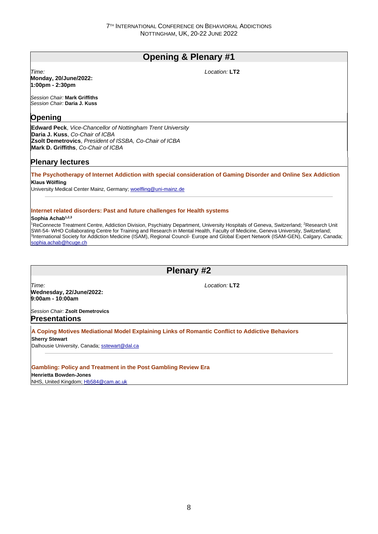## **Opening & Plenary #1**

*Time:*  **Monday, 20/June/2022: 1:00pm - 2:30pm**

*Location:* **LT2**

*Session Chair:* **Mark Griffiths** *Session Chair:* **Daria J. Kuss**

## **Opening**

**Edward Peck**, *Vice-Chancellor of Nottingham Trent University* **Daria J. Kuss**, *Co-Chair of ICBA* **Zsolt Demetrovics**, *President of ISSBA, Co-Chair of ICBA* **Mark D. Griffiths**, *Co-Chair of ICBA*

## **Plenary lectures**

**The Psychotherapy of Internet Addiction with special consideration of Gaming Disorder and Online Sex Addiction Klaus Wölfling**

University Medical Center Mainz, Germany; woelfling@uni-mainz.de

#### **Internet related disorders: Past and future challenges for Health systems**

#### **Sophia Achab1,2,3**

<sup>1</sup>ReConnecte Treatment Centre, Addiction Division, Psychiatry Department, University Hospitals of Geneva, Switzerland; <sup>2</sup>Research Unit SWI-54- WHO Collaborating Centre for Training and Research in Mental Health, Faculty of Medicine, Geneva University, Switzerland; 3 International Society for Addiction Medicine (ISAM), Regional Council- Europe and Global Expert Network (ISAM-GEN), Calgary, Canada; sophia.achab@hcuge.ch

## **Plenary #2**

*Time:*  **Wednesday, 22/June/2022: 9:00am - 10:00am**

*Location:* **LT2**

*Session Chair:* **Zsolt Demetrovics Presentations**

**A Coping Motives Mediational Model Explaining Links of Romantic Conflict to Addictive Behaviors**

**Sherry Stewart**

Dalhousie University, Canada; sstewart@dal.ca

#### **Gambling: Policy and Treatment in the Post Gambling Review Era**

**Henrietta Bowden-Jones**

NHS, United Kingdom; Hb584@cam.ac.uk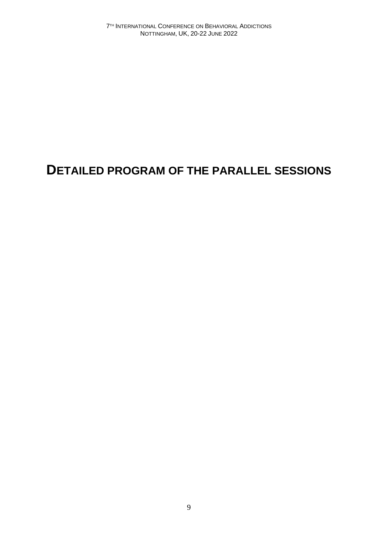## **DETAILED PROGRAM OF THE PARALLEL SESSIONS**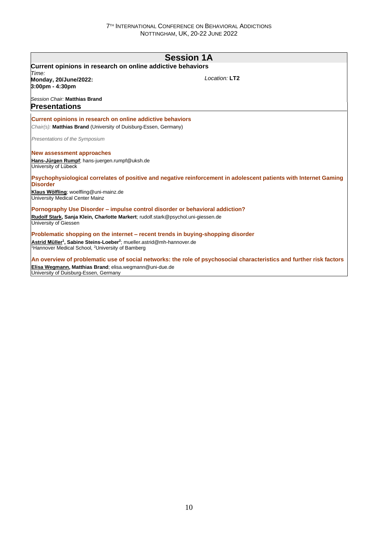|                                                                                                                                                                            | <b>Session 1A</b>                                                                                                    |
|----------------------------------------------------------------------------------------------------------------------------------------------------------------------------|----------------------------------------------------------------------------------------------------------------------|
| Current opinions in research on online addictive behaviors                                                                                                                 |                                                                                                                      |
| Time:                                                                                                                                                                      |                                                                                                                      |
| Monday, 20/June/2022:<br>3:00pm - 4:30pm                                                                                                                                   | Location: LT2                                                                                                        |
| Session Chair: Matthias Brand                                                                                                                                              |                                                                                                                      |
| <b>Presentations</b>                                                                                                                                                       |                                                                                                                      |
| Current opinions in research on online addictive behaviors                                                                                                                 |                                                                                                                      |
| Chair(s): Matthias Brand (University of Duisburg-Essen, Germany)                                                                                                           |                                                                                                                      |
| Presentations of the Symposium                                                                                                                                             |                                                                                                                      |
| New assessment approaches                                                                                                                                                  |                                                                                                                      |
| Hans-Jürgen Rumpf; hans-juergen.rumpf@uksh.de<br>University of Lübeck                                                                                                      |                                                                                                                      |
| <b>Disorder</b>                                                                                                                                                            | Psychophysiological correlates of positive and negative reinforcement in adolescent patients with Internet Gaming    |
| Klaus Wölfling; woelfling@uni-mainz.de<br>University Medical Center Mainz                                                                                                  |                                                                                                                      |
| Pornography Use Disorder – impulse control disorder or behavioral addiction?                                                                                               |                                                                                                                      |
| Rudolf Stark, Sanja Klein, Charlotte Markert; rudolf.stark@psychol.uni-giessen.de<br>University of Giessen                                                                 |                                                                                                                      |
| Problematic shopping on the internet – recent trends in buying-shopping disorder                                                                                           |                                                                                                                      |
| Astrid Müller <sup>1</sup> , Sabine Steins-Loeber <sup>2</sup> ; mueller.astrid@mh-hannover.de<br><sup>1</sup> Hannover Medical School, <sup>2</sup> University of Bamberg |                                                                                                                      |
|                                                                                                                                                                            | An overview of problematic use of social networks: the role of psychosocial characteristics and further risk factors |

**Elisa Wegmann, Matthias Brand**; elisa.wegmann@uni-due.de University of Duisburg-Essen, Germany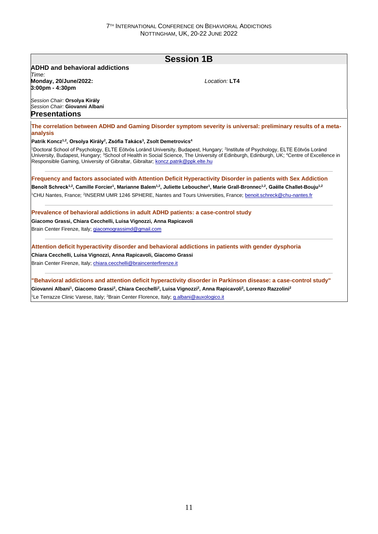|                                                                                                                         | <b>Session 1B</b>                                                                                                                                                                                                                                                                                                          |
|-------------------------------------------------------------------------------------------------------------------------|----------------------------------------------------------------------------------------------------------------------------------------------------------------------------------------------------------------------------------------------------------------------------------------------------------------------------|
| <b>ADHD and behavioral addictions</b>                                                                                   |                                                                                                                                                                                                                                                                                                                            |
| Time:<br>Monday, 20/June/2022:<br>3:00pm - 4:30pm                                                                       | Location: LT4                                                                                                                                                                                                                                                                                                              |
| Session Chair: Orsolya Király<br>Session Chair: Giovanni Albani<br><b>Presentations</b>                                 |                                                                                                                                                                                                                                                                                                                            |
| analysis                                                                                                                | The correlation between ADHD and Gaming Disorder symptom severity is universal: preliminary results of a meta-                                                                                                                                                                                                             |
| Patrik Koncz <sup>1,2</sup> , Orsolya Király <sup>2</sup> , Zsófia Takács <sup>3</sup> , Zsolt Demetrovics <sup>4</sup> |                                                                                                                                                                                                                                                                                                                            |
| Responsible Gaming, University of Gibraltar, Gibraltar; koncz.patrik@ppk.elte.hu                                        | <sup>1</sup> Doctoral School of Psychology, ELTE Eötvös Loránd University, Budapest, Hungary; <sup>2</sup> Institute of Psychology, ELTE Eötvös Loránd<br>University, Budapest, Hungary; <sup>3</sup> School of Health in Social Science, The University of Edinburgh, Edinburgh, UK; <sup>4</sup> Centre of Excellence in |
|                                                                                                                         | Frequency and factors associated with Attention Deficit Hyperactivity Disorder in patients with Sex Addiction                                                                                                                                                                                                              |
|                                                                                                                         | Benoît Schreck <sup>1,2</sup> , Camille Forcier <sup>1</sup> , Marianne Balem <sup>1,2</sup> , Juliette Leboucher <sup>1</sup> , Marie Grall-Bronnec <sup>1,2</sup> , Gaëlle Challet-Bouju <sup>1,2</sup>                                                                                                                  |
|                                                                                                                         | <sup>1</sup> CHU Nantes, France; <sup>2</sup> INSERM UMR 1246 SPHERE, Nantes and Tours Universities, France; benoit.schreck@chu-nantes.fr                                                                                                                                                                                  |
| Prevalence of behavioral addictions in adult ADHD patients: a case-control study                                        |                                                                                                                                                                                                                                                                                                                            |
| Giacomo Grassi, Chiara Cecchelli, Luisa Vignozzi, Anna Rapicavoli                                                       |                                                                                                                                                                                                                                                                                                                            |
| Brain Center Firenze, Italy; giacomograssimd@gmail.com                                                                  |                                                                                                                                                                                                                                                                                                                            |
|                                                                                                                         |                                                                                                                                                                                                                                                                                                                            |
| Attention deficit hyperactivity disorder and behavioral addictions in patients with gender dysphoria                    |                                                                                                                                                                                                                                                                                                                            |
| Chiara Cecchelli, Luisa Vignozzi, Anna Rapicavoli, Giacomo Grassi                                                       |                                                                                                                                                                                                                                                                                                                            |

**Giovanni Albani<sup>1</sup> , Giacomo Grassi<sup>2</sup> , Chiara Cecchelli<sup>2</sup> , Luisa Vignozzi<sup>2</sup> , Anna Rapicavoli<sup>2</sup> , Lorenzo Razzolini<sup>2</sup>**

<sup>1</sup>Le Terrazze Clinic Varese, Italy; <sup>2</sup>Brain Center Florence, Italy; *g.albani@auxologico.it*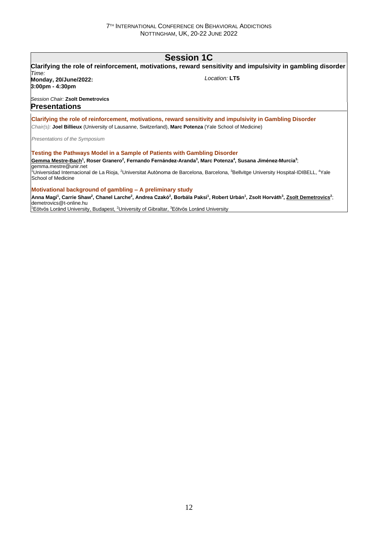## **Session 1C**

|                                                                                                                              | Clarifying the role of reinforcement, motivations, reward sensitivity and impulsivity in gambling disorder                                                                                                                          |
|------------------------------------------------------------------------------------------------------------------------------|-------------------------------------------------------------------------------------------------------------------------------------------------------------------------------------------------------------------------------------|
| Time:<br>Monday, 20/June/2022:<br>$3:00 \text{pm} - 4:30 \text{pm}$                                                          | Location: LT5                                                                                                                                                                                                                       |
| Session Chair: Zsolt Demetrovics<br><b>Presentations</b>                                                                     |                                                                                                                                                                                                                                     |
| Chair(s): Joel Billieux (University of Lausanne, Switzerland), Marc Potenza (Yale School of Medicine)                        | Clarifying the role of reinforcement, motivations, reward sensitivity and impulsivity in Gambling Disorder                                                                                                                          |
| Presentations of the Symposium                                                                                               |                                                                                                                                                                                                                                     |
| Testing the Pathways Model in a Sample of Patients with Gambling Disorder                                                    |                                                                                                                                                                                                                                     |
| gemma.mestre@unir.net                                                                                                        | Gemma Mestre-Bach <sup>1</sup> , Roser Granero <sup>2</sup> , Fernando Fernández-Aranda <sup>3</sup> , Marc Potenza <sup>4</sup> , Susana Jiménez-Murcia <sup>3</sup> ;                                                             |
| School of Medicine                                                                                                           | <sup>1</sup> Universidad Internacional de La Rioja, <sup>2</sup> Universitat Autònoma de Barcelona, Barcelona, <sup>3</sup> Bellvitge University Hospital-IDIBELL, <sup>4</sup> Yale                                                |
| Motivational background of gambling – A preliminary study                                                                    |                                                                                                                                                                                                                                     |
| demetrovics@t-online.hu                                                                                                      | Anna Magi <sup>1</sup> , Carrie Shaw <sup>2</sup> , Chanel Larche <sup>2</sup> , Andrea Czakó <sup>2</sup> , Borbála Paksi <sup>1</sup> , Robert Urbán <sup>1</sup> , Zsolt Horváth <sup>3</sup> , Zsolt Demetrovics <sup>2</sup> ; |
| <sup>1</sup> Eötvös Loránd University, Budapest, <sup>2</sup> University of Gibraltar, <sup>3</sup> Eötvös Loránd University |                                                                                                                                                                                                                                     |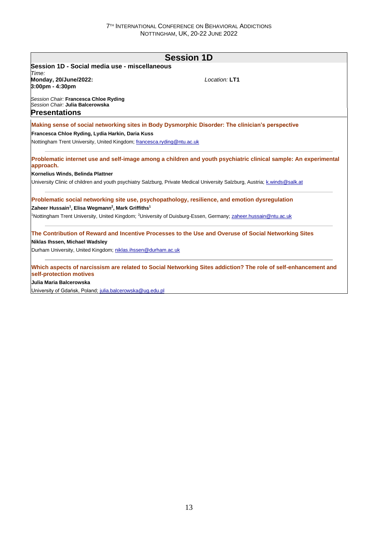|                                                                                                   | <b>Session 1D</b>                                                                                                                      |
|---------------------------------------------------------------------------------------------------|----------------------------------------------------------------------------------------------------------------------------------------|
| Session 1D - Social media use - miscellaneous                                                     |                                                                                                                                        |
| Time:<br>Monday, 20/June/2022:<br>$3:00 \text{pm} - 4:30 \text{pm}$                               | Location: LT1                                                                                                                          |
| Session Chair: Francesca Chloe Ryding<br>Session Chair: Julia Balcerowska<br><b>Presentations</b> |                                                                                                                                        |
|                                                                                                   | Making sense of social networking sites in Body Dysmorphic Disorder: The clinician's perspective                                       |
| Francesca Chloe Ryding, Lydia Harkin, Daria Kuss                                                  |                                                                                                                                        |
| Nottingham Trent University, United Kingdom; francesca.ryding@ntu.ac.uk                           |                                                                                                                                        |
| approach.                                                                                         | Problematic internet use and self-image among a children and youth psychiatric clinical sample: An experimental                        |
| Kornelius Winds, Belinda Plattner                                                                 |                                                                                                                                        |
|                                                                                                   | University Clinic of children and youth psychiatry Salzburg, Private Medical University Salzburg, Austria; k.winds@salk.at             |
| Zaheer Hussain <sup>1</sup> , Elisa Wegmann <sup>2</sup> , Mark Griffiths <sup>1</sup>            | Problematic social networking site use, psychopathology, resilience, and emotion dysregulation                                         |
|                                                                                                   | <sup>1</sup> Nottingham Trent University, United Kingdom; <sup>2</sup> University of Duisburg-Essen, Germany; zaheer.hussain@ntu.ac.uk |
|                                                                                                   | The Contribution of Reward and Incentive Processes to the Use and Overuse of Social Networking Sites                                   |
|                                                                                                   |                                                                                                                                        |
| Niklas Ihssen, Michael Wadsley                                                                    |                                                                                                                                        |

**Julia Maria Balcerowska**

University of Gdańsk, Poland; julia.balcerowska@ug.edu.pl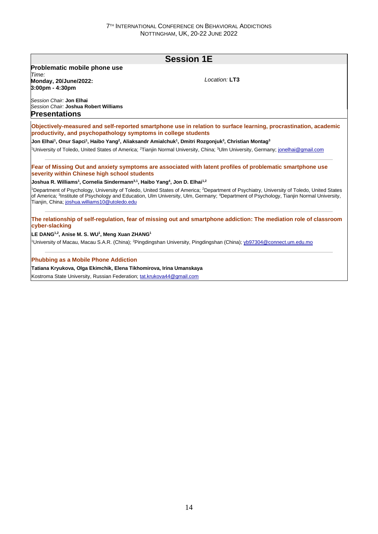### **Session 1E Problematic mobile phone use** *Time:*  **Monday, 20/June/2022: 3:00pm - 4:30pm** *Session Chair:* **Jon Elhai** *Session Chair:* **Joshua Robert Williams** *Location:* **LT3 Presentations Objectively-measured and self-reported smartphone use in relation to surface learning, procrastination, academic productivity, and psychopathology symptoms in college students Jon Elhai<sup>1</sup> , Onur Sapci<sup>1</sup> , Haibo Yang<sup>2</sup> , Aliaksandr Amialchuk<sup>1</sup> , Dmitri Rozgonjuk<sup>3</sup> , Christian Montag<sup>3</sup>** <sup>1</sup>University of Toledo, United States of America; <sup>2</sup>Tianjin Normal University, China; <sup>3</sup>Ulm University, Germany; jonelhai@gmail.com **Fear of Missing Out and anxiety symptoms are associated with latent profiles of problematic smartphone use severity within Chinese high school students Joshua R. Williams<sup>1</sup> , Cornelia Sindermann3,1, Haibo Yang<sup>4</sup> , Jon D. Elhai1,2** <sup>1</sup>Department of Psychology, University of Toledo, United States of America; <sup>2</sup>Department of Psychiatry, University of Toledo, United States of America; <sup>3</sup>Institute of Psychology and Education, Ulm University, Ulm, Germany; <sup>4</sup>Department of Psychology, Tianjin Normal University, Tianjin, China; joshua.williams10@utoledo.edu **The relationship of self-regulation, fear of missing out and smartphone addiction: The mediation role of classroom cyber-slacking LE DANG1,2, Anise M. S. WU<sup>1</sup> , Meng Xuan ZHANG<sup>1</sup>** <sup>1</sup>University of Macau, Macau S.A.R. (China); <sup>2</sup>Pingdingshan University, Pingdingshan (China); yb97304@connect.um.edu.mo **Phubbing as a Mobile Phone Addiction Tatiana Kryukova, Olga Ekimchik, Elena Tikhomirova, Irina Umanskaya** Kostroma State University, Russian Federation; tat.krukova44@gmail.com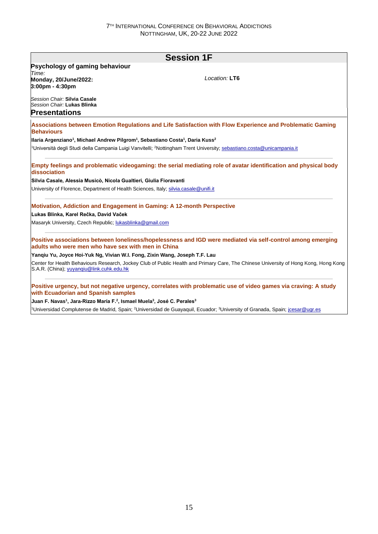|                                                                                                                                | <b>Session 1F</b>                                                                                                                                               |
|--------------------------------------------------------------------------------------------------------------------------------|-----------------------------------------------------------------------------------------------------------------------------------------------------------------|
| Psychology of gaming behaviour                                                                                                 |                                                                                                                                                                 |
| Time:<br><b>Monday, 20/June/2022:</b>                                                                                          | Location: LT6                                                                                                                                                   |
| 3:00pm - 4:30pm                                                                                                                |                                                                                                                                                                 |
| Session Chair: Silvia Casale<br>Session Chair: Lukas Blinka                                                                    |                                                                                                                                                                 |
| <b>Presentations</b>                                                                                                           |                                                                                                                                                                 |
| <b>Behaviours</b>                                                                                                              | Associations between Emotion Regulations and Life Satisfaction with Flow Experience and Problematic Gaming                                                      |
| Ilaria Argenziano <sup>1</sup> , Michael Andrew Pilgrom <sup>1</sup> , Sebastiano Costa <sup>1</sup> , Daria Kuss <sup>2</sup> |                                                                                                                                                                 |
|                                                                                                                                | <sup>1</sup> Università degli Studi della Campania Luigi Vanvitelli; <sup>2</sup> Nottingham Trent University; sebastiano.costa@unicampania.it                  |
| dissociation                                                                                                                   | Empty feelings and problematic videogaming: the serial mediating role of avatar identification and physical body                                                |
| Silvia Casale, Alessia Musicò, Nicola Gualtieri, Giulia Fioravanti                                                             |                                                                                                                                                                 |
| University of Florence, Department of Health Sciences, Italy; silvia.casale@unifi.it                                           |                                                                                                                                                                 |
| Motivation, Addiction and Engagement in Gaming: A 12-month Perspective                                                         |                                                                                                                                                                 |
| Lukas Blinka, Karel Rečka, David Vaček                                                                                         |                                                                                                                                                                 |
| Masaryk University, Czech Republic; lukasblinka@gmail.com                                                                      |                                                                                                                                                                 |
| adults who were men who have sex with men in China                                                                             | Positive associations between loneliness/hopelessness and IGD were mediated via self-control among emerging                                                     |
| Yangiu Yu, Joyce Hoi-Yuk Ng, Vivian W.I. Fong, Zixin Wang, Joseph T.F. Lau                                                     |                                                                                                                                                                 |
| S.A.R. (China); yuyangiu@link.cuhk.edu.hk                                                                                      | Center for Health Behaviours Research, Jockey Club of Public Health and Primary Care, The Chinese University of Hong Kong, Hong Kong                            |
| with Ecuadorian and Spanish samples                                                                                            | Positive urgency, but not negative urgency, correlates with problematic use of video games via craving: A study                                                 |
| Juan F. Navas <sup>1</sup> , Jara-Rizzo María F. <sup>2</sup> , Ismael Muela <sup>3</sup> , José C. Perales <sup>3</sup>       |                                                                                                                                                                 |
|                                                                                                                                | <sup>1</sup> Universidad Complutense de Madrid, Spain; <sup>2</sup> Universidad de Guayaquil, Ecuador; <sup>3</sup> University of Granada, Spain; jcesar@ugr.es |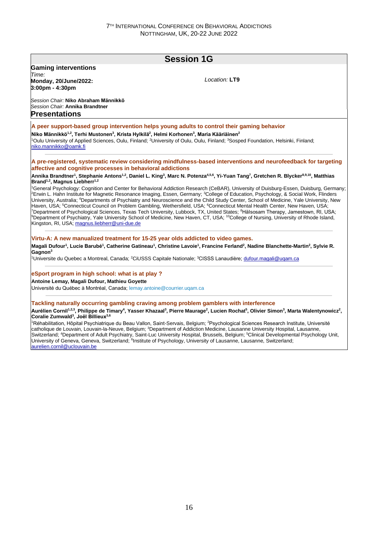### **Session 1G Gaming interventions** *Time:*  **Monday, 20/June/2022: 3:00pm - 4:30pm** *Session Chair:* **Niko Abraham Männikkö** *Session Chair:* **Annika Brandtner** *Location:* **LT9 Presentations A peer support-based group intervention helps young adults to control their gaming behavior Niko Männikkö1,2, Terhi Mustonen<sup>3</sup> , Krista Hylkilä<sup>2</sup> , Helmi Korhonen<sup>3</sup> , Maria Kääriäinen<sup>2</sup>** <sup>1</sup>Oulu University of Applied Sciences, Oulu, Finland; <sup>2</sup>University of Oulu, Oulu, Finland; <sup>3</sup>Sosped Foundation, Helsinki, Finland; niko.mannikko@oamk.fi **A pre-registered, systematic review considering mindfulness-based interventions and neurofeedback for targeting affective and cognitive processes in behavioral addictions Annika Brandtner<sup>1</sup> , Stephanie Antons1,2, Daniel L. King<sup>3</sup> , Marc N. Potenza4,5,6, Yi-Yuan Tang<sup>7</sup> , Gretchen R. Blycker8,9,10, Matthias Brand1,2, Magnus Liebherr1,2** <sup>1</sup>General Psychology: Cognition and Center for Behavioral Addiction Research (CeBAR), University of Duisburg-Essen, Duisburg, Germany <sup>2</sup>Erwin L. Hahn Institute for Magnetic Resonance Imaging, Essen, Germany; <sup>3</sup>College of Education, Psychology, & Social Work, Flinders University, Australia; <sup>4</sup>Departments of Psychiatry and Neuroscience and the Child Study Center, School of Medicine, Yale University, New Haven, USA; <sup>5</sup>Connecticut Council on Problem Gambling, Wethersfield, USA; <sup>6</sup>Connecticut Mental Health Center, New Haven, USA; <sup>7</sup>Department of Psychological Sciences, Texas Tech University, Lubbock, TX, United States; <sup>8</sup>HäIsosam Therapy, Jamestown, RI, USA; <sup>9</sup>Department of Psychiatry, Yale University School of Medicine, New Haven, CT, USA; <sup>10</sup>College of Nursing, University of Rhode Island, Kingston, RI, USA; magnus.liebherr@uni-due.de **Virtu-A: A new manualized treatment for 15-25 year olds addicted to video games. Magali Dufour<sup>1</sup> , Lucie Barubé<sup>1</sup> , Catherine Gatineau<sup>1</sup> , Christine Lavoie<sup>1</sup> , Francine Ferland<sup>2</sup> , Nadine Blanchette-Martin<sup>2</sup> , Sylvie R. Gagnon<sup>3</sup>** <sup>1</sup>Universite du Quebec a Montreal, Canada; <sup>2</sup>CiUSSS Capitale Nationale; <sup>3</sup>CISSS Lanaudière; dufour.magali@uqam.ca **eSport program in high school: what is at play ? Antoine Lemay, Magali Dufour, Mathieu Goyette** Université du Québec à Montréal, Canada; [lemay.antoine@courrier.uqam.ca](mailto:lemay.antoine@courrier.uqam.ca) **Tackling naturally occurring gambling craving among problem gamblers with interference** Aurélien Cornil<sup>1,2,3</sup>, Philippe de Timary<sup>4</sup>, Yasser Khazaal<sup>3</sup>, Pierre Maurage<sup>2</sup>, Lucien Rochat<sup>5</sup>, Olivier Simon<sup>3</sup>, Marta Walentynowicz<sup>2</sup>, **Coralie Zumwald<sup>3</sup> , Joël Billieux3,6** <sup>1</sup>Réhabilitation, Hôpital Psychiatrique du Beau Vallon, Saint-Servais, Belgium; <sup>2</sup>Psychological Sciences Research Institute, Université catholique de Louvain, Louvain-la-Neuve, Belgium; <sup>3</sup>Department of Addiction Medicine, Lausanne University Hospital, Lausanne, Switzerland; <sup>4</sup>Department of Adult Psychiatry, Saint-Luc University Hospital, Brussels, Belgium; <sup>5</sup>Clinical Developmental Psychology Unit, University of Geneva, Geneva, Switzerland; <sup>6</sup>Institute of Psychology, University of Lausanne, Lausanne, Switzerland; aurelien.cornil@uclouvain.be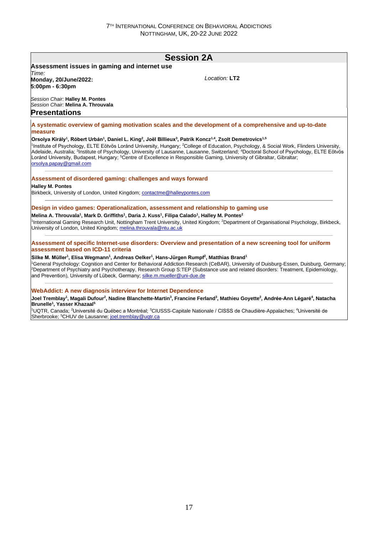## **Session 2A**

#### **Assessment issues in gaming and internet use** *Time:*

**Monday, 20/June/2022: 5:00pm - 6:30pm**

*Location:* **LT2**

*Session Chair:* **Halley M. Pontes** *Session Chair:* **Melina A. Throuvala Presentations**

**A systematic overview of gaming motivation scales and the development of a comprehensive and up-to-date measure**

#### **Orsolya Király<sup>1</sup> , Róbert Urbán<sup>1</sup> , Daniel L. King<sup>2</sup> , Joël Billieux<sup>3</sup> , Patrik Koncz1,4, Zsolt Demetrovics1,5**

1 Institute of Psychology, ELTE Eötvös Loránd University, Hungary; <sup>2</sup>College of Education, Psychology, & Social Work, Flinders University, Adelaide, Australia; <sup>3</sup>Institute of Psychology, University of Lausanne, Lausanne, Switzerland; <sup>4</sup>Doctoral School of Psychology, ELTE Eötvös Loránd University, Budapest, Hungary; <sup>5</sup>Centre of Excellence in Responsible Gaming, University of Gibraltar, Gibraltar; orsolya.papay@gmail.com

#### **Assessment of disordered gaming: challenges and ways forward**

**Halley M. Pontes**

Birkbeck, University of London, United Kingdom; contactme@halleypontes.com

#### **Design in video games: Operationalization, assessment and relationship to gaming use**

**Melina A. Throuvala<sup>1</sup> , Mark D. Griffiths<sup>1</sup> , Daria J. Kuss<sup>1</sup> , Filipa Calado<sup>1</sup> , Halley M. Pontes<sup>2</sup>**

<sup>1</sup>International Gaming Research Unit, Nottingham Trent University, United Kingdom; <sup>2</sup>Department of Organisational Psychology, Birkbeck, University of London, United Kingdom; melina.throuvala@ntu.ac.uk

#### **Assessment of specific Internet-use disorders: Overview and presentation of a new screening tool for uniform assessment based on ICD-11 criteria**

#### **Silke M. Müller<sup>1</sup> , Elisa Wegmann<sup>1</sup> , Andreas Oelker<sup>1</sup> , Hans-Jürgen Rumpf<sup>2</sup> , Matthias Brand<sup>1</sup>**

<sup>1</sup>General Psychology: Cognition and Center for Behavioral Addiction Research (CeBAR), University of Duisburg-Essen, Duisburg, Germany; <sup>2</sup>Department of Psychiatry and Psychotherapy, Research Group S:TEP (Substance use and related disorders: Treatment, Epidemiology, and Prevention), University of Lübeck, Germany; silke.m.mueller@uni-due.de

#### **WebAddict: A new diagnosis interview for Internet Dependence**

**Joel Tremblay<sup>1</sup> , Magali Dufour<sup>2</sup> , Nadine Blanchette-Martin<sup>3</sup> , Francine Ferland<sup>3</sup> , Mathieu Goyette<sup>2</sup> , Andrée-Ann Légaré<sup>4</sup> , Natacha Brunelle<sup>1</sup> , Yasser Khazaal<sup>5</sup>**

<sup>1</sup>UQTR, Canada; <sup>2</sup>Université du Québec a Montréal; <sup>3</sup>CIUSSS-Capitale Nationale / CISSS de Chaudière-Appalaches; <sup>4</sup>Université de Sherbrooke; <sup>5</sup>CHUV de Lausanne; joel.tremblay@uqtr.ca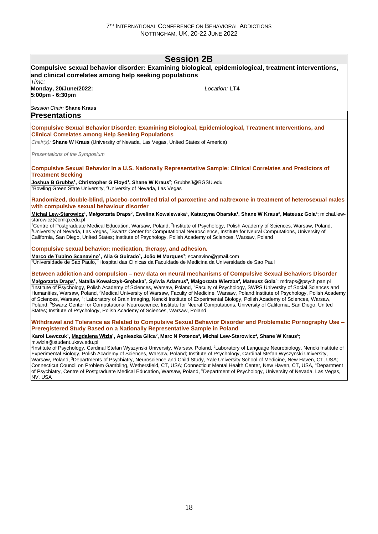### **Session 2B**

#### **Compulsive sexual behavior disorder: Examining biological, epidemiological, treatment interventions, and clinical correlates among help seeking populations** *Time:*  **Monday, 20/June/2022: 5:00pm - 6:30pm** *Session Chair:* **Shane Kraus** *Location:* **LT4 Presentations Compulsive Sexual Behavior Disorder: Examining Biological, Epidemiological, Treatment Interventions, and Clinical Correlates among Help Seeking Populations** *Chair(s):* **Shane W Kraus** (University of Nevada, Las Vegas, United States of America) *Presentations of the Symposium* **Compulsive Sexual Behavior in a U.S. Nationally Representative Sample: Clinical Correlates and Predictors of Treatment Seeking Joshua B Grubbs<sup>1</sup> , Christopher G Floyd<sup>1</sup> , Shane W Kraus<sup>2</sup>** ; GrubbsJ@BGSU.edu <sup>1</sup>Bowling Green State University, <sup>2</sup>University of Nevada, Las Vegas **Randomized, double-blind, placebo-controlled trial of paroxetine and naltrexone in treatment of heterosexual males with compulsive sexual behaviour disorder** <u>Michal Lew-Starowicz</u>1, Małgorzata Draps<sup>2</sup>, Ewelina Kowalewska<sup>1</sup>, Katarzyna Obarska<sup>1</sup>, Shane W Kraus<sup>3</sup>, Mateusz Gola<sup>4</sup>; michal.lewstarowicz@cmkp.edu.pl <sup>1</sup>Centre of Postgraduate Medical Education, Warsaw, Poland, <sup>2</sup>Institute of Psychology, Polish Academy of Sciences, Warsaw, Poland, <sup>3</sup>University of Nevada, Las Vegas, <sup>4</sup>Swartz Center for Computational Neuroscience, Institute for Neural Computations, University of California, San Diego, United States; Institute of Psychology, Polish Academy of Sciences, Warsaw, Poland **Compulsive sexual behavior: medication, therapy, and adhesion. Marco de Tubino Scanavino<sup>1</sup> , Alia G Guirado<sup>1</sup> , João M Marques<sup>2</sup>** ; scanavino@gmail.com <sup>1</sup>Universidade de Sao Paulo, <sup>2</sup>Hospital das Clinicas da Faculdade de Medicina da Universidade de Sao Paul **Between addiction and compulsion – new data on neural mechanisms of Compulsive Sexual Behaviors Disorder** Małgorzata Draps<sup>1</sup>, Natalia Kowalczyk-Grębska<sup>2</sup>, Sylwia Adamus<sup>3</sup>, Małgorzata Wierzba<sup>4</sup>, Mateusz Gola<sup>s</sup>; mdraps@psych.pan.pl <sup>1</sup>Institute of Psychology, Polish Academy of Sciences, Warsaw, Poland, <sup>2</sup>Faculty of Psychology, SWPS University of Social Sciences and Humanities, Warsaw, Poland, <sup>3</sup>Medical University of Warsaw, Faculty of Medicine, Warsaw, Poland;Institute of Psychology, Polish Academy of Sciences, Warsaw, <sup>4</sup>; Laboratory of Brain Imaging, Nencki Institute of Experimental Biology, Polish Academy of Sciences, Warsaw, Poland, <sup>5</sup>Swartz Center for Computational Neuroscience, Institute for Neural Computations, University of California, San Diego, United States; Institute of Psychology, Polish Academy of Sciences, Warsaw, Poland **Withdrawal and Tolerance as Related to Compulsive Sexual Behavior Disorder and Problematic Pornography Use – Preregistered Study Based on a Nationally Representative Sample in Poland** Karol Lewczuk<sup>1</sup>, <u>Magdalena Wizła</u><sup>1</sup>, Agnieszka Glica<sup>2</sup>, Marc N Potenza<sup>3</sup>, Michal Lew-Starowicz<sup>4</sup>, Shane W Kraus<sup>5</sup>; m.wizla@student.uksw.edu.pl <sup>1</sup>Institute of Psychology, Cardinal Stefan Wyszynski University, Warsaw, Poland, <sup>2</sup>Laboratory of Language Neurobiology, Nencki Institute of Experimental Biology, Polish Academy of Sciences, Warsaw, Poland; Institute of Psychology, Cardinal Stefan Wyszynski University,

Warsaw, Poland, <sup>3</sup>Departments of Psychiatry, Neuroscience and Child Study, Yale University School of Medicine, New Haven, CT, USA; Connecticut Council on Problem Gambling, Wethersfield, CT, USA; Connecticut Mental Health Center, New Haven, CT, USA, <sup>4</sup>Department of Psychiatry, Centre of Postgraduate Medical Education, Warsaw, Poland, <sup>5</sup>Department of Psychology, University of Nevada, Las Vegas, NV, USA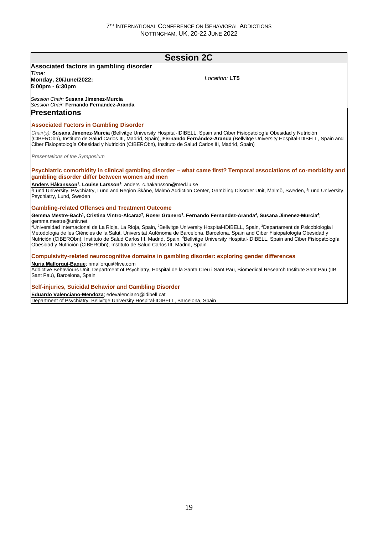### **Session 2C Associated factors in gambling disorder** *Time:*  **Monday, 20/June/2022: 5:00pm - 6:30pm** *Session Chair:* **Susana Jimenez-Murcia** *Session Chair:* **Fernando Fernandez-Aranda** *Location:* **LT5 Presentations Associated Factors in Gambling Disorder** *Chair(s):* **Susana Jimenez-Murcia** (Bellvitge University Hospital-IDIBELL, Spain and Ciber Fisiopatología Obesidad y Nutrición (CIBERObn), Instituto de Salud Carlos III, Madrid, Spain), **Fernando Fernández-Aranda** (Bellvitge University Hospital-IDIBELL, Spain and Ciber Fisiopatología Obesidad y Nutrición (CIBERObn), Instituto de Salud Carlos III, Madrid, Spain) *Presentations of the Symposium* **Psychiatric comorbidity in clinical gambling disorder – what came first? Temporal associations of co-morbidity and gambling disorder differ between women and men Anders Håkansson<sup>1</sup> , Louise Larsson<sup>2</sup>** ; anders\_c.hakansson@med.lu.se <sup>1</sup>Lund University, Psychiatry, Lund and Region Skåne, Malmö Addiction Center, Gambling Disorder Unit, Malmö, Sweden, <sup>2</sup>Lund University, Psychiatry, Lund, Sweden **Gambling-related Offenses and Treatment Outcome** <u>Gemma Mestre-Bach</u>1, Cristina Vintro-Alcaraz<sup>2</sup>, Roser Granero<sup>3</sup>, Fernando Fernandez-Aranda<sup>4</sup>, Susana Jimenez-Murcia<sup>4</sup>; gemma.mestre@unir.net <sup>1</sup>Universidad Internacional de La Rioja, La Rioja, Spain, <sup>2</sup>Bellvitge University Hospital-IDIBELL, Spain, <sup>3</sup>Departament de Psicobiologia i Metodologia de les Ciències de la Salut, Universitat Autònoma de Barcelona, Barcelona, Spain and Ciber Fisiopatología Obesidad y Nutrición (CIBERObn), Instituto de Salud Carlos III, Madrid, Spain, <sup>4</sup>Bellvitge University Hospital-IDIBELL, Spain and Ciber Fisiopatología Obesidad y Nutrición (CIBERObn), Instituto de Salud Carlos III, Madrid, Spain **Compulsivity-related neurocognitive domains in gambling disorder: exploring gender differences Nuria Mallorquí-Bague**; nmallorqui@live.com Addictive Behaviours Unit, Department of Psychiatry, Hospital de la Santa Creu i Sant Pau, Biomedical Research Institute Sant Pau (IIB Sant Pau), Barcelona, Spain **Self-injuries, Suicidal Behavior and Gambling Disorder Eduardo Valenciano-Mendoza**; edevalenciano@idibell.cat Department of Psychiatry. Bellvitge University Hospital-IDIBELL, Barcelona, Spain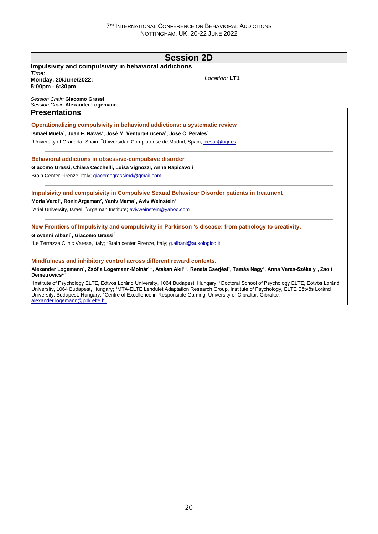|                                                                                                                                                               | <b>Session 2D</b>                                                                                                                                                                                                                                                                                        |
|---------------------------------------------------------------------------------------------------------------------------------------------------------------|----------------------------------------------------------------------------------------------------------------------------------------------------------------------------------------------------------------------------------------------------------------------------------------------------------|
| Impulsivity and compulsivity in behavioral addictions                                                                                                         |                                                                                                                                                                                                                                                                                                          |
| Time:                                                                                                                                                         |                                                                                                                                                                                                                                                                                                          |
| Monday, 20/June/2022:<br>5:00pm - 6:30pm                                                                                                                      | Location: LT1                                                                                                                                                                                                                                                                                            |
| Session Chair: Giacomo Grassi<br>Session Chair: Alexander Logemann                                                                                            |                                                                                                                                                                                                                                                                                                          |
| <b>Presentations</b>                                                                                                                                          |                                                                                                                                                                                                                                                                                                          |
| Operationalizing compulsivity in behavioral addictions: a systematic review                                                                                   |                                                                                                                                                                                                                                                                                                          |
| Ismael Muela <sup>1</sup> , Juan F. Navas <sup>2</sup> , José M. Ventura-Lucena <sup>1</sup> , José C. Perales <sup>1</sup>                                   |                                                                                                                                                                                                                                                                                                          |
| <sup>1</sup> University of Granada, Spain; <sup>2</sup> Universidad Complutense de Madrid, Spain; jcesar@ugr.es                                               |                                                                                                                                                                                                                                                                                                          |
| Behavioral addictions in obsessive-compulsive disorder                                                                                                        |                                                                                                                                                                                                                                                                                                          |
| Giacomo Grassi, Chiara Cecchelli, Luisa Vignozzi, Anna Rapicavoli                                                                                             |                                                                                                                                                                                                                                                                                                          |
| Brain Center Firenze, Italy; giacomograssimd@gmail.com                                                                                                        |                                                                                                                                                                                                                                                                                                          |
|                                                                                                                                                               | Impulsivity and compulsivity in Compulsive Sexual Behaviour Disorder patients in treatment                                                                                                                                                                                                               |
| Moria Vardi <sup>1</sup> , Ronit Argaman <sup>2</sup> , Yaniv Mama <sup>1</sup> , Aviv Weinstein <sup>1</sup>                                                 |                                                                                                                                                                                                                                                                                                          |
| <sup>1</sup> Ariel University, Israel; <sup>2</sup> Argaman Institute; <b>avivweinstein@yahoo.com</b>                                                         |                                                                                                                                                                                                                                                                                                          |
|                                                                                                                                                               | New Frontiers of Impulsivity and compulsivity in Parkinson 's disease: from pathology to creativity.                                                                                                                                                                                                     |
| Giovanni Albani <sup>1</sup> , Giacomo Grassi <sup>2</sup>                                                                                                    |                                                                                                                                                                                                                                                                                                          |
| <sup>1</sup> Le Terrazze Clinic Varese, Italy; <sup>2</sup> Brain center Firenze, Italy; <u>q.albani@auxologico.it</u>                                        |                                                                                                                                                                                                                                                                                                          |
| Mindfulness and inhibitory control across different reward contexts.                                                                                          |                                                                                                                                                                                                                                                                                                          |
| Demetrovics $1,4$                                                                                                                                             | Alexander Logemann <sup>1</sup> , Zsófia Logemann-Molnár <sup>1,2</sup> , Atakan Akıl <sup>1,2</sup> , Renata Cserjési <sup>1</sup> , Tamás Nagy <sup>1</sup> , Anna Veres-Székely <sup>3</sup> , Zsolt                                                                                                  |
| University, Budapest, Hungary; <sup>4</sup> Centre of Excellence in Responsible Gaming, University of Gibraltar, Gibraltar;<br>alexander.logemann@ppk.elte.hu | <sup>1</sup> Institute of Psychology ELTE, Eötvös Loránd University, 1064 Budapest, Hungary; <sup>2</sup> Doctoral School of Psychology ELTE, Eötvös Loránd<br>University, 1064 Budapest, Hungary; <sup>3</sup> MTA-ELTE Lendület Adaptation Research Group, Institute of Psychology, ELTE Eötvös Loránd |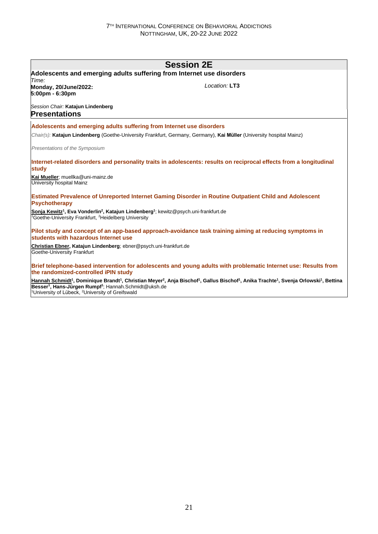| <b>Session 2E</b>                                                                                                                                                                                        |                                                                                                                                                                                                                            |  |  |
|----------------------------------------------------------------------------------------------------------------------------------------------------------------------------------------------------------|----------------------------------------------------------------------------------------------------------------------------------------------------------------------------------------------------------------------------|--|--|
| Adolescents and emerging adults suffering from Internet use disorders                                                                                                                                    |                                                                                                                                                                                                                            |  |  |
| Time:<br>Monday, 20/June/2022:<br>5:00pm - 6:30pm                                                                                                                                                        | Location: LT3                                                                                                                                                                                                              |  |  |
| Session Chair: Katajun Lindenberg<br><b>Presentations</b>                                                                                                                                                |                                                                                                                                                                                                                            |  |  |
| Adolescents and emerging adults suffering from Internet use disorders                                                                                                                                    |                                                                                                                                                                                                                            |  |  |
|                                                                                                                                                                                                          | Chair(s): Katajun Lindenberg (Goethe-University Frankfurt, Germany, Germany), Kai Müller (University hospital Mainz)                                                                                                       |  |  |
| Presentations of the Symposium                                                                                                                                                                           |                                                                                                                                                                                                                            |  |  |
| study                                                                                                                                                                                                    | Internet-related disorders and personality traits in adolescents: results on reciprocal effects from a longitudinal                                                                                                        |  |  |
| Kai Mueller; muellka@uni-mainz.de<br>University hospital Mainz                                                                                                                                           |                                                                                                                                                                                                                            |  |  |
| <b>Psychotherapy</b>                                                                                                                                                                                     | Estimated Prevalence of Unreported Internet Gaming Disorder in Routine Outpatient Child and Adolescent                                                                                                                     |  |  |
| Sonja Kewitz <sup>1</sup> , Eva Vonderlin <sup>2</sup> , Katajun Lindenberg <sup>1</sup> ; kewitz@psych.uni-frankfurt.de<br><sup>1</sup> Goethe-University Frankfurt, <sup>2</sup> Heidelberg University |                                                                                                                                                                                                                            |  |  |
| students with hazardous Internet use                                                                                                                                                                     | Pilot study and concept of an app-based approach-avoidance task training aiming at reducing symptoms in                                                                                                                    |  |  |
| Christian Ebner, Katajun Lindenberg; ebner@psych.uni-frankfurt.de<br>Goethe-University Frankfurt                                                                                                         |                                                                                                                                                                                                                            |  |  |
| the randomized-controlled iPIN study                                                                                                                                                                     | Brief telephone-based intervention for adolescents and young adults with problematic Internet use: Results from                                                                                                            |  |  |
|                                                                                                                                                                                                          | Hannah Schmidt <sup>1</sup> , Dominique Brandt <sup>1</sup> , Christian Meyer <sup>2</sup> , Anja Bischof <sup>1</sup> , Gallus Bischof <sup>1</sup> , Anika Trachte <sup>1</sup> , Svenja Orlowski <sup>1</sup> , Bettina |  |  |

**Besser<sup>1</sup> , Hans-Jürgen Rumpf<sup>1</sup>** ; Hannah.Schmidt@uksh.de <sup>1</sup>University of Lübeck, <sup>2</sup>University of Greifswald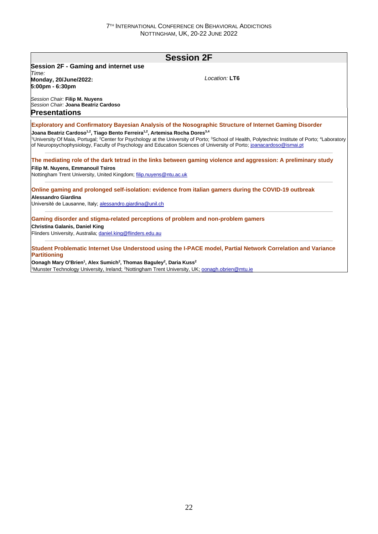| <b>Session 2F</b>                                                                                                |                                                                                                                                                                                                                                                                                                                                                                                                                                            |  |
|------------------------------------------------------------------------------------------------------------------|--------------------------------------------------------------------------------------------------------------------------------------------------------------------------------------------------------------------------------------------------------------------------------------------------------------------------------------------------------------------------------------------------------------------------------------------|--|
| <b>Session 2F - Gaming and internet use</b>                                                                      |                                                                                                                                                                                                                                                                                                                                                                                                                                            |  |
| Time:                                                                                                            |                                                                                                                                                                                                                                                                                                                                                                                                                                            |  |
| Monday, 20/June/2022:                                                                                            | Location: LT6                                                                                                                                                                                                                                                                                                                                                                                                                              |  |
| 5:00pm - 6:30pm                                                                                                  |                                                                                                                                                                                                                                                                                                                                                                                                                                            |  |
| Session Chair: Filip M. Nuyens                                                                                   |                                                                                                                                                                                                                                                                                                                                                                                                                                            |  |
| Session Chair: Joana Beatriz Cardoso                                                                             |                                                                                                                                                                                                                                                                                                                                                                                                                                            |  |
| Presentations                                                                                                    |                                                                                                                                                                                                                                                                                                                                                                                                                                            |  |
| Joana Beatriz Cardoso <sup>1,2</sup> , Tiago Bento Ferreira <sup>1,2</sup> , Artemisa Rocha Dores <sup>3,4</sup> | <b>Exploratory and Confirmatory Bayesian Analysis of the Nosographic Structure of Internet Gaming Disorder</b><br><sup>1</sup> University Of Maia, Portugal: <sup>2</sup> Center for Psychology at the University of Porto: <sup>3</sup> School of Health, Polytechnic Institute of Porto: <sup>4</sup> Laboratory<br>of Neuropsychophysiology, Faculty of Psychology and Education Sciences of University of Porto; joanacardoso@ismai.pt |  |
| <b>Filip M. Nuyens, Emmanouil Tsiros</b><br>Nottingham Trent University, United Kingdom; filip.nuyens@ntu.ac.uk  | The mediating role of the dark tetrad in the links between gaming violence and aggression: A preliminary study                                                                                                                                                                                                                                                                                                                             |  |
| Alessandro Giardina                                                                                              | Online gaming and prolonged self-isolation: evidence from italian gamers during the COVID-19 outbreak                                                                                                                                                                                                                                                                                                                                      |  |
| Université de Lausanne, Italy, alessandro.giardina@unil.ch                                                       |                                                                                                                                                                                                                                                                                                                                                                                                                                            |  |
| Gaming disorder and stigma-related perceptions of problem and non-problem gamers                                 |                                                                                                                                                                                                                                                                                                                                                                                                                                            |  |
| Christina Galanis, Daniel King                                                                                   |                                                                                                                                                                                                                                                                                                                                                                                                                                            |  |
| Flinders University, Australia; daniel.king@flinders.edu.au                                                      |                                                                                                                                                                                                                                                                                                                                                                                                                                            |  |
| Partitioning                                                                                                     | Student Problematic Internet Use Understood using the I-PACE model, Partial Network Correlation and Variance                                                                                                                                                                                                                                                                                                                               |  |

**Oonagh Mary O'Brien<sup>1</sup> , Alex Sumich<sup>2</sup> , Thomas Baguley<sup>2</sup> , Daria Kuss<sup>2</sup>** <sup>1</sup>Munster Technology University, Ireland; <sup>2</sup>Nottingham Trent University, UK; oonagh.obrien@mtu.ie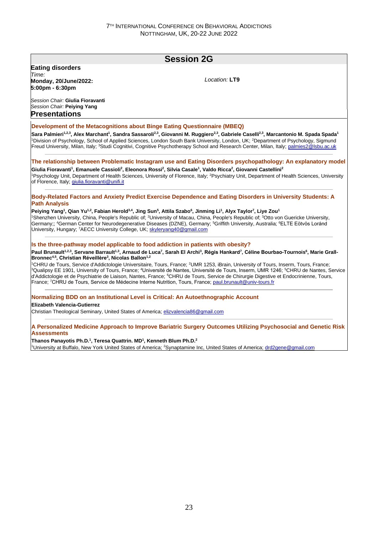### **Session 2G Eating disorders** *Time:*  **Monday, 20/June/2022: 5:00pm - 6:30pm** *Session Chair:* **Giulia Fioravanti** *Session Chair:* **Peiying Yang** *Location:* **LT9 Presentations Development of the Metacognitions about Binge Eating Questionnaire (MBEQ) Sara Palmieri1,2,3, Alex Marchant<sup>1</sup> , Sandra Sassaroli2,3, Giovanni M. Ruggiero2,3, Gabriele Caselli2,3, Marcantonio M. Spada Spada<sup>1</sup>** <sup>1</sup>Division of Psychology, School of Applied Sciences, London South Bank University, London, UK; <sup>2</sup>Department of Psychology, Sigmund Freud University, Milan, Italy; <sup>3</sup>Studi Cognitivi, Cognitive Psychotherapy School and Research Center, Milan, Italy; palmies2@lsbu.ac.uk **The relationship between Problematic Instagram use and Eating Disorders psychopathology: An explanatory model Giulia Fioravanti<sup>1</sup> , Emanuele Cassioli<sup>2</sup> , Eleonora Rossi<sup>2</sup> , Silvia Casale<sup>1</sup> , Valdo Ricca<sup>2</sup> , Giovanni Castellini<sup>2</sup>** <sup>1</sup>Psychology Unit, Department of Health Sciences, University of Florence, Italy; <sup>2</sup>Psychiatry Unit, Department of Health Sciences, University of Florence, Italy, giulia.fioravanti@unifi.it **Body-Related Factors and Anxiety Predict Exercise Dependence and Eating Disorders in University Students: A Path Analysis Peiying Yang<sup>1</sup> , Qian Yu1,2, Fabian Herold3,4, Jing Sun<sup>5</sup> , Attila Szabo<sup>6</sup> , Jinming Li<sup>1</sup> , Alyx Taylor<sup>7</sup> , Liye Zou<sup>1</sup>** <sup>1</sup>Shenzhen University, China, People's Republic of; <sup>2</sup>University of Macau, China, People's Republic of; <sup>3</sup>Otto von Guericke University, Germany;; <sup>4</sup>German Center for Neurodegenerative Diseases (DZNE), Germany; <sup>5</sup>Griffith University, Australia; <sup>6</sup>ELTE Eötvös Loránd University, Hungary; <sup>7</sup>AECC University College, UK; skyleryang40@gmail.com **Is the three-pathway model applicable to food addiction in patients with obesity?** Paul Brunault<sup>1,2,3</sup>, Servane Barrault<sup>1,3</sup>, Arnaud de Luca<sup>7</sup>, Sarah El Archi<sup>3</sup>, Régis Hankard<sup>7</sup>, Céline Bourbao-Tournois<sup>6</sup>, Marie Grall-**Bronnec4,5, Christian Réveillère<sup>3</sup> , Nicolas Ballon1,2** <sup>1</sup>CHRU de Tours, Service d'Addictologie Universitaire, Tours, France; <sup>2</sup>UMR 1253, iBrain, University of Tours, Inserm, Tours, France; <sup>3</sup>Qualipsy EE 1901, University of Tours, France; <sup>4</sup>Université de Nantes, Université de Tours, Inserm, UMR 1246; <sup>5</sup>CHRU de Nantes, Service d'Addictologie et de Psychiatrie de Liaison, Nantes, France; <sup>6</sup>CHRU de Tours, Service de Chirurgie Digestive et Endocrinienne, Tours, France; <sup>7</sup>CHRU de Tours, Service de Médecine Interne Nutrition, Tours, France; paul.brunault@univ-tours.fr **Normalizing BDD on an Institutional Level is Critical: An Autoethnographic Account Elizabeth Valencia-Gutierrez** Christian Theological Seminary, United States of America; elizvalencia86@gmail.com **A Personalized Medicine Approach to Improve Bariatric Surgery Outcomes Utilizing Psychosocial and Genetic Risk Assessments**

#### **Thanos Panayotis Ph.D.<sup>1</sup> , Teresa Quattrin. MD<sup>1</sup> , Kenneth Blum Ph.D.<sup>2</sup>**

1University at Buffalo, New York United States of America; 2Synaptamine Inc, United States of America; drd2gene@gmail.com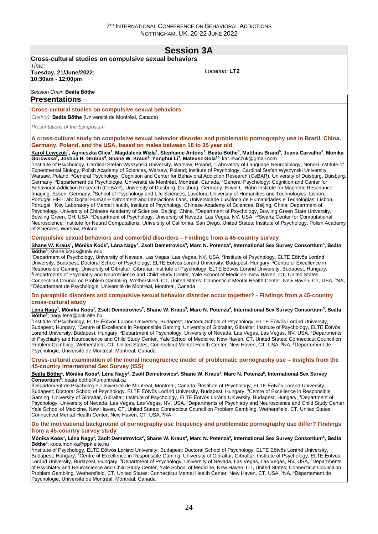## **Session 3A**

**Cross-cultural studies on compulsive sexual behaviors** *Time:*  **Tuesday, 21/June/2022: 10:30am - 12:00pm**

*Location:* **LT2**

#### *Session Chair:* **Beáta Bőthe Presentations**

#### **Cross-cultural studies on compulsive sexual behaviors**

*Chair(s):* **Beáta Bőthe** (Université de Montréal, Canada)

*Presentations of the Symposium*

**A cross-cultural study on compulsive sexual behavior disorder and problematic pornography use in Brazil, China, Germany, Poland, and the USA, based on males between 18 to 35 year old**

<u>Karol Lewczuk</u><sup>1</sup>, Agnieszka Glica<sup>2</sup>, Magdalena Wizła<sup>1</sup>, Stephanie Antons<sup>3</sup>, Beáta Bőthe<sup>4</sup>, Matthias Brand<sup>s</sup>, Joana Carvalho<sup>6</sup>, Monika Górowska<sup>7</sup>, Joshua B. Grubbs<sup>8</sup>, Shane W. Kraus<sup>9</sup>, Yonghui Li<sup>7</sup>, Mateusz Gola<sup>10</sup>; kar.lewczuk@gmail.com

<sup>1</sup>Institute of Psychology, Cardinal Stefan Wyszynski University, Warsaw, Poland, <sup>2</sup>Laboratory of Language Neurobiology, Nencki Institute of Experimental Biology, Polish Academy of Sciences, Warsaw, Poland; Institute of Psychology, Cardinal Stefan Wyszynski University, Warsaw, Poland, <sup>3</sup>General Psychology: Cognition and Center for Behavioral Addiction Research (CeBAR), University of Duisburg, Duisburg Germany, <sup>4</sup>Département de Psychologie, Université de Montréal, Montréal, Canada, <sup>5</sup>General Psychology: Cognition and Center for Behavioral Addiction Research (CeBAR), University of Duisburg, Duisburg, Germany; Erwin L. Hahn Institute for Magnetic Resonance Imaging, Essen, Germany, <sup>6</sup>School of Psychology and Life Sciences, Lusófona University of Humanities and Technologies, Lisbon, Portugal; HEI-Lab: Digital Human-Environment and Interactions Labs, Universidade Lusófona de Humanidades e Tecnologias, Lisbon, Portugal, 7Key Laboratory of Mental Health, Institute of Psychology, Chinese Academy of Sciences, Beijing, China; Department of Psychology, University of Chinese Academy of Sciences, Beijing, China, <sup>8</sup>Department of Psychology, Bowling Green State University, Bowling Green, OH, USA, <sup>9</sup>Department of Psychology, University of Nevada, Las Vegas, NV, USA, <sup>10</sup>Swartz Center for Computational Neuroscience, Institute for Neural Computations, University of California, San Diego, United States; Institute of Psychology, Polish Academy of Sciences, Warsaw, Poland

#### **Compulsive sexual behaviors and comorbid disorders – Findings from a 45-country survey**

#### <u>Shane W. Kraus</u><sup>1</sup>, Mónika Koós<sup>2</sup>, Léna Nagy<sup>2</sup>, Zsolt Demetrovics<sup>3</sup>, Marc N. Potenza<sup>4</sup>, International Sex Survey Consortium<sup>5</sup>, Beáta **Bőthe<sup>6</sup>** ; shane.kraus@unlv.edu

<sup>1</sup>Department of Psychology, University of Nevada, Las Vegas, Las Vegas, NV, USA, <sup>2</sup>Institute of Psychology, ELTE Eötvös Loránd University, Budapest; Doctoral School of Psychology, ELTE Eötvös Loránd University, Budapest, Hungary, <sup>3</sup>Centre of Excellence in Responsible Gaming, University of Gibraltar, Gibraltar; Institute of Psychology, ELTE Eötvös Loránd University, Budapest, Hungary, <sup>4</sup>Departments of Psychiatry and Neuroscience and Child Study Center, Yale School of Medicine, New Haven, CT, United States; Connecticut Council on Problem Gambling, Wethersfield, CT, United States; Connecticut Mental Health Center, New Haven, CT, USA, <sup>5</sup>NA, <sup>6</sup>Département de Psychologie, Université de Montréal, Montreal, Canada

#### **Do paraphilic disorders and compulsive sexual behavior disorder occur together? - Findings from a 45-country cross-cultural study**

#### <u>Léna Nagy</u><sup>1</sup>, Mónika Koós<sup>1</sup>, Zsolt Demetrovics<sup>2</sup>, Shane W. Kraus<sup>3</sup>, Marc N. Potenza<sup>4</sup>, International Sex Survey Consortium<sup>5</sup>, Beáta **Bőthe<sup>6</sup>** ; nagy.lena@ppk.elte.hu

1 Institute of Psychology, ELTE Eötvös Loránd University, Budapest; Doctoral School of Psychology, ELTE Eötvös Loránd University, Budapest, Hungary, <sup>2</sup>Centre of Excellence in Responsible Gaming, University of Gibraltar, Gibraltar; Institute of Psychology, ELTE Eötvös Loránd University, Budapest, Hungary, <sup>3</sup>Department of Psychology, University of Nevada, Las Vegas, Las Vegas, NV, USA, <sup>4</sup>Departments of Psychiatry and Neuroscience and Child Study Center, Yale School of Medicine, New Haven, CT, United States; Connecticut Council on Problem Gambling, Wethersfield, CT, United States; Connecticut Mental Health Center, New Haven, CT, USA, <sup>5</sup>NA, <sup>5</sup>Département de Psychologie, Université de Montréal, Montreal, Canada

**Cross-cultural examination of the moral incongruence model of problematic pornography use – Insights from the 45-country International Sex Survey (ISS)**

#### Beáta Bőthe<sup>1</sup>, Mónika Koós<sup>2</sup>, Léna Nagy<sup>2</sup>, Zsolt Demetrovics<sup>3</sup>, Shane W. Kraus<sup>4</sup>, Marc N. Potenza<sup>5</sup>, International Sex Survey **Consortium<sup>6</sup>** ; beata.bothe@umontreal.ca

<sup>1</sup>Département de Psychologie, Université de Montréal, Montreal, Canada, <sup>2</sup>Institute of Psychology, ELTE Eötvös Loránd University, Budapest; Doctoral School of Psychology, ELTE Eötvös Loránd University, Budapest, Hungary, <sup>3</sup>Centre of Excellence in Responsible Gaming, University of Gibraltar, Gibraltar; Institute of Psychology, ELTE Eötvös Loránd University, Budapest, Hungary, <sup>4</sup>Department of Psychology, University of Nevada, Las Vegas, Las Vegas, NV, USA, <sup>5</sup>Departments of Psychiatry and Neuroscience and Child Study Center, Yale School of Medicine, New Haven, CT, United States; Connecticut Council on Problem Gambling, Wethersfield, CT, United States; Connecticut Mental Health Center, New Haven, CT, USA, <sup>6</sup>NA

#### **Do the motivational background of pornography use frequency and problematic pornography use differ? Findings from a 45-country survey study**

#### Mónika Koós<sup>1</sup>, Léna Nagy<sup>1</sup>, Zsolt Demetrovics<sup>2</sup>, Shane W. Kraus<sup>3</sup>, Marc N. Potenza<sup>4</sup>, International Sex Survey Consortium<sup>5</sup>, Beáta **Bőthe<sup>6</sup>** ; koos.monika@ppk.elte.hu

1 Institute of Psychology, ELTE Eötvös Loránd University, Budapest; Doctoral School of Psychology, ELTE Eötvös Loránd University, Budapest, Hungary, <sup>2</sup>Centre of Excellence in Responsible Gaming, University of Gibraltar, Gibraltar; Institute of Psychology, ELTE Eötyös Loránd University, Budapest, Hungary, <sup>3</sup>Department of Psychology, University of Nevada, Las Vegas, Las Vegas, NV, USA, <sup>4</sup>Departments of Psychiatry and Neuroscience and Child Study Center, Yale School of Medicine, New Haven, CT, United States; Connecticut Council on Problem Gambling, Wethersfield, CT, United States; Connecticut Mental Health Center, New Haven, CT, USA, <sup>5</sup>NA, <sup>6</sup>Département de Psychologie, Université de Montréal, Montreal, Canada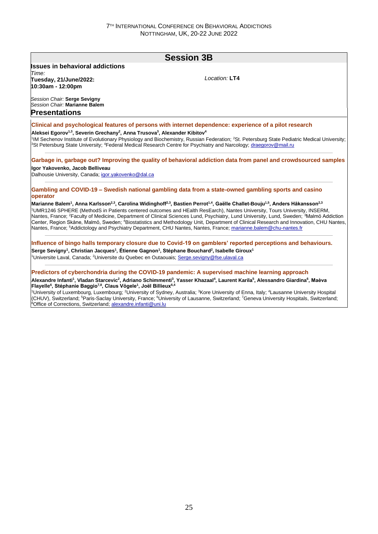## **Session 3B Issues in behavioral addictions** *Time:*  **Tuesday, 21/June/2022: 10:30am - 12:00pm** *Session Chair:* **Serge Sevigny** *Session Chair:* **Marianne Balem** *Location:* **LT4 Presentations Clinical and psychological features of persons with internet dependence: experience of a pilot research Aleksei Egorov1,3, Severin Grechany<sup>2</sup> , Anna Trusova<sup>3</sup> , Alexander Kibitov<sup>4</sup>** <sup>1</sup>IM Sechenov Institute of Evolutionary Physiology and Biochemistry, Russian Federation; <sup>2</sup>St. Petersburg State Pediatric Medical University; <sup>3</sup>St Petersburg State University; <sup>4</sup>Federal Medical Research Centre for Psychiatry and Narcology; draegorov@mail.ru **Garbage in, garbage out? Improving the quality of behavioral addiction data from panel and crowdsourced samples Igor Yakovenko, Jacob Belliveau** Dalhousie University, Canada; igor.yakovenko@dal.ca **Gambling and COVID-19 – Swedish national gambling data from a state-owned gambling sports and casino operator Marianne Balem<sup>1</sup> , Anna Karlsson2,3, Carolina Widinghoff2,3, Bastien Perrot1,4, Gaëlle Challet-Bouju1,5, Anders Håkansson2,3** <sup>1</sup>UMR1246 SPHERE (MethodS in Patients centered outcomes and HEalth ResEarch), Nantes University, Tours University, INSERM, Nantes, France; <sup>2</sup>Faculty of Medicine, Department of Clinical Sciences Lund, Psychiatry, Lund University, Lund, Sweden; <sup>3</sup>Malmö Addiction Center, Region Skåne, Malmö, Sweden; <sup>4</sup>Biostatistics and Methodology Unit, Department of Clinical Research and Innovation, CHU Nantes, Nantes, France; <sup>5</sup>Addictology and Psychiatry Department, CHU Nantes, Nantes, France; marianne.balem@chu-nantes.fr **Influence of bingo halls temporary closure due to Covid-19 on gamblers' reported perceptions and behaviours. Serge Sevigny<sup>1</sup> , Christian Jacques<sup>1</sup> , Étienne Gagnon<sup>1</sup> , Stéphane Bouchard<sup>2</sup> , Isabelle Giroux<sup>1</sup>** <sup>1</sup>Universite Laval, Canada; <sup>2</sup>Universite du Quebec en Outaouais; Serge.sevigny@fse.ulaval.ca **Predictors of cyberchondria during the COVID-19 pandemic: A supervised machine learning approach Alexandre Infanti<sup>1</sup> , Vladan Starcevic<sup>2</sup> , Adriano Schimmenti<sup>3</sup> , Yasser Khazaal<sup>4</sup> , Laurent Karila<sup>5</sup> , Alessandro Giardina<sup>6</sup> , Maèva Flayelle<sup>6</sup> , Stéphanie Baggio7,8, Claus Vögele<sup>1</sup> , Joël Billieux6,4** <sup>1</sup>University of Luxembourg, Luxembourg; <sup>2</sup>University of Sydney, Australia; <sup>3</sup>Kore University of Enna, Italy; <sup>4</sup>Lausanne University Hospital (CHUV), Switzerland; <sup>5</sup>Paris-Saclay University, France; <sup>6</sup>University of Lausanne, Switzerland; <sup>7</sup>Geneva University Hospitals, Switzerland; <sup>8</sup>Office of Corrections, Switzerland; alexandre.infanti@uni.lu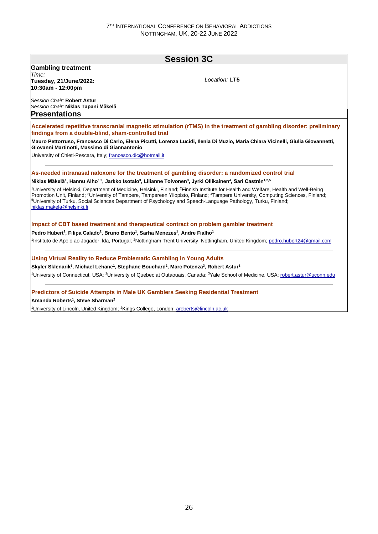## **Session 3C Gambling treatment** *Time:*  **Tuesday, 21/June/2022: 10:30am - 12:00pm** *Session Chair:* **Robert Astur** *Session Chair:* **Niklas Tapani Mäkelä** *Location:* **LT5 Presentations Accelerated repetitive transcranial magnetic stimulation (rTMS) in the treatment of gambling disorder: preliminary findings from a double-blind, sham-controlled trial Mauro Pettorruso, Francesco Di Carlo, Elena Picutti, Lorenza Lucidi, Ilenia Di Muzio, Maria Chiara Vicinelli, Giulia Giovannetti, Giovanni Martinotti, Massimo di Giannantonio** University of Chieti-Pescara, Italy; francesco.dic@hotmail.it **As-needed intranasal naloxone for the treatment of gambling disorder: a randomized control trial Niklas Mäkelä<sup>1</sup> , Hannu Alho1,2, Jarkko Isotalo<sup>3</sup> , Lilianne Toivonen<sup>3</sup> , Jyrki Ollikainen<sup>4</sup> , Sari Castrén1,2,5** <sup>1</sup>University of Helsinki, Department of Medicine, Helsinki, Finland: <sup>2</sup>Finnish Institute for Health and Welfare, Health and Well-Being Promotion Unit, Finland; <sup>3</sup>University of Tampere, Tampereen Yliopisto, Finland; <sup>4</sup>Tampere University, Computing Sciences, Finland; <sup>5</sup>University of Turku, Social Sciences Department of Psychology and Speech-Language Pathology, Turku, Finland; niklas.makela@helsinki.fi **Impact of CBT based treatment and therapeutical contract on problem gambler treatment Pedro Hubert<sup>1</sup> , Filipa Calado<sup>2</sup> , Bruno Bento<sup>1</sup> , Sarha Menezes<sup>1</sup> , Andre Fialho<sup>1</sup>** <sup>1</sup>Instituto de Apoio ao Jogador, Ida, Portugal; <sup>2</sup>Nottingham Trent University, Nottingham, United Kingdom; pedro.hubert24@gmail.com **Using Virtual Reality to Reduce Problematic Gambling in Young Adults Skyler Sklenarik<sup>1</sup> , Michael Lehane<sup>1</sup> , Stephane Bouchard<sup>2</sup> , Marc Potenza<sup>3</sup> , Robert Astur<sup>1</sup>** <sup>1</sup>University of Connecticut, USA; <sup>2</sup>University of Quebec at Outaouais, Canada; <sup>3</sup>Yale School of Medicine, USA; robert.astur@uconn.edu **Predictors of Suicide Attempts in Male UK Gamblers Seeking Residential Treatment Amanda Roberts<sup>1</sup> , Steve Sharman<sup>2</sup>** <sup>1</sup>University of Lincoln, United Kingdom; <sup>2</sup>Kings College, London; aroberts@lincoln.ac.uk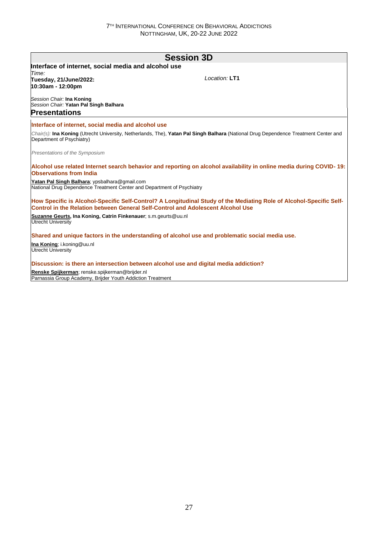| <b>Session 3D</b>                                                                                                                                                                                      |               |  |
|--------------------------------------------------------------------------------------------------------------------------------------------------------------------------------------------------------|---------------|--|
| Interface of internet, social media and alcohol use                                                                                                                                                    |               |  |
| Time:<br>Tuesday, 21/June/2022:<br>10:30am - 12:00pm                                                                                                                                                   | Location: LT1 |  |
| Session Chair: Ina Koning<br>Session Chair: Yatan Pal Singh Balhara<br><b>Presentations</b>                                                                                                            |               |  |
| Interface of internet, social media and alcohol use                                                                                                                                                    |               |  |
| Chair(s): Ina Koning (Utrecht University, Netherlands, The), Yatan Pal Singh Balhara (National Drug Dependence Treatment Center and<br>Department of Psychiatry)                                       |               |  |
| Presentations of the Symposium                                                                                                                                                                         |               |  |
| Alcohol use related Internet search behavior and reporting on alcohol availability in online media during COVID-19:<br><b>Observations from India</b>                                                  |               |  |
| Yatan Pal Singh Balhara; ypsbalhara@gmail.com<br>National Drug Dependence Treatment Center and Department of Psychiatry                                                                                |               |  |
| How Specific is Alcohol-Specific Self-Control? A Longitudinal Study of the Mediating Role of Alcohol-Specific Self-<br>Control in the Relation between General Self-Control and Adolescent Alcohol Use |               |  |
| Suzanne Geurts, Ina Koning, Catrin Finkenauer; s.m.geurts@uu.nl<br>Utrecht University                                                                                                                  |               |  |
| Shared and unique factors in the understanding of alcohol use and problematic social media use.                                                                                                        |               |  |
| Ina Koning; i.koning@uu.nl<br><b>Utrecht University</b>                                                                                                                                                |               |  |
| Discussion: is there an intersection between alcohol use and digital media addiction?                                                                                                                  |               |  |
| Renske Spijkerman; renske.spijkerman@brijder.nl<br>Parnassia Group Academy, Brijder Youth Addiction Treatment                                                                                          |               |  |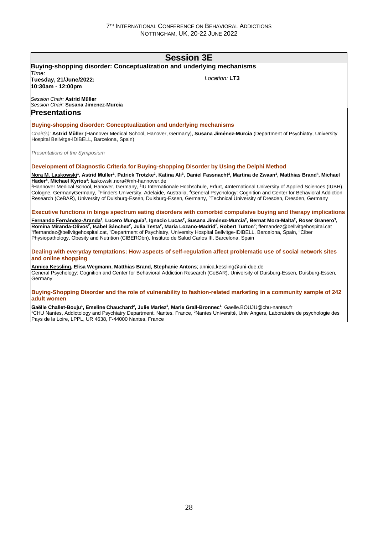## **Session 3E**

### **Buying-shopping disorder: Conceptualization and underlying mechanisms**

*Time:*  **Tuesday, 21/June/2022: 10:30am - 12:00pm**

*Location:* **LT3**

*Session Chair:* **Astrid Müller** *Session Chair:* **Susana Jimenez-Murcia Presentations**

#### **Buying-shopping disorder: Conceptualization and underlying mechanisms**

*Chair(s):* **Astrid Müller** (Hannover Medical School, Hanover, Germany), **Susana Jiménez-Murcia** (Department of Psychiatry, University Hospital Bellvitge-IDIBELL, Barcelona, Spain)

*Presentations of the Symposium*

#### **Development of Diagnostic Criteria for Buying-shopping Disorder by Using the Delphi Method**

<u>Nora M. Laskowski</u><sup>1</sup>, Astrid Müller<sup>1</sup>, Patrick Trotzke<sup>2</sup>, Katina Ali<sup>3</sup>, Daniel Fassnacht<sup>3</sup>, Martina de Zwaan<sup>1</sup>, Matthias Brand<sup>4</sup>, Michael **Häder<sup>5</sup> , Michael Kyrios<sup>3</sup>** ; laskowski.nora@mh-hannover.de

<sup>1</sup>Hannover Medical School, Hanover, Germany, <sup>2</sup>IU Internationale Hochschule, Erfurt, 4International University of Applied Sciences (IUBH), Cologne, GermanyGermany, <sup>3</sup>Flinders University, Adelaide, Australia, <sup>4</sup>General Psychology: Cognition and Center for Behavioral Addiction Research (CeBAR), University of Duisburg-Essen, Duisburg-Essen, Germany, <sup>5</sup>Technical University of Dresden, Dresden, Germany

#### **Executive functions in binge spectrum eating disorders with comorbid compulsive buying and therapy implications**

<u>Fernando Fernández-Aranda</u>1, Lucero Munguía<sup>2</sup>, Ignacio Lucas<sup>2</sup>, Susana Jiménez-Murcia<sup>2</sup>, Bernat Mora-Malta<sup>2</sup>, Roser Granero<sup>3</sup>, Romina Miranda-Olivos<sup>2</sup>, Isabel Sánchez<sup>2</sup>, Julia Testa<sup>2</sup>, Maria Lozano-Madrid<sup>2</sup>, Robert Turton<sup>2</sup>; ffernandez@bellvitgehospital.cat <sup>1</sup>ffernandez@bellvitgehospital.cat, <sup>2</sup>Department of Psychiatry, University Hospital Bellvitge-IDIBELL, Barcelona, Spain, <sup>3</sup>Ciber Physiopathology, Obesity and Nutrition (CIBERObn), Instituto de Salud Carlos III, Barcelona, Spain

#### **Dealing with everyday temptations: How aspects of self-regulation affect problematic use of social network sites and online shopping**

**Annica Kessling, Elisa Wegmann, Matthias Brand, Stephanie Antons**; annica.kessling@uni-due.de General Psychology: Cognition and Center for Behavioral Addiction Research (CeBAR), University of Duisburg-Essen, Duisburg-Essen, Germany

#### **Buying-Shopping Disorder and the role of vulnerability to fashion-related marketing in a community sample of 242 adult women**

**Gaëlle Challet-Bouju<sup>1</sup> , Emeline Chauchard<sup>2</sup> , Julie Mariez<sup>1</sup> , Marie Grall-Bronnec<sup>1</sup>** ; Gaelle.BOUJU@chu-nantes.fr <sup>1</sup>CHU Nantes, Addictology and Psychiatry Department, Nantes, France, <sup>2</sup>Nantes Université, Univ Angers, Laboratoire de psychologie des Pays de la Loire, LPPL, UR 4638, F-44000 Nantes, France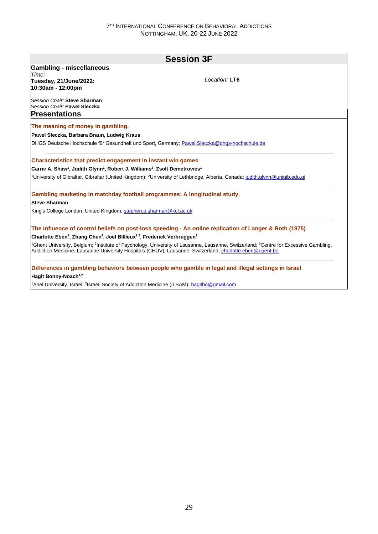| <b>Session 3F</b>                                                                                                          |                                                                                                                                                                                                                                                                                      |  |  |  |
|----------------------------------------------------------------------------------------------------------------------------|--------------------------------------------------------------------------------------------------------------------------------------------------------------------------------------------------------------------------------------------------------------------------------------|--|--|--|
| <b>Gambling - miscellaneous</b>                                                                                            |                                                                                                                                                                                                                                                                                      |  |  |  |
| Time:                                                                                                                      | Location: LT6                                                                                                                                                                                                                                                                        |  |  |  |
| Tuesday, 21/June/2022:<br>10:30am - 12:00pm                                                                                |                                                                                                                                                                                                                                                                                      |  |  |  |
| Session Chair: Steve Sharman<br>Session Chair: Pawel Sleczka                                                               |                                                                                                                                                                                                                                                                                      |  |  |  |
| <b>Presentations</b>                                                                                                       |                                                                                                                                                                                                                                                                                      |  |  |  |
| The meaning of money in gambling.                                                                                          |                                                                                                                                                                                                                                                                                      |  |  |  |
| Pawel Sleczka, Barbara Braun, Ludwig Kraus                                                                                 |                                                                                                                                                                                                                                                                                      |  |  |  |
| DHGS Deutsche Hochschule für Gesundheit und Sport, Germany; Pawel.Sleczka@dhgs-hochschule.de                               |                                                                                                                                                                                                                                                                                      |  |  |  |
| Characteristics that predict engagement in instant win games                                                               |                                                                                                                                                                                                                                                                                      |  |  |  |
| Carrie A. Shaw <sup>1</sup> , Judith Glynn <sup>1</sup> , Robert J. Williams <sup>2</sup> , Zsolt Demetrovics <sup>1</sup> |                                                                                                                                                                                                                                                                                      |  |  |  |
|                                                                                                                            | <sup>1</sup> University of Gibraltar, Gibraltar (United Kingdom); <sup>2</sup> University of Lethbridge, Alberta, Canada; judith.glynn@unigib.edu.gi                                                                                                                                 |  |  |  |
| Gambling marketing in matchday football programmes: A longitudinal study.                                                  |                                                                                                                                                                                                                                                                                      |  |  |  |
| <b>Steve Sharman</b>                                                                                                       |                                                                                                                                                                                                                                                                                      |  |  |  |
| King's College London, United Kingdom; stephen.p.sharman@kcl.ac.uk                                                         |                                                                                                                                                                                                                                                                                      |  |  |  |
|                                                                                                                            | The influence of control beliefs on post-loss speeding - An online replication of Langer & Roth (1975)                                                                                                                                                                               |  |  |  |
| Charlotte Eben <sup>1</sup> , Zhang Chen <sup>1</sup> , Joël Billieux <sup>2,3</sup> , Frederick Verbruggen <sup>1</sup>   |                                                                                                                                                                                                                                                                                      |  |  |  |
|                                                                                                                            | <sup>1</sup> Ghent University, Belgium; <sup>2</sup> Institute of Psychology, University of Lausanne, Lausanne, Switzerland; <sup>3</sup> Centre for Excessive Gambling,<br>Addiction Medicine, Lausanne University Hospitals (CHUV), Lausanne, Switzerland; charlotte.eben@ugent.be |  |  |  |
|                                                                                                                            | Differences in gambling behaviors between people who gamble in legal and illegal settings in Israel                                                                                                                                                                                  |  |  |  |
| Hagit Bonny-Noach <sup>1,2</sup>                                                                                           |                                                                                                                                                                                                                                                                                      |  |  |  |

<sup>1</sup>Ariel University, Israel; <sup>2</sup>Israeli Society of Addiction Medicine (ILSAM); hagitbo@gmail.com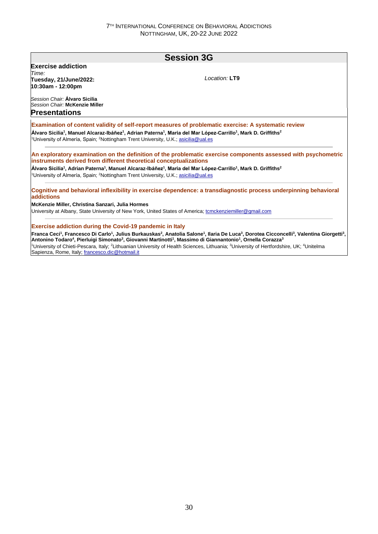### **Session 3G Exercise addiction** *Time:*  **Tuesday, 21/June/2022: 10:30am - 12:00pm** *Session Chair:* **Álvaro Sicilia** *Session Chair:* **McKenzie Miller** *Location:* **LT9 Presentations Examination of content validity of self-report measures of problematic exercise: A systematic review Álvaro Sicilia<sup>1</sup> , Manuel Alcaraz-Ibáñez<sup>1</sup> , Adrian Paterna<sup>1</sup> , Maria del Mar López-Carrillo<sup>1</sup> , Mark D. Griffiths<sup>2</sup>** <sup>1</sup>University of Almería, Spain; <sup>2</sup>Nottingham Trent University, U.K.; asicilia@ual.es **An exploratory examination on the definition of the problematic exercise components assessed with psychometric instruments derived from different theoretical conceptualizations Álvaro Sicilia<sup>1</sup> , Adrian Paterna<sup>1</sup> , Manuel Alcaraz-Ibáñez<sup>1</sup> , Maria del Mar López-Carrillo<sup>1</sup> , Mark D. Griffiths<sup>2</sup>** <sup>1</sup>University of Almería, Spain; <sup>2</sup>Nottingham Trent University, U.K.; asicilia@ual.es **Cognitive and behavioral inflexibility in exercise dependence: a transdiagnostic process underpinning behavioral addictions McKenzie Miller, Christina Sanzari, Julia Hormes** University at Albany, State University of New York, United States of America; tomckenziemiller@gmail.com **Exercise addiction during the Covid-19 pandemic in Italy** Franca Ceci<sup>1</sup>, Francesco Di Carlo<sup>1</sup>, Julius Burkauskas<sup>2</sup>, Anatolia Salone<sup>1</sup>, Ilaria De Luca<sup>3</sup>, Dorotea Cicconcelli<sup>3</sup>, Valentina Giorgetti<sup>3</sup>, **Antonino Todaro<sup>4</sup> , Pierluigi Simonato<sup>3</sup> , Giovanni Martinotti<sup>1</sup> , Massimo di Giannantonio<sup>1</sup> , Ornella Corazza<sup>3</sup>** <sup>1</sup>University of Chieti-Pescara, Italy; <sup>2</sup>Lithuanian University of Health Sciences, Lithuania; <sup>3</sup>University of Hertfordshire, UK; <sup>4</sup>Unitelma Sapienza, Rome, Italy; francesco.dic@hotmail.it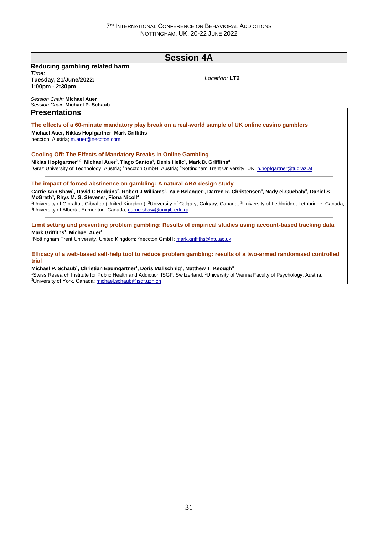| <b>Session 4A</b>                                                                                                                                                                                                                                                                                                                                                                                 |                                                                                                                                                                                                          |  |  |  |
|---------------------------------------------------------------------------------------------------------------------------------------------------------------------------------------------------------------------------------------------------------------------------------------------------------------------------------------------------------------------------------------------------|----------------------------------------------------------------------------------------------------------------------------------------------------------------------------------------------------------|--|--|--|
| Reducing gambling related harm                                                                                                                                                                                                                                                                                                                                                                    |                                                                                                                                                                                                          |  |  |  |
| Time:<br>Tuesday, 21/June/2022:<br>$1:00 \text{pm} - 2:30 \text{pm}$                                                                                                                                                                                                                                                                                                                              | Location: LT2                                                                                                                                                                                            |  |  |  |
| Session Chair: Michael Auer<br>Session Chair: Michael P. Schaub                                                                                                                                                                                                                                                                                                                                   |                                                                                                                                                                                                          |  |  |  |
| <b>Presentations</b>                                                                                                                                                                                                                                                                                                                                                                              |                                                                                                                                                                                                          |  |  |  |
| Michael Auer, Niklas Hopfgartner, Mark Griffiths<br>neccton, Austria; m.auer@neccton.com                                                                                                                                                                                                                                                                                                          | The effects of a 60-minute mandatory play break on a real-world sample of UK online casino gamblers                                                                                                      |  |  |  |
| <b>Cooling Off: The Effects of Mandatory Breaks in Online Gambling</b><br>Niklas Hopfgartner <sup>1,2</sup> , Michael Auer <sup>2</sup> , Tiago Santos <sup>1</sup> , Denis Helic <sup>1</sup> , Mark D. Griffiths <sup>3</sup><br><sup>1</sup> Graz University of Technology, Austria; <sup>2</sup> neccton GmbH, Austria; <sup>3</sup> Nottingham Trent University, UK; n.hopfgartner@tugraz.at |                                                                                                                                                                                                          |  |  |  |
| The impact of forced abstinence on gambling: A natural ABA design study                                                                                                                                                                                                                                                                                                                           |                                                                                                                                                                                                          |  |  |  |
| McGrath <sup>3</sup> , Rhys M. G. Stevens <sup>3</sup> , Fiona Nicoll <sup>4</sup>                                                                                                                                                                                                                                                                                                                | Carrie Ann Shaw <sup>1</sup> , David C Hodgins <sup>2</sup> , Robert J Williams <sup>3</sup> , Yale Belanger <sup>3</sup> , Darren R. Christensen <sup>3</sup> , Nady el-Guebaly <sup>3</sup> , Daniel S |  |  |  |
| <sup>4</sup> University of Alberta, Edmonton, Canada; carrie.shaw@unigib.edu.gi                                                                                                                                                                                                                                                                                                                   | <sup>1</sup> University of Gibraltar, Gibraltar (United Kingdom); <sup>2</sup> University of Calgary, Calgary, Canada; <sup>3</sup> University of Lethbridge, Lethbridge, Canada;                        |  |  |  |
|                                                                                                                                                                                                                                                                                                                                                                                                   | Limit setting and preventing problem gambling: Results of empirical studies using account-based tracking data                                                                                            |  |  |  |
| Mark Griffiths <sup>1</sup> , Michael Auer <sup>2</sup><br><sup>1</sup> Nottingham Trent University, United Kingdom; <sup>2</sup> neccton GmbH; mark.griffiths@ntu.ac.uk                                                                                                                                                                                                                          |                                                                                                                                                                                                          |  |  |  |
| trial                                                                                                                                                                                                                                                                                                                                                                                             | Efficacy of a web-based self-help tool to reduce problem gambling: results of a two-armed randomised controlled                                                                                          |  |  |  |
| Michael P. Schaub <sup>1</sup> , Christian Baumgartner <sup>1</sup> , Doris Malischnig <sup>2</sup> , Matthew T. Keough <sup>3</sup><br><sup>3</sup> University of York, Canada; michael.schaub@isgf.uzh.ch                                                                                                                                                                                       | <sup>1</sup> Swiss Research Institute for Public Health and Addiction ISGF, Switzerland; <sup>2</sup> University of Vienna Faculty of Psychology, Austria;                                               |  |  |  |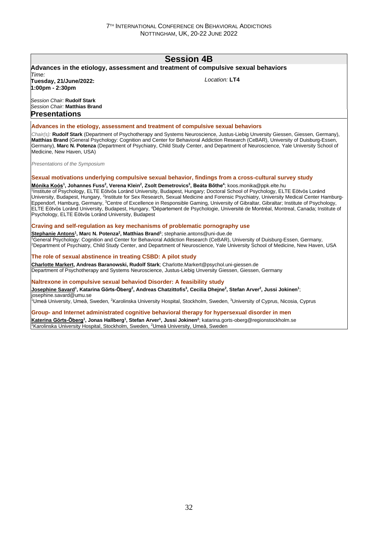## **Session 4B**

#### **Advances in the etiology, assessment and treatment of compulsive sexual behaviors** *Time:*

**Tuesday, 21/June/2022: 1:00pm - 2:30pm**

*Location:* **LT4**

*Session Chair:* **Rudolf Stark** *Session Chair:* **Matthias Brand Presentations**

#### **Advances in the etiology, assessment and treatment of compulsive sexual behaviors**

*Chair(s):* **Rudolf Stark** (Department of Psychotherapy and Systems Neuroscience, Justus-Liebig Unversity Giessen, Giessen, Germany), **Matthias Brand** (General Psychology: Cognition and Center for Behavioral Addiction Research (CeBAR), University of Duisburg-Essen, Germany), **Marc N. Potenza** (Department of Psychiatry, Child Study Center, and Department of Neuroscience, Yale University School of Medicine, New Haven, USA)

*Presentations of the Symposium*

#### **Sexual motivations underlying compulsive sexual behavior, findings from a cross-cultural survey study**

Mónika Koós<sup>1</sup>, Johannes Fuss<sup>2</sup>, Verena Klein<sup>2</sup>, Zsolt Demetrovics<sup>3</sup>, Beáta Bőthe<sup>4</sup>; koos.monika@ppk.elte.hu 1 Institute of Psychology, ELTE Eötvös Loránd University, Budapest, Hungary; Doctoral School of Psychology, ELTE Eötvös Loránd University, Budapest, Hungary, <sup>2</sup>Institute for Sex Research, Sexual Medicine and Forensic Psychiatry, University Medical Center Hamburg-Eppendorf, Hamburg, Germany, <sup>3</sup>Centre of Excellence in Responsible Gaming, University of Gibraltar, Gibraltar; Institute of Psychology, ELTE Eötvös Loránd University, Budapest, Hungary, <sup>4</sup>Département de Psychologie, Université de Montréal, Montreal, Canada; Institute of Psychology, ELTE Eötvös Loránd University, Budapest

#### **Craving and self-regulation as key mechanisms of problematic pornography use**

**Stephanie Antons<sup>1</sup> , Marc N. Potenza<sup>2</sup> , Matthias Brand<sup>1</sup>** ; stephanie.antons@uni-due.de <sup>1</sup>General Psychology: Cognition and Center for Behavioral Addiction Research (CeBAR), University of Duisburg-Essen, Germany, <sup>2</sup>Department of Psychiatry, Child Study Center, and Department of Neuroscience, Yale University School of Medicine, New Haven, USA

#### **The role of sexual abstinence in treating CSBD: A pilot study**

**Charlotte Markert, Andreas Baranowski, Rudolf Stark**; Charlotte.Markert@psychol.uni-giessen.de Department of Psychotherapy and Systems Neuroscience, Justus-Liebig Unversity Giessen, Giessen, Germany

#### **Naltrexone in compulsive sexual behaviod Disorder: A feasibility study**

<u>Josephine Savard</u>1, Katarina Görts-Öberg<sup>2</sup>, Andreas Chatzittofis<sup>3</sup>, Cecilia Dhejne<sup>2</sup>, Stefan Arver<sup>2</sup>, Jussi Jokinen<sup>1</sup>; josephine.savard@umu.se

1Umeå University, Umeå, Sweden, <sup>2</sup>Karolinska University Hospital, Stockholm, Sweden, <sup>3</sup>University of Cyprus, Nicosia, Cyprus

#### **Group- and Internet administrated cognitive behavioral therapy for hypersexual disorder in men**

**Katerina Görts-Öberg<sup>1</sup> , Jonas Hallberg<sup>1</sup> , Stefan Arver<sup>1</sup> , Jussi Jokinen<sup>2</sup>** ; katarina.gorts-oberg@regionstockholm.se <sup>1</sup>Karolinska University Hospital, Stockholm, Sweden, <sup>2</sup>Umeå University, Umeå, Sweden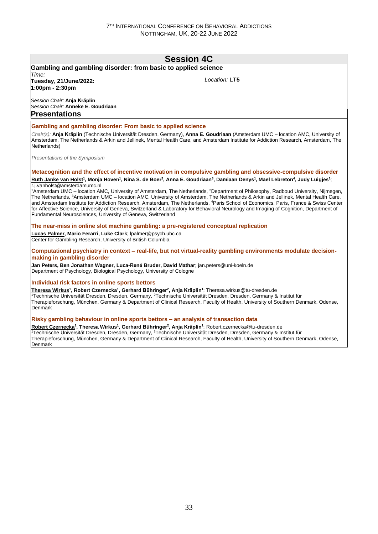## **Session 4C**

#### **Gambling and gambling disorder: from basic to applied science** *Time:*

**Tuesday, 21/June/2022: 1:00pm - 2:30pm**

*Location:* **LT5**

*Session Chair:* **Anja Kräplin** *Session Chair:* **Anneke E. Goudriaan Presentations**

#### **Gambling and gambling disorder: From basic to applied science**

*Chair(s):* **Anja Kräplin** (Technische Universität Dresden, Germany), **Anna E. Goudriaan** (Amsterdam UMC – location AMC, University of Amsterdam, The Netherlands & Arkin and Jellinek, Mental Health Care, and Amsterdam Institute for Addiction Research, Amsterdam, The Netherlands)

*Presentations of the Symposium*

#### **Metacognition and the effect of incentive motivation in compulsive gambling and obsessive-compulsive disorder** <u>Ruth Janke van Holst</u><sup>1</sup>, Monja Hoven<sup>1</sup>, Nina S. de Boer<sup>2</sup>, Anna E. Goudriaan<sup>3</sup>, Damiaan Denys<sup>1</sup>, Mael Lebreton<sup>4</sup>, Judy Luigjes<sup>1</sup>; r.j.vanholst@amsterdamumc.nl

<sup>1</sup>Amsterdam UMC – location AMC, University of Amsterdam, The Netherlands, <sup>2</sup>Department of Philosophy, Radboud University, Nijmegen, The Netherlands, <sup>3</sup>Amsterdam UMC – location AMC, University of Amsterdam, The Netherlands & Arkin and Jellinek, Mental Health Care, and Amsterdam Institute for Addiction Research, Amsterdam, The Netherlands, <sup>4</sup>Paris School of Economics, Paris, France & Swiss Center for Affective Science, University of Geneva, Switzerland & Laboratory for Behavioral Neurology and Imaging of Cognition, Department of Fundamental Neurosciences, University of Geneva, Switzerland

#### **The near-miss in online slot machine gambling: a pre-registered conceptual replication**

**Lucas Palmer, Mario Ferarri, Luke Clark**; lpalmer@psych.ubc.ca Center for Gambling Research, University of British Columbia

**Computational psychiatry in context – real-life, but not virtual-reality gambling environments modulate decisionmaking in gambling disorder**

**Jan Peters, Ben Jonathan Wagner, Luca-René Bruder, David Mathar**; jan.peters@uni-koeln.de Department of Psychology, Biological Psychology, University of Cologne

#### **Individual risk factors in online sports bettors**

**Theresa Wirkus<sup>1</sup> , Robert Czernecka<sup>1</sup> , Gerhard Bühringer<sup>2</sup> , Anja Kräplin<sup>1</sup>** ; Theresa.wirkus@tu-dresden.de 111 Stephanische Universität Dresden, Dresden, Germany, <sup>2</sup>Technische Universität Dresden, Dresden, Germany & Institut für<br>Technische Universität Dresden, Dresden, Germany, <sup>2</sup>Technische Universität Dresden, Dresden, Germa Therapieforschung, München, Germany & Department of Clinical Research, Faculty of Health, University of Southern Denmark, Odense, **Denmark** 

#### **Risky gambling behaviour in online sports bettors – an analysis of transaction data**

**Robert Czernecka<sup>1</sup> , Theresa Wirkus<sup>1</sup> , Gerhard Bühringer<sup>2</sup> , Anja Kräplin<sup>1</sup>** ; Robert.czernecka@tu-dresden.de <sup>1</sup>Technische Universität Dresden, Dresden, Germany, <sup>2</sup>Technische Universität Dresden, Dresden, Germany & Institut für Therapieforschung, München, Germany & Department of Clinical Research, Faculty of Health, University of Southern Denmark, Odense, Denmark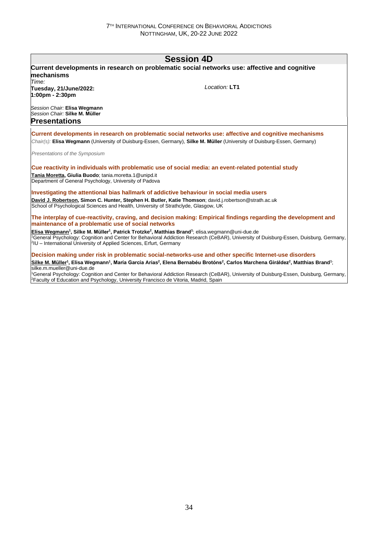## **Session 4D**

| mechanisms<br>Time:                                                                                                                                                                                                                  | Current developments in research on problematic social networks use: affective and cognitive                                                                                                              |
|--------------------------------------------------------------------------------------------------------------------------------------------------------------------------------------------------------------------------------------|-----------------------------------------------------------------------------------------------------------------------------------------------------------------------------------------------------------|
| Tuesday, 21/June/2022:<br>$1:00 \text{pm} - 2:30 \text{pm}$                                                                                                                                                                          | $I$ ocation: $LT1$                                                                                                                                                                                        |
| Session Chair: Elisa Wegmann<br>Session Chair: Silke M. Müller                                                                                                                                                                       |                                                                                                                                                                                                           |
| <b>Presentations</b>                                                                                                                                                                                                                 |                                                                                                                                                                                                           |
|                                                                                                                                                                                                                                      | Current developments in research on problematic social networks use: affective and cognitive mechanisms                                                                                                   |
|                                                                                                                                                                                                                                      | Chair(s): Elisa Wegmann (University of Duisburg-Essen, Germany), Silke M. Müller (University of Duisburg-Essen, Germany)                                                                                  |
| Presentations of the Symposium                                                                                                                                                                                                       |                                                                                                                                                                                                           |
|                                                                                                                                                                                                                                      | Cue reactivity in individuals with problematic use of social media: an event-related potential study                                                                                                      |
| Tania Moretta, Giulia Buodo; tania.moretta.1@unipd.it<br>Department of General Psychology, University of Padova                                                                                                                      |                                                                                                                                                                                                           |
|                                                                                                                                                                                                                                      | Investigating the attentional bias hallmark of addictive behaviour in social media users                                                                                                                  |
| School of Psychological Sciences and Health, University of Strathclyde, Glasgow, UK                                                                                                                                                  | David J. Robertson, Simon C. Hunter, Stephen H. Butler, Katie Thomson; david.j.robertson@strath.ac.uk                                                                                                     |
| maintenance of a problematic use of social networks                                                                                                                                                                                  | The interplay of cue-reactivity, craving, and decision making: Empirical findings regarding the development and                                                                                           |
| Elisa Wegmann <sup>1</sup> , Silke M. Müller <sup>1</sup> , Patrick Trotzke <sup>2</sup> , Matthias Brand <sup>1</sup> ; elisa wegmann@uni-due.de<br><sup>2</sup> IU – International University of Applied Sciences, Erfurt, Germany | <sup>1</sup> General Psychology: Cognition and Center for Behavioral Addiction Research (CeBAR), University of Duisburg-Essen, Duisburg, Germany,                                                         |
|                                                                                                                                                                                                                                      | Decision making under risk in problematic social-networks-use and other specific Internet-use disorders                                                                                                   |
| silke.m.mueller@uni-due.de                                                                                                                                                                                                           | Silke M. Müller <sup>1</sup> , Elisa Wegmann <sup>1</sup> , María García Arias <sup>2</sup> , Elena Bernabéu Brotóns <sup>2</sup> , Carlos Marchena Giráldez <sup>2</sup> , Matthias Brand <sup>1</sup> ; |

<sup>1</sup>General Psychology: Cognition and Center for Behavioral Addiction Research (CeBAR), University of Duisburg-Essen, Duisburg, Germany, <sup>2</sup>Faculty of Education and Psychology, University Francisco de Vitoria, Madrid, Spain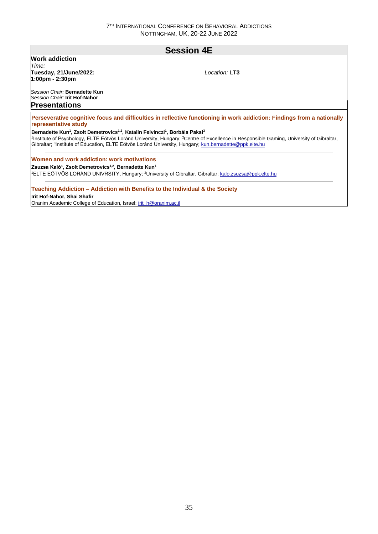## **Session 4E**

#### **Work addiction**

*Time:*  **Tuesday, 21/June/2022: 1:00pm - 2:30pm**

*Location:* **LT3**

*Session Chair:* **Bernadette Kun** *Session Chair:* **Irit Hof-Nahor**

### **Presentations**

**Perseverative cognitive focus and difficulties in reflective functioning in work addiction: Findings from a nationally representative study**

**Bernadette Kun<sup>1</sup> , Zsolt Demetrovics1,2, Katalin Felvinczi<sup>1</sup> , Borbála Paksi<sup>3</sup>**

<sup>1</sup>Institute of Psychology, ELTE Eötvös Loránd University, Hungary; <sup>2</sup>Centre of Excellence in Responsible Gaming, University of Gibraltar, Gibraltar; <sup>3</sup>Institute of Education, ELTE Eötvös Loránd University, Hungary; kun.bernadette@ppk.elte.hu

**Women and work addiction: work motivations**

**Zsuzsa Kaló<sup>1</sup> , Zsolt Demetrovics1,2, Bernadette Kun<sup>1</sup>**

<sup>1</sup>ELTE EÖTVÖS LORÁND UNIVRSITY, Hungary; <sup>2</sup>University of Gibraltar, Gibraltar; kalo.zsuzsa@ppk.elte.hu

#### **Teaching Addiction – Addiction with Benefits to the Individual & the Society**

**Irit Hof-Nahor, Shai Shafir**

Oranim Academic College of Education, Israel; irit\_h@oranim.ac.il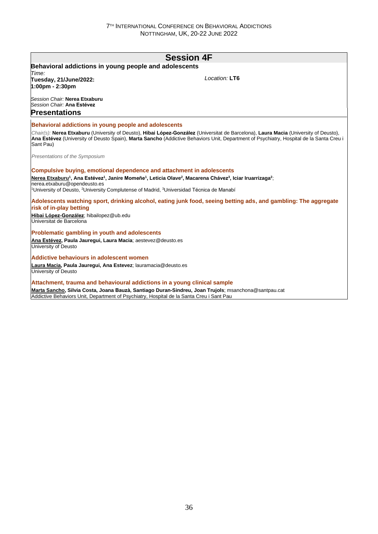| <b>Session 4F</b>                                                                                                                                                                                                                                                                             |                                                                                                                                                                                    |  |  |
|-----------------------------------------------------------------------------------------------------------------------------------------------------------------------------------------------------------------------------------------------------------------------------------------------|------------------------------------------------------------------------------------------------------------------------------------------------------------------------------------|--|--|
| Behavioral addictions in young people and adolescents                                                                                                                                                                                                                                         |                                                                                                                                                                                    |  |  |
| Time:<br>Tuesday, 21/June/2022:<br>1:00pm - 2:30pm                                                                                                                                                                                                                                            | Location: LT6                                                                                                                                                                      |  |  |
| Session Chair: Nerea Etxaburu<br>Session Chair: Ana Estévez                                                                                                                                                                                                                                   |                                                                                                                                                                                    |  |  |
| <b>Presentations</b>                                                                                                                                                                                                                                                                          |                                                                                                                                                                                    |  |  |
| Behavioral addictions in young people and adolescents                                                                                                                                                                                                                                         |                                                                                                                                                                                    |  |  |
| Chair(s): Nerea Etxaburu (University of Deusto), Hibai López-González (Universitat de Barcelona), Laura Macia (University of Deusto),<br>Ana Estévez (University of Deusto Spain), Marta Sancho (Addictive Behaviors Unit, Department of Psychiatry, Hospital de la Santa Creu i<br>Sant Pau) |                                                                                                                                                                                    |  |  |
| Presentations of the Symposium                                                                                                                                                                                                                                                                |                                                                                                                                                                                    |  |  |
| <b>Compulsive buying, emotional dependence and attachment in adolescents</b><br>nerea.etxaburu@opendeusto.es<br><sup>1</sup> University of Deusto, <sup>2</sup> University Complutense of Madrid, <sup>3</sup> Universidad Técnica de Manabí                                                  | Nerea Etxaburu <sup>1</sup> , Ana Estévez <sup>1</sup> , Janire Momeñe <sup>1</sup> , Leticia Olave <sup>2</sup> , Macarena Chávez <sup>3</sup> , Iciar Iruarrizaga <sup>2</sup> ; |  |  |
| risk of in-play betting                                                                                                                                                                                                                                                                       | Adolescents watching sport, drinking alcohol, eating junk food, seeing betting ads, and gambling: The aggregate                                                                    |  |  |
| Hibai López-González; hibailopez@ub.edu<br>Universitat de Barcelona                                                                                                                                                                                                                           |                                                                                                                                                                                    |  |  |
| Problematic gambling in youth and adolescents                                                                                                                                                                                                                                                 |                                                                                                                                                                                    |  |  |
| Ana Estévez, Paula Jaurequi, Laura Macia; aestevez@deusto.es<br>University of Deusto                                                                                                                                                                                                          |                                                                                                                                                                                    |  |  |
| Addictive behaviours in adolescent women                                                                                                                                                                                                                                                      |                                                                                                                                                                                    |  |  |
| Laura Macia, Paula Jaurequi, Ana Estevez; lauramacia@deusto.es<br>University of Deusto                                                                                                                                                                                                        |                                                                                                                                                                                    |  |  |
| Attachment, trauma and behavioural addictions in a young clinical sample                                                                                                                                                                                                                      |                                                                                                                                                                                    |  |  |

**Marta Sancho, Silvia Costa, Joana Bauzà, Santiago Duran-Sindreu, Joan Trujols**; msanchona@santpau.cat Addictive Behaviors Unit, Department of Psychiatry, Hospital de la Santa Creu i Sant Pau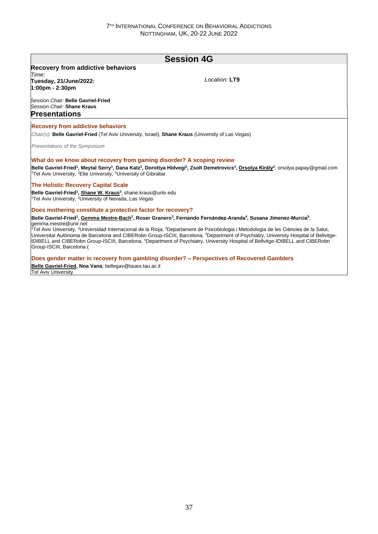# **Session 4G Recovery from addictive behaviors** *Time:*  **Tuesday, 21/June/2022: 1:00pm - 2:30pm** *Session Chair:* **Belle Gavriel-Fried** *Session Chair:* **Shane Kraus** *Location:* **LT9 Presentations Recovery from addictive behaviors** *Chair(s):* **Belle Gavriel-Fried** (Tel Aviv University, Israel), **Shane Kraus** (University of Las Vegas) *Presentations of the Symposium* **What do we know about recovery from gaming disorder? A scoping review** Belle Gavriel-Fried<sup>1</sup>, Meytal Serry<sup>1</sup>, Dana Katz<sup>2</sup>, Dorottya Hidvegi<sup>2</sup>, Zsolt Demetrovics<sup>3</sup>, <u>Orsolya Király</u><sup>2</sup>; orsolya papay@gmail.com <sup>1</sup>Tel Aviv University, <sup>2</sup>Elte University, <sup>3</sup>University of Gibraltar **The Holistic Recovery Capital Scale Belle Gavriel-Fried<sup>1</sup> , Shane W. Kraus<sup>2</sup>** ; shane.kraus@unlv.edu <sup>1</sup>Tel Aviv University, <sup>2</sup>University of Nevada, Las Vegas **Does mothering constitute a protective factor for recovery?** Belle Gavriel-Fried<sup>1</sup>, <u>Gemma Mestre-Bach<sup>2</sup>,</u> Roser Granero<sup>3</sup>, Fernando Fernández-Aranda<sup>4</sup>, Susana Jimenez-Murcia<sup>5</sup>; gemma.mestre@unir.net <sup>7</sup>Tel Aviv University, <sup>2</sup>Universidad Internacional de la Rioja, <sup>3</sup>Departament de Psicobiologia i Metodologia de les Ciències de la Salut, Universitat Autònoma de Barcelona and CIBERobn Group-ISCIII, Barcelona, <sup>4</sup>Department of Psychiatry, University Hospital of Bellvitge-IDIBELL and CIBERobn Group-ISCIII, Barcelona, <sup>5</sup>Department of Psychiatry, University Hospital of Bellvitge-IDIBELL and CIBERobn Group-ISCIII, Barcelona ( **Does gender matter in recovery from gambling disorder? – Perspectives of Recovered Gamblers**

**Belle Gavriel-Fried, Noa Vana**; bellegav@tauex.tau.ac.il Tel Aviv University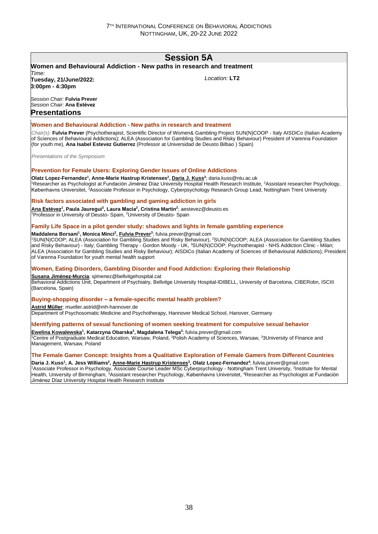# **Session 5A**

# **Women and Behavioural Addiction - New paths in research and treatment**

*Time:*  **Tuesday, 21/June/2022: 3:00pm - 4:30pm**

*Location:* **LT2**

*Session Chair:* **Fulvia Prever** *Session Chair:* **Ana Estévez Presentations**

#### **Women and Behavioural Addiction - New paths in research and treatment**

*Chair(s):* **Fulvia Prever** (Psychotherapist, Scientific Director of Women& Gambling Project SUN(N)COOP - Italy AISDiCo (Italian Academy of Sciences of Behavioural Addictions); ALEA (Association for Gambling Studies and Risky Behaviour) President of Varenna Foundation (for youth me), **Ana Isabel Estevez Gutierrez** (Professor at Universidad de Deusto Bilbao ) Spain)

*Presentations of the Symposium*

#### **Prevention for Female Users: Exploring Gender Issues of Online Addictions**

**Olatz Lopez-Fernandez<sup>1</sup> , Anne-Marie Hastrup Kristenses<sup>2</sup> , Daria J. Kuss<sup>3</sup>** ; daria.kuss@ntu.ac.uk <sup>1</sup>Researcher as Psychologist at Fundación Jiménez Díaz University Hospital Health Research Institute, <sup>2</sup>Assistant researcher Psychology, Københavns Universitet, <sup>3</sup>Associate Professor in Psychology, Cyberpsychology Research Group Lead, Nottingham Trent University

#### **Risk factors associated with gambling and gaming addiction in girls**

**Ana Estévez<sup>1</sup> , Paula Jauregui<sup>2</sup> , Laura Macía<sup>2</sup> , Cristina Martin<sup>2</sup>** ; aestevez@deusto.es <sup>1</sup>Professor in University of Deusto- Spain, <sup>2</sup>University of Deusto- Spain

#### **Family Life Space in a pilot gender study: shadows and lights in female gambling experience**

**Maddalena Borsani<sup>1</sup> , Monica Minci<sup>2</sup> , Fulvia Prever<sup>3</sup>** ; fulvia.prever@gmail.com

<sup>1</sup>SUN(N)COOP; ALEA (Association for Gambling Studies and Risky Behaviour), <sup>2</sup>SUN(N)COOP; ALEA (Association for Gambling Studies and Risky Behaviour) - Italy; Gambling Therapy - Gordon Moody - UK, <sup>3</sup>SUN(N)COOP; Psychotherapist - NHS Addiction Clinic - Milan; ALEA (Association for Gambling Studies and Risky Behaviour); AISDiCo (Italian Academy of Sciences of Behavioural Addictions); President of Varenna Foundation for youth mental health support

#### **Women, Eating Disorders, Gambling Disorder and Food Addiction: Exploring their Relationship**

**Susana Jiménez-Murcia**; sjimenez@bellvitgehospital.cat

Behavioral Addictions Unit, Department of Psychiatry, Bellvitge University Hospital-IDIBELL, University of Barcelona, CIBERobn, ISCIII (Barcelona, Spain)

#### **Buying-shopping disorder – a female-specific mental health problem?**

**Astrid Müller**; mueller.astrid@mh-hannover.de

Department of Psychosomatic Medicine and Psychotherapy, Hannover Medical School, Hanover, Germany

### **Identifying patterns of sexual functioning of women seeking treatment for compulsive sexual behavior**

**Ewelina Kowalewska<sup>1</sup> , Katarzyna Obarska<sup>2</sup> , Magdalena Telega<sup>3</sup>** ; fulvia.prever@gmail.com <sup>1</sup>Centre of Postgraduate Medical Education, Warsaw, Poland, <sup>2</sup>Polish Academy of Sciences, Warsaw, <sup>3</sup>3University of Finance and Management, Warsaw, Poland

### **The Female Gamer Concept: Insights from a Qualitative Exploration of Female Gamers from Different Countries**

Daria J. Kuss<sup>1</sup>, A. Jess Williams<sup>2</sup>, <u>Anne-Marie Hastrup Kristenses</u><sup>3</sup>, Olatz Lopez-Fernandez<sup>4</sup>; fulvia.prever@gmail.com <sup>1</sup>Associate Professor in Psychology, Associate Course Leader MSc Cyberpsychology - Nottingham Trent University, <sup>2</sup>Institute for Mental Health, University of Birmingham, <sup>3</sup>Assistant researcher Psychology, Københavns Universitet, <sup>4</sup>Researcher as Psychologist at Fundación Jiménez Díaz University Hospital Health Research Institute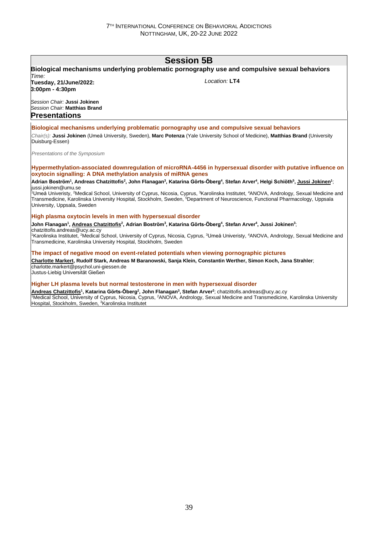# **Session 5B**

## **Biological mechanisms underlying problematic pornography use and compulsive sexual behaviors** *Time:*

**Tuesday, 21/June/2022: 3:00pm - 4:30pm**

*Location:* **LT4**

*Session Chair:* **Jussi Jokinen** *Session Chair:* **Matthias Brand Presentations**

# **Biological mechanisms underlying problematic pornography use and compulsive sexual behaviors**

*Chair(s):* **Jussi Jokinen** (Umeå University, Sweden), **Marc Potenza** (Yale University School of Medicine), **Matthias Brand** (University Duisburg-Essen)

*Presentations of the Symposium*

#### **Hypermethylation-associated downregulation of microRNA-4456 in hypersexual disorder with putative influence on oxytocin signalling: A DNA methylation analysis of miRNA genes**

#### Adrian Boström<sup>1</sup>, Andreas Chatzittofis<sup>2</sup>, John Flanagan<sup>3</sup>, Katarina Görts-Öberg<sup>4</sup>, Stefan Arver<sup>4</sup>, Helgi Schiöth<sup>5</sup>, <u>Jussi Jokinen</u>1;  $|$ iussi.iokinen@umu.se

<sup>1</sup>Umeå Univeristy, <sup>2</sup>Medical School, University of Cyprus, Nicosia, Cyprus, <sup>3</sup>Karolinska Institutet, <sup>4</sup>ANOVA, Andrology, Sexual Medicine and Transmedicine, Karolinska University Hospital, Stockholm, Sweden, <sup>5</sup>Department of Neuroscience, Functional Pharmacology, Uppsala University, Uppsala, Sweden

### **High plasma oxytocin levels in men with hypersexual disorder**

John Flanagan<sup>1</sup>, <u>Andreas Chatzittofis<sup>2</sup>,</u> Adrian Boström<sup>3</sup>, Katarina Görts-Öberg<sup>4</sup>, Stefan Arver<sup>4</sup>, Jussi Jokinen<sup>3</sup>; chatzittofis.andreas@ucy.ac.cy

<sup>1</sup>Karolinska Institutet, <sup>2</sup>Medical School, University of Cyprus, Nicosia, Cyprus, <sup>3</sup>Umeå Univeristy, <sup>4</sup>ANOVA, Andrology, Sexual Medicine and Transmedicine, Karolinska University Hospital, Stockholm, Sweden

### **The impact of negative mood on event-related potentials when viewing pornographic pictures**

**Charlotte Markert, Rudolf Stark, Andreas M Baranowski, Sanja Klein, Constantin Werther, Simon Koch, Jana Strahler**; charlotte.markert@psychol.uni-giessen.de

Justus-Liebig Universität Gießen

#### **Higher LH plasma levels but normal testosterone in men with hypersexual disorder**

**Andreas Chatzittofis<sup>1</sup> , Katarina Görts-Öberg<sup>2</sup> , John Flanagan<sup>3</sup> , Stefan Arver<sup>2</sup>** ; chatzittofis.andreas@ucy.ac.cy <sup>1</sup>Medical School, University of Cyprus, Nicosia, Cyprus, <sup>2</sup>ANOVA, Andrology, Sexual Medicine and Transmedicine, Karolinska University Hospital, Stockholm, Sweden, <sup>3</sup>Karolinska Institutet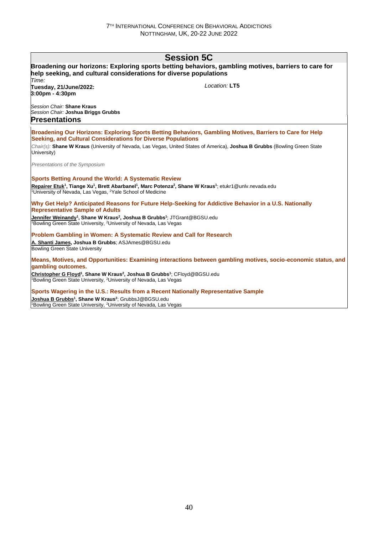| <b>Session 5C</b>                                                                                                                                                                                                                                          |               |
|------------------------------------------------------------------------------------------------------------------------------------------------------------------------------------------------------------------------------------------------------------|---------------|
| Broadening our horizons: Exploring sports betting behaviors, gambling motives, barriers to care for<br>help seeking, and cultural considerations for diverse populations<br>Time:                                                                          |               |
| Tuesday, 21/June/2022:<br>3:00pm - 4:30pm                                                                                                                                                                                                                  | Location: LT5 |
| Session Chair: Shane Kraus<br>Session Chair: Joshua Briggs Grubbs<br><b>Presentations</b>                                                                                                                                                                  |               |
|                                                                                                                                                                                                                                                            |               |
| Broadening Our Horizons: Exploring Sports Betting Behaviors, Gambling Motives, Barriers to Care for Help<br>Seeking, and Cultural Considerations for Diverse Populations                                                                                   |               |
| Chair(s): Shane W Kraus (University of Nevada, Las Vegas, United States of America), Joshua B Grubbs (Bowling Green State<br>University)                                                                                                                   |               |
| Presentations of the Symposium                                                                                                                                                                                                                             |               |
| <b>Sports Betting Around the World: A Systematic Review</b>                                                                                                                                                                                                |               |
| Repairer Etuk <sup>1</sup> , Tiange Xu <sup>1</sup> , Brett Abarbanel <sup>1</sup> , Marc Potenza <sup>2</sup> , Shane W Kraus <sup>1</sup> ; etukr1@unlv.nevada.edu<br><sup>1</sup> University of Nevada, Las Vegas, <sup>2</sup> Yale School of Medicine |               |
| Why Get Help? Anticipated Reasons for Future Help-Seeking for Addictive Behavior in a U.S. Nationally<br><b>Representative Sample of Adults</b>                                                                                                            |               |
| Jennifer Weinandy <sup>1</sup> , Shane W Kraus <sup>2</sup> , Joshua B Grubbs <sup>1</sup> ; JTGrant@BGSU.edu<br>Bowling Green State University, <sup>2</sup> University of Nevada, Las Vegas                                                              |               |
| Problem Gambling in Women: A Systematic Review and Call for Research                                                                                                                                                                                       |               |
| A. Shanti James, Joshua B Grubbs; ASJAmes@BGSU.edu<br><b>Bowling Green State University</b>                                                                                                                                                                |               |
| Means, Motives, and Opportunities: Examining interactions between gambling motives, socio-economic status, and<br>gambling outcomes.                                                                                                                       |               |
| Christopher G Floyd <sup>1</sup> , Shane W Kraus <sup>2</sup> , Joshua B Grubbs <sup>1</sup> ; CFloyd@BGSU.edu<br>Bowling Green State University, <sup>2</sup> University of Nevada, Las Vegas                                                             |               |
| Sports Wagering in the U.S.: Results from a Recent Nationally Representative Sample                                                                                                                                                                        |               |
| Joshua B Grubbs <sup>1</sup> , Shane W Kraus <sup>2</sup> ; GrubbsJ@BGSU.edu<br><sup>1</sup> Bowling Green State University, <sup>2</sup> University of Nevada, Las Vegas                                                                                  |               |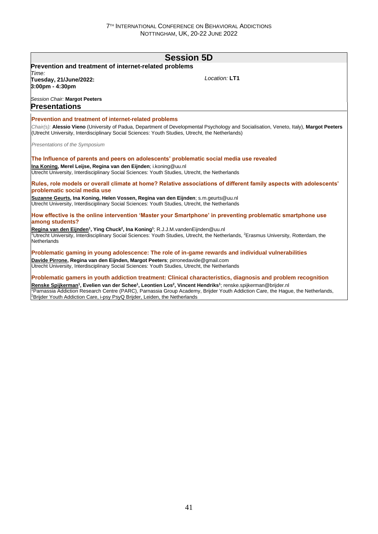|                                                                                                                                                                                      | <b>Session 5D</b>                                                                                                                                                                                                                                                                                             |
|--------------------------------------------------------------------------------------------------------------------------------------------------------------------------------------|---------------------------------------------------------------------------------------------------------------------------------------------------------------------------------------------------------------------------------------------------------------------------------------------------------------|
| Prevention and treatment of internet-related problems                                                                                                                                |                                                                                                                                                                                                                                                                                                               |
| Time:<br>Tuesday, 21/June/2022:<br>$3:00 \text{pm} - 4:30 \text{pm}$                                                                                                                 | Location: LT1                                                                                                                                                                                                                                                                                                 |
| Session Chair: Margot Peeters<br>Presentations                                                                                                                                       |                                                                                                                                                                                                                                                                                                               |
| Prevention and treatment of internet-related problems                                                                                                                                |                                                                                                                                                                                                                                                                                                               |
| (Utrecht University, Interdisciplinary Social Sciences: Youth Studies, Utrecht, the Netherlands)                                                                                     | Chair(s): Alessio Vieno (University of Padua, Department of Developmental Psychology and Socialisation, Veneto, Italy), Margot Peeters                                                                                                                                                                        |
| Presentations of the Symposium                                                                                                                                                       |                                                                                                                                                                                                                                                                                                               |
|                                                                                                                                                                                      | The Influence of parents and peers on adolescents' problematic social media use revealed                                                                                                                                                                                                                      |
| Ina Koning, Merel Leijse, Regina van den Eijnden; i.koning@uu.nl<br>Utrecht University, Interdisciplinary Social Sciences: Youth Studies, Utrecht, the Netherlands                   |                                                                                                                                                                                                                                                                                                               |
| problematic social media use                                                                                                                                                         | Rules, role models or overall climate at home? Relative associations of different family aspects with adolescents'                                                                                                                                                                                            |
| Suzanne Geurts, Ina Koning, Helen Vossen, Regina van den Eijnden; s.m.geurts@uu.nl<br>Utrecht University, Interdisciplinary Social Sciences: Youth Studies, Utrecht, the Netherlands |                                                                                                                                                                                                                                                                                                               |
| among students?                                                                                                                                                                      | How effective is the online intervention 'Master your Smartphone' in preventing problematic smartphone use                                                                                                                                                                                                    |
| Regina van den Eijnden <sup>1</sup> , Ying Chuck <sup>2</sup> , Ina Koning <sup>1</sup> ; R.J.J.M.vandenEijnden@uu.nl<br>Netherlands                                                 | <sup>1</sup> Utrecht University, Interdisciplinary Social Sciences: Youth Studies, Utrecht, the Netherlands, <sup>2</sup> Erasmus University, Rotterdam, the                                                                                                                                                  |
|                                                                                                                                                                                      | Problematic gaming in young adolescence: The role of in-game rewards and individual vulnerabilities                                                                                                                                                                                                           |
| Davide Pirrone, Regina van den Eijnden, Margot Peeters; pirronedavide@gmail.com<br>Utrecht University, Interdisciplinary Social Sciences: Youth Studies, Utrecht, the Netherlands    |                                                                                                                                                                                                                                                                                                               |
|                                                                                                                                                                                      | Problematic gamers in youth addiction treatment: Clinical characteristics, diagnosis and problem recognition                                                                                                                                                                                                  |
| <sup>2</sup> Brijder Youth Addiction Care, i-psy PsyQ Brijder, Leiden, the Netherlands                                                                                               | Renske Spijkerman <sup>1</sup> , Evelien van der Schee <sup>1</sup> , Leontien Los <sup>2</sup> , Vincent Hendriks <sup>1</sup> ; renske.spijkerman@brijder.nl<br><sup>1</sup> Parnassia Addiction Research Centre (PARC), Parnassia Group Academy, Brijder Youth Addiction Care, the Haque, the Netherlands, |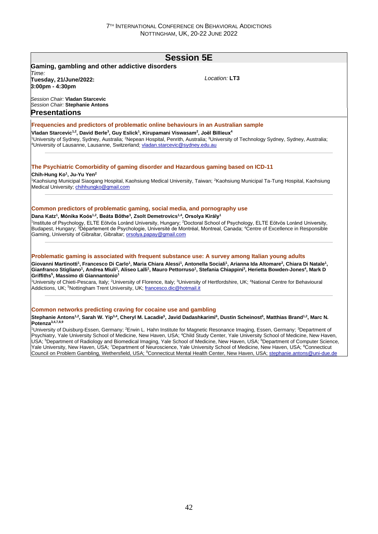# **Session 5E Gaming, gambling and other addictive disorders** *Time:*  **Tuesday, 21/June/2022: 3:00pm - 4:30pm** *Session Chair:* **Vladan Starcevic** *Session Chair:* **Stephanie Antons** *Location:* **LT3 Presentations Frequencies and predictors of problematic online behaviours in an Australian sample Vladan Starcevic1,2, David Berle<sup>3</sup> , Guy Eslick<sup>1</sup> , Kirupamani Viswasam<sup>2</sup> , Joël Billieux<sup>4</sup>** <sup>1</sup>University of Sydney, Sydney, Australia; <sup>2</sup>Nepean Hospital, Penrith, Australia; <sup>3</sup>University of Technology Sydney, Sydney, Australia; <sup>4</sup>University of Lausanne, Lausanne, Switzerland, vladan.starcevic@sydney.edu.au **The Psychiatric Comorbidity of gaming disorder and Hazardous gaming based on ICD-11 Chih-Hung Ko<sup>1</sup> , Ju-Yu Yen<sup>2</sup>** <sup>1</sup>Kaohsiung Municipal Siaogang Hospital, Kaohsiung Medical University, Taiwan; <sup>2</sup>Kaohsiung Municipal Ta-Tung Hospital, Kaohsiung Medical University; chihhungko@gmail.com **Common predictors of problematic gaming, social media, and pornography use Dana Katz<sup>1</sup> , Mónika Koós1,2, Beáta Bőthe<sup>3</sup> , Zsolt Demetrovics1,4, Orsolya Király<sup>1</sup>** 1 Institute of Psychology, ELTE Eötvös Loránd University, Hungary; <sup>2</sup>Doctoral School of Psychology, ELTE Eötvös Loránd University, Budapest, Hungary; <sup>3</sup>Département de Psychologie, Université de Montréal, Montreal, Canada; <sup>4</sup>Centre of Excellence in Responsible Gaming, University of Gibraltar, Gibraltar; orsolya.papay@gmail.com **Problematic gaming is associated with frequent substance use: A survey among Italian young adults** Giovanni Martinotti<sup>1</sup>, Francesco Di Carlo<sup>1</sup>, Maria Chiara Alessi<sup>1</sup>, Antonella Sociali<sup>1</sup>, Arianna Ida Altomare<sup>2</sup>, Chiara Di Natale<sup>1</sup>, Gianfranco Stigliano<sup>1</sup>, Andrea Miuli<sup>1</sup>, Aliseo Lalli<sup>1</sup>, Mauro Pettorruso<sup>1</sup>, Stefania Chiappini<sup>3</sup>, Herietta Bowden-Jones<sup>4</sup>, Mark D **Griffiths<sup>5</sup> , Massimo di Giannantonio<sup>1</sup>** <sup>1</sup>University of Chieti-Pescara, Italy; <sup>2</sup>University of Florence, Italy; <sup>3</sup>University of Hertfordshire, UK; <sup>4</sup>National Centre for Behavioural Addictions, UK; <sup>5</sup>Nottingham Trent University, UK; francesco.dic@hotmail.it **Common networks predicting craving for cocaine use and gambling Stephanie Antons1,2, Sarah W. Yip3,4, Cheryl M. Lacadie<sup>5</sup> , Javid Dadashkarimi<sup>6</sup> , Dustin Scheinost<sup>5</sup> , Matthias Brand1,2, Marc N. Potenza3,4,7,8,9** <sup>1</sup>University of Duisburg-Essen, Germany; <sup>2</sup>Erwin L. Hahn Institute for Magnetic Resonance Imaging, Essen, Germany; <sup>3</sup>Department of Psychiatry, Yale University School of Medicine, New Haven, USA; <sup>4</sup>Child Study Center, Yale University School of Medicine, New Haven, USA; <sup>5</sup>Department of Radiology and Biomedical Imaging, Yale School of Medicine, New Haven, USA; <sup>6</sup>Department of Computer Science, Yale University, New Haven, USA; <sup>7</sup>Department of Neuroscience, Yale University School of Medicine, New Haven, USA; <sup>8</sup>Connecticut Council on Problem Gambling, Wethersfield, USA; 9Connecticut Mental Health Center, New Haven, USA; stephanie.antons@uni-due.de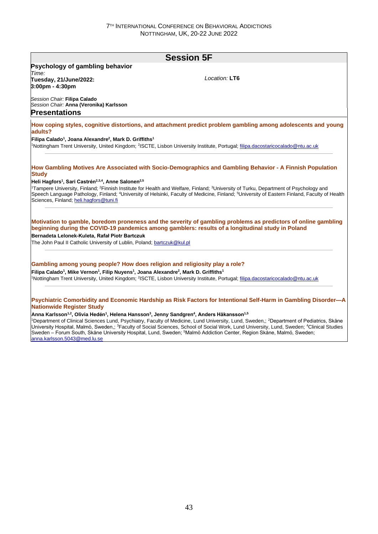|                                                                                                                                                                                                                                  | <b>Session 5F</b>                                                                                                                                                                                                                                                                                                                                                                                                                                                                                                                                                                           |
|----------------------------------------------------------------------------------------------------------------------------------------------------------------------------------------------------------------------------------|---------------------------------------------------------------------------------------------------------------------------------------------------------------------------------------------------------------------------------------------------------------------------------------------------------------------------------------------------------------------------------------------------------------------------------------------------------------------------------------------------------------------------------------------------------------------------------------------|
| Psychology of gambling behavior                                                                                                                                                                                                  |                                                                                                                                                                                                                                                                                                                                                                                                                                                                                                                                                                                             |
| Time:<br>Tuesday, 21/June/2022:<br>3:00pm - 4:30pm                                                                                                                                                                               | Location: LT6                                                                                                                                                                                                                                                                                                                                                                                                                                                                                                                                                                               |
| Session Chair: Filipa Calado<br>Session Chair: Anna (Veronika) Karlsson<br><b>Presentations</b>                                                                                                                                  |                                                                                                                                                                                                                                                                                                                                                                                                                                                                                                                                                                                             |
| adults?                                                                                                                                                                                                                          | How coping styles, cognitive distortions, and attachment predict problem gambling among adolescents and young                                                                                                                                                                                                                                                                                                                                                                                                                                                                               |
| Filipa Calado <sup>1</sup> , Joana Alexandre <sup>2</sup> , Mark D. Griffiths <sup>1</sup>                                                                                                                                       | 1Nottingham Trent University, United Kingdom; <sup>2</sup> ISCTE, Lisbon University Institute, Portugal; filipa.dacostaricocalado@ntu.ac.uk                                                                                                                                                                                                                                                                                                                                                                                                                                                 |
| <b>Study</b><br>Heli Hagfors <sup>1</sup> , Sari Castrén <sup>2,3,4</sup> , Anne Salonen <sup>2,5</sup><br>Sciences, Finland; heli.hagfors@tuni.fi                                                                               | How Gambling Motives Are Associated with Socio-Demographics and Gambling Behavior - A Finnish Population<br><sup>1</sup> Tampere University, Finland; <sup>2</sup> Finnish Institute for Health and Welfare, Finland; <sup>3</sup> University of Turku, Department of Psychology and<br>Speech Language Pathology, Finland; <sup>4</sup> University of Helsinki, Faculty of Medicine, Finland; <sup>5</sup> University of Eastern Finland, Faculty of Health                                                                                                                                |
| Bernadeta Lelonek-Kuleta, Rafał Piotr Bartczuk<br>The John Paul II Catholic University of Lublin, Poland; bartczuk@kul.pl                                                                                                        | Motivation to gamble, boredom proneness and the severity of gambling problems as predictors of online gambling<br>beginning during the COVID-19 pandemics among gamblers: results of a longitudinal study in Poland                                                                                                                                                                                                                                                                                                                                                                         |
| Gambling among young people? How does religion and religiosity play a role?<br>Filipa Calado <sup>1</sup> , Mike Vernon <sup>1</sup> , Filip Nuyens <sup>1</sup> , Joana Alexandre <sup>2</sup> , Mark D. Griffiths <sup>1</sup> | 1Nottingham Trent University, United Kingdom; <sup>2</sup> ISCTE, Lisbon University Institute, Portugal; filipa.dacostaricocalado@ntu.ac.uk                                                                                                                                                                                                                                                                                                                                                                                                                                                 |
| <b>Nationwide Register Study</b><br>Anna Karlsson <sup>1,2</sup> , Olivia Hedén <sup>1</sup> , Helena Hansson <sup>3</sup> , Jenny Sandgren <sup>4</sup> , Anders Håkansson <sup>1,5</sup><br>anna.karlsson.5043@med.lu.se       | Psychiatric Comorbidity and Economic Hardship as Risk Factors for Intentional Self-Harm in Gambling Disorder-A<br><sup>1</sup> Department of Clinical Sciences Lund, Psychiatry, Faculty of Medicine, Lund University, Lund, Sweden,; <sup>2</sup> Department of Pediatrics, Skåne<br>University Hospital, Malmö, Sweden,: <sup>3</sup> Faculty of Social Sciences, School of Social Work, Lund University, Lund, Sweden; <sup>4</sup> Clinical Studies<br>Sweden - Forum South, Skåne University Hospital, Lund, Sweden; <sup>5</sup> Malmö Addiction Center, Region Skåne, Malmö, Sweden; |
|                                                                                                                                                                                                                                  |                                                                                                                                                                                                                                                                                                                                                                                                                                                                                                                                                                                             |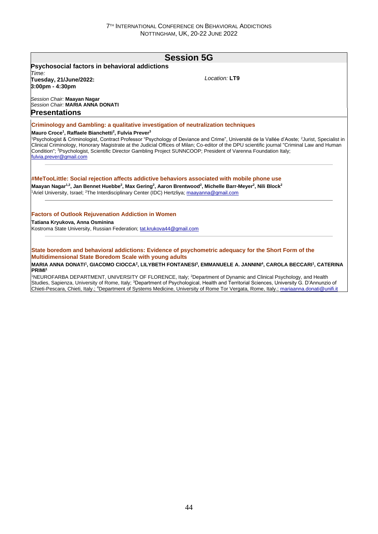| <b>Session 5G</b>                                                                                                                                                                                                                                                                                                                                                                                                                                                                                                                          |
|--------------------------------------------------------------------------------------------------------------------------------------------------------------------------------------------------------------------------------------------------------------------------------------------------------------------------------------------------------------------------------------------------------------------------------------------------------------------------------------------------------------------------------------------|
|                                                                                                                                                                                                                                                                                                                                                                                                                                                                                                                                            |
| Location: LT9                                                                                                                                                                                                                                                                                                                                                                                                                                                                                                                              |
|                                                                                                                                                                                                                                                                                                                                                                                                                                                                                                                                            |
| Criminology and Gambling: a qualitative investigation of neutralization techniques<br><sup>1</sup> Psychologist & Criminologist, Contract Professor "Psychology of Deviance and Crime", Université de la Vallée d'Aoste; <sup>2</sup> Jurist, Specialist in<br>Clinical Criminology, Honorary Magistrate at the Judicial Offices of Milan; Co-editor of the DPU scientific journal "Criminal Law and Human<br>Condition": <sup>3</sup> Psychologist, Scientific Director Gambling Project SUNNCOOP: President of Varenna Foundation Italy: |
| #MeTooLittle: Social rejection affects addictive behaviors associated with mobile phone use<br>Maayan Nagar <sup>1,2</sup> , Jan Bennet Huebbe <sup>2</sup> , Max Gering <sup>2</sup> , Aaron Brentwood <sup>2</sup> , Michelle Barr-Meyer <sup>2</sup> , Nili Block <sup>2</sup><br><sup>1</sup> Ariel University, Israel; <sup>2</sup> The Interdisciplinary Center (IDC) Hertzliya; maayanna@gmail.com                                                                                                                                  |
| Kostroma State University, Russian Federation; tat.krukova44@gmail.com                                                                                                                                                                                                                                                                                                                                                                                                                                                                     |
|                                                                                                                                                                                                                                                                                                                                                                                                                                                                                                                                            |

#### **MARIA ANNA DONATI<sup>1</sup> , GIACOMO CIOCCA<sup>2</sup> , LILYBETH FONTANESI<sup>3</sup> , EMMANUELE A. JANNINI<sup>4</sup> , CAROLA BECCARI<sup>1</sup> , CATERINA PRIMI<sup>1</sup>**

<sup>1</sup>NEUROFARBA DEPARTMENT, UNIVERSITY OF FLORENCE, Italy; <sup>2</sup>Department of Dynamic and Clinical Psychology, and Health Studies, Sapienza, University of Rome, Italy; <sup>3</sup>Department of Psychological, Health and Territorial Sciences, University G. D'Annunzio of Chieti-Pescara, Chieti, Italy.; <sup>4</sup>Department of Systems Medicine, University of Rome Tor Vergata, Rome, Italy.; mariaanna.donati@unifi.it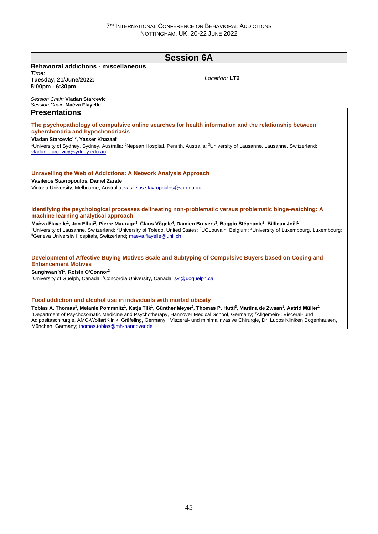|                                                                                                                                                                                               | <b>Session 6A</b>                                                                                                                                                                                         |
|-----------------------------------------------------------------------------------------------------------------------------------------------------------------------------------------------|-----------------------------------------------------------------------------------------------------------------------------------------------------------------------------------------------------------|
| <b>Behavioral addictions - miscellaneous</b>                                                                                                                                                  |                                                                                                                                                                                                           |
| Time:                                                                                                                                                                                         |                                                                                                                                                                                                           |
| Tuesday, 21/June/2022:                                                                                                                                                                        | Location: LT2                                                                                                                                                                                             |
| 5:00pm - 6:30pm                                                                                                                                                                               |                                                                                                                                                                                                           |
| Session Chair: Vladan Starcevic                                                                                                                                                               |                                                                                                                                                                                                           |
| Session Chair: Maèva Flayelle                                                                                                                                                                 |                                                                                                                                                                                                           |
| <b>Presentations</b>                                                                                                                                                                          |                                                                                                                                                                                                           |
| cyberchondria and hypochondriasis                                                                                                                                                             | The psychopathology of compulsive online searches for health information and the relationship between                                                                                                     |
| Vladan Starcevic <sup>1,2</sup> , Yasser Khazaal <sup>3</sup>                                                                                                                                 |                                                                                                                                                                                                           |
| vladan.starcevic@sydney.edu.au                                                                                                                                                                | <sup>1</sup> University of Sydney, Sydney, Australia; <sup>2</sup> Nepean Hospital, Penrith, Australia; <sup>3</sup> University of Lausanne, Lausanne, Switzerland;                                       |
| <b>Unravelling the Web of Addictions: A Network Analysis Approach</b><br>Vasileios Stavropoulos, Daniel Zarate<br>Victoria University, Melbourne, Australia; vasileios.stavropoulos@vu.edu.au |                                                                                                                                                                                                           |
| machine learning analytical approach                                                                                                                                                          | Identifying the psychological processes delineating non-problematic versus problematic binge-watching: A                                                                                                  |
|                                                                                                                                                                                               | Maèva Flayelle <sup>1</sup> , Jon Elhai <sup>2</sup> , Pierre Maurage <sup>3</sup> , Claus Vögele <sup>4</sup> , Damien Brevers <sup>3</sup> , Baggio Stéphanie <sup>5</sup> , Billieux Joël <sup>1</sup> |
| <sup>5</sup> Geneva University Hospitals, Switzerland; maeva.flayelle@unil.ch                                                                                                                 | <sup>1</sup> University of Lausanne. Switzerland: <sup>2</sup> University of Toledo. United States: <sup>3</sup> UCLouvain. Belgium: <sup>4</sup> University of Luxembourg. Luxembourg:                   |
|                                                                                                                                                                                               |                                                                                                                                                                                                           |
| <b>Enhancement Motives</b>                                                                                                                                                                    | Development of Affective Buying Motives Scale and Subtyping of Compulsive Buyers based on Coping and                                                                                                      |
| Sunghwan Yi <sup>1</sup> , Roisin O'Connor <sup>2</sup>                                                                                                                                       |                                                                                                                                                                                                           |

München, Germany; thomas.tobias@mh-hannover.de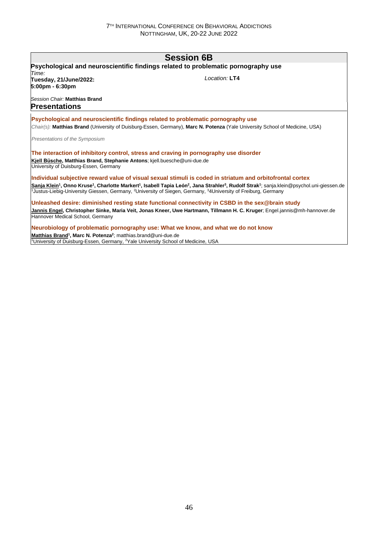# **Session 6B Psychological and neuroscientific findings related to problematic pornography use** *Time:*  **Tuesday, 21/June/2022: 5:00pm - 6:30pm** *Session Chair:* **Matthias Brand** *Location:* **LT4 Presentations Psychological and neuroscientific findings related to problematic pornography use** *Chair(s):* **Matthias Brand** (University of Duisburg-Essen, Germany), **Marc N. Potenza** (Yale University School of Medicine, USA) *Presentations of the Symposium* **The interaction of inhibitory control, stress and craving in pornography use disorder Kjell Büsche, Matthias Brand, Stephanie Antons**; kjell.buesche@uni-due.de University of Duisburg-Essen, Germany **Individual subjective reward value of visual sexual stimuli is coded in striatum and orbitofrontal cortex** Sanja Klein<sup>1</sup>, Onno Kruse<sup>1</sup>, Charlotte Markert<sup>1</sup>, Isabell Tapia León<sup>2</sup>, Jana Strahler<sup>3</sup>, Rudolf Strak<sup>1</sup>; sanja.klein@psychol.uni-giessen.de <sup>1</sup>Justus-Liebig-University Giessen, Germany, <sup>2</sup>University of Siegen, Germany, <sup>3</sup>4University of Freiburg, Germany **Unleashed desire: diminished resting state functional connectivity in CSBD in the sex@brain study Jannis Engel, Christopher Sinke, Maria Veit, Jonas Kneer, Uwe Hartmann, Tillmann H. C. Kruger**; Engel.jannis@mh-hannover.de Hannover Medical School, Germany

**Neurobiology of problematic pornography use: What we know, and what we do not know Matthias Brand<sup>1</sup> , Marc N. Potenza<sup>2</sup>** ; matthias.brand@uni-due.de <sup>1</sup>University of Duisburg-Essen, Germany, <sup>2</sup>Yale University School of Medicine, USA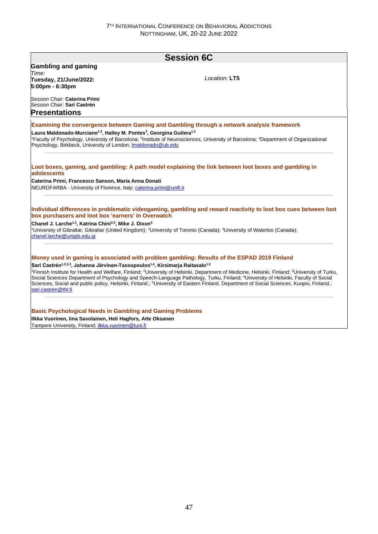| Location: LT5<br>Tuesday, 21/June/2022:<br>5:00pm - 6:30pm<br>Session Chair: Sari Castrén<br><b>Examining the convergence between Gaming and Gambling through a network analysis framework</b><br>Laura Maldonado-Murciano <sup>1,2</sup> , Halley M. Pontes <sup>3</sup> , Georgina Guilera <sup>1,2</sup><br><sup>1</sup> Faculty of Psychology, University of Barcelona; <sup>2</sup> Institute of Neurosciences, University of Barcelona; <sup>3</sup> Department of Organizational<br>Psychology, Birkbeck, University of London; Imaldonado@ub.edu<br>Loot boxes, gaming, and gambling: A path model explaining the link between loot boxes and gambling in<br>adolescents<br>Caterina Primi, Francesco Sanson, Maria Anna Donati<br>NEUROFARBA - University of Florence, Italy; caterina.primi@unifi.it<br>Individual differences in problematic videogaming, gambling and reward reactivity to loot box cues between loot<br>box purchasers and loot box 'earners' in Overwatch<br><sup>1</sup> University of Gibraltar, Gibraltar (United Kingdom); <sup>2</sup> University of Toronto (Canada); <sup>3</sup> University of Waterloo (Canada);<br>chanel.larche@unigib.edu.gi<br>Money used in gaming is associated with problem gambling: Results of the ESPAD 2019 Finland<br>Sari Castrén <sup>1,2,3,3</sup> , Johanna Järvinen-Tassopoulos <sup>1,4</sup> , Kirsimarja Raitasalo <sup>1,5</sup><br><sup>1</sup> Finnish Institute for Health and Welfare, Finland; <sup>2</sup> University of Helsinki, Department of Medicine, Helsinki, Finland; <sup>3</sup> University of Turku,<br>Social Sciences Department of Psychology and Speech-Language Pathology, Turku, Finland; <sup>4</sup> University of Helsinki, Faculty of Social<br>Sciences, Social and public policy, Helsinki, Finland.; <sup>5</sup> University of Eastern Finland, Department of Social Sciences, Kuopio, Finland.;<br>sari.castren@thl.fi<br><b>Basic Psychological Needs in Gambling and Gaming Problems</b><br>Ilkka Vuorinen, Iina Savolainen, Heli Hagfors, Atte Oksanen |                                                                                             | <b>Session 6C</b> |
|-----------------------------------------------------------------------------------------------------------------------------------------------------------------------------------------------------------------------------------------------------------------------------------------------------------------------------------------------------------------------------------------------------------------------------------------------------------------------------------------------------------------------------------------------------------------------------------------------------------------------------------------------------------------------------------------------------------------------------------------------------------------------------------------------------------------------------------------------------------------------------------------------------------------------------------------------------------------------------------------------------------------------------------------------------------------------------------------------------------------------------------------------------------------------------------------------------------------------------------------------------------------------------------------------------------------------------------------------------------------------------------------------------------------------------------------------------------------------------------------------------------------------------------------------------------------------------------------------------------------------------------------------------------------------------------------------------------------------------------------------------------------------------------------------------------------------------------------------------------------------------------------------------------------------------------------------------------------------------------------------------------------------------------------------------------------------|---------------------------------------------------------------------------------------------|-------------------|
|                                                                                                                                                                                                                                                                                                                                                                                                                                                                                                                                                                                                                                                                                                                                                                                                                                                                                                                                                                                                                                                                                                                                                                                                                                                                                                                                                                                                                                                                                                                                                                                                                                                                                                                                                                                                                                                                                                                                                                                                                                                                       | <b>Gambling and gaming</b>                                                                  |                   |
|                                                                                                                                                                                                                                                                                                                                                                                                                                                                                                                                                                                                                                                                                                                                                                                                                                                                                                                                                                                                                                                                                                                                                                                                                                                                                                                                                                                                                                                                                                                                                                                                                                                                                                                                                                                                                                                                                                                                                                                                                                                                       | Time:                                                                                       |                   |
|                                                                                                                                                                                                                                                                                                                                                                                                                                                                                                                                                                                                                                                                                                                                                                                                                                                                                                                                                                                                                                                                                                                                                                                                                                                                                                                                                                                                                                                                                                                                                                                                                                                                                                                                                                                                                                                                                                                                                                                                                                                                       |                                                                                             |                   |
|                                                                                                                                                                                                                                                                                                                                                                                                                                                                                                                                                                                                                                                                                                                                                                                                                                                                                                                                                                                                                                                                                                                                                                                                                                                                                                                                                                                                                                                                                                                                                                                                                                                                                                                                                                                                                                                                                                                                                                                                                                                                       |                                                                                             |                   |
|                                                                                                                                                                                                                                                                                                                                                                                                                                                                                                                                                                                                                                                                                                                                                                                                                                                                                                                                                                                                                                                                                                                                                                                                                                                                                                                                                                                                                                                                                                                                                                                                                                                                                                                                                                                                                                                                                                                                                                                                                                                                       | Session Chair: Caterina Primi                                                               |                   |
|                                                                                                                                                                                                                                                                                                                                                                                                                                                                                                                                                                                                                                                                                                                                                                                                                                                                                                                                                                                                                                                                                                                                                                                                                                                                                                                                                                                                                                                                                                                                                                                                                                                                                                                                                                                                                                                                                                                                                                                                                                                                       | <b>Presentations</b>                                                                        |                   |
|                                                                                                                                                                                                                                                                                                                                                                                                                                                                                                                                                                                                                                                                                                                                                                                                                                                                                                                                                                                                                                                                                                                                                                                                                                                                                                                                                                                                                                                                                                                                                                                                                                                                                                                                                                                                                                                                                                                                                                                                                                                                       |                                                                                             |                   |
|                                                                                                                                                                                                                                                                                                                                                                                                                                                                                                                                                                                                                                                                                                                                                                                                                                                                                                                                                                                                                                                                                                                                                                                                                                                                                                                                                                                                                                                                                                                                                                                                                                                                                                                                                                                                                                                                                                                                                                                                                                                                       |                                                                                             |                   |
|                                                                                                                                                                                                                                                                                                                                                                                                                                                                                                                                                                                                                                                                                                                                                                                                                                                                                                                                                                                                                                                                                                                                                                                                                                                                                                                                                                                                                                                                                                                                                                                                                                                                                                                                                                                                                                                                                                                                                                                                                                                                       |                                                                                             |                   |
|                                                                                                                                                                                                                                                                                                                                                                                                                                                                                                                                                                                                                                                                                                                                                                                                                                                                                                                                                                                                                                                                                                                                                                                                                                                                                                                                                                                                                                                                                                                                                                                                                                                                                                                                                                                                                                                                                                                                                                                                                                                                       |                                                                                             |                   |
|                                                                                                                                                                                                                                                                                                                                                                                                                                                                                                                                                                                                                                                                                                                                                                                                                                                                                                                                                                                                                                                                                                                                                                                                                                                                                                                                                                                                                                                                                                                                                                                                                                                                                                                                                                                                                                                                                                                                                                                                                                                                       |                                                                                             |                   |
|                                                                                                                                                                                                                                                                                                                                                                                                                                                                                                                                                                                                                                                                                                                                                                                                                                                                                                                                                                                                                                                                                                                                                                                                                                                                                                                                                                                                                                                                                                                                                                                                                                                                                                                                                                                                                                                                                                                                                                                                                                                                       |                                                                                             |                   |
|                                                                                                                                                                                                                                                                                                                                                                                                                                                                                                                                                                                                                                                                                                                                                                                                                                                                                                                                                                                                                                                                                                                                                                                                                                                                                                                                                                                                                                                                                                                                                                                                                                                                                                                                                                                                                                                                                                                                                                                                                                                                       |                                                                                             |                   |
|                                                                                                                                                                                                                                                                                                                                                                                                                                                                                                                                                                                                                                                                                                                                                                                                                                                                                                                                                                                                                                                                                                                                                                                                                                                                                                                                                                                                                                                                                                                                                                                                                                                                                                                                                                                                                                                                                                                                                                                                                                                                       |                                                                                             |                   |
|                                                                                                                                                                                                                                                                                                                                                                                                                                                                                                                                                                                                                                                                                                                                                                                                                                                                                                                                                                                                                                                                                                                                                                                                                                                                                                                                                                                                                                                                                                                                                                                                                                                                                                                                                                                                                                                                                                                                                                                                                                                                       |                                                                                             |                   |
|                                                                                                                                                                                                                                                                                                                                                                                                                                                                                                                                                                                                                                                                                                                                                                                                                                                                                                                                                                                                                                                                                                                                                                                                                                                                                                                                                                                                                                                                                                                                                                                                                                                                                                                                                                                                                                                                                                                                                                                                                                                                       |                                                                                             |                   |
|                                                                                                                                                                                                                                                                                                                                                                                                                                                                                                                                                                                                                                                                                                                                                                                                                                                                                                                                                                                                                                                                                                                                                                                                                                                                                                                                                                                                                                                                                                                                                                                                                                                                                                                                                                                                                                                                                                                                                                                                                                                                       |                                                                                             |                   |
|                                                                                                                                                                                                                                                                                                                                                                                                                                                                                                                                                                                                                                                                                                                                                                                                                                                                                                                                                                                                                                                                                                                                                                                                                                                                                                                                                                                                                                                                                                                                                                                                                                                                                                                                                                                                                                                                                                                                                                                                                                                                       | Chanel J. Larche <sup>1,3</sup> , Katrina Chini <sup>2,3</sup> , Mike J. Dixon <sup>3</sup> |                   |
|                                                                                                                                                                                                                                                                                                                                                                                                                                                                                                                                                                                                                                                                                                                                                                                                                                                                                                                                                                                                                                                                                                                                                                                                                                                                                                                                                                                                                                                                                                                                                                                                                                                                                                                                                                                                                                                                                                                                                                                                                                                                       |                                                                                             |                   |
|                                                                                                                                                                                                                                                                                                                                                                                                                                                                                                                                                                                                                                                                                                                                                                                                                                                                                                                                                                                                                                                                                                                                                                                                                                                                                                                                                                                                                                                                                                                                                                                                                                                                                                                                                                                                                                                                                                                                                                                                                                                                       |                                                                                             |                   |
|                                                                                                                                                                                                                                                                                                                                                                                                                                                                                                                                                                                                                                                                                                                                                                                                                                                                                                                                                                                                                                                                                                                                                                                                                                                                                                                                                                                                                                                                                                                                                                                                                                                                                                                                                                                                                                                                                                                                                                                                                                                                       |                                                                                             |                   |
|                                                                                                                                                                                                                                                                                                                                                                                                                                                                                                                                                                                                                                                                                                                                                                                                                                                                                                                                                                                                                                                                                                                                                                                                                                                                                                                                                                                                                                                                                                                                                                                                                                                                                                                                                                                                                                                                                                                                                                                                                                                                       |                                                                                             |                   |
|                                                                                                                                                                                                                                                                                                                                                                                                                                                                                                                                                                                                                                                                                                                                                                                                                                                                                                                                                                                                                                                                                                                                                                                                                                                                                                                                                                                                                                                                                                                                                                                                                                                                                                                                                                                                                                                                                                                                                                                                                                                                       |                                                                                             |                   |
|                                                                                                                                                                                                                                                                                                                                                                                                                                                                                                                                                                                                                                                                                                                                                                                                                                                                                                                                                                                                                                                                                                                                                                                                                                                                                                                                                                                                                                                                                                                                                                                                                                                                                                                                                                                                                                                                                                                                                                                                                                                                       |                                                                                             |                   |
|                                                                                                                                                                                                                                                                                                                                                                                                                                                                                                                                                                                                                                                                                                                                                                                                                                                                                                                                                                                                                                                                                                                                                                                                                                                                                                                                                                                                                                                                                                                                                                                                                                                                                                                                                                                                                                                                                                                                                                                                                                                                       |                                                                                             |                   |
|                                                                                                                                                                                                                                                                                                                                                                                                                                                                                                                                                                                                                                                                                                                                                                                                                                                                                                                                                                                                                                                                                                                                                                                                                                                                                                                                                                                                                                                                                                                                                                                                                                                                                                                                                                                                                                                                                                                                                                                                                                                                       |                                                                                             |                   |
|                                                                                                                                                                                                                                                                                                                                                                                                                                                                                                                                                                                                                                                                                                                                                                                                                                                                                                                                                                                                                                                                                                                                                                                                                                                                                                                                                                                                                                                                                                                                                                                                                                                                                                                                                                                                                                                                                                                                                                                                                                                                       |                                                                                             |                   |
|                                                                                                                                                                                                                                                                                                                                                                                                                                                                                                                                                                                                                                                                                                                                                                                                                                                                                                                                                                                                                                                                                                                                                                                                                                                                                                                                                                                                                                                                                                                                                                                                                                                                                                                                                                                                                                                                                                                                                                                                                                                                       |                                                                                             |                   |
|                                                                                                                                                                                                                                                                                                                                                                                                                                                                                                                                                                                                                                                                                                                                                                                                                                                                                                                                                                                                                                                                                                                                                                                                                                                                                                                                                                                                                                                                                                                                                                                                                                                                                                                                                                                                                                                                                                                                                                                                                                                                       | Tampere University, Finland; ilkka.vuorinen@tuni.fi                                         |                   |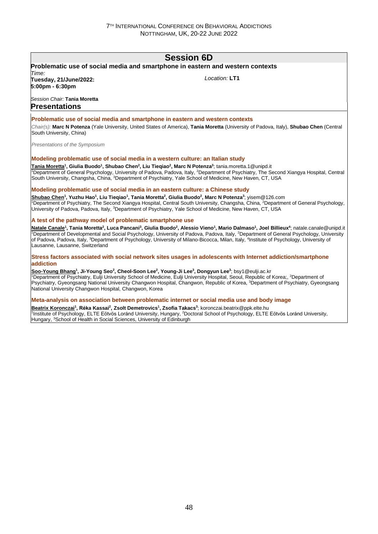# **Session 6D**

#### **Problematic use of social media and smartphone in eastern and western contexts** *Time:*  **Tuesday, 21/June/2022:**  *Location:* **LT1**

**5:00pm - 6:30pm** *Session Chair:* **Tania Moretta**

## **Presentations**

### **Problematic use of social media and smartphone in eastern and western contexts**

*Chair(s):* **Marc N Potenza** (Yale University, United States of America), **Tania Moretta** (University of Padova, Italy), **Shubao Chen** (Central South University, China)

*Presentations of the Symposium*

### **Modeling problematic use of social media in a western culture: an Italian study**

<u>Tania Moretta</u>1, Giulia Buodo<sup>1</sup>, Shubao Chen<sup>2</sup>, Liu Tieqiao<sup>2</sup>, Marc N Potenza<sup>3</sup>; tania.moretta.1@unipd.it <sup>1</sup>Department of General Psychology, University of Padova, Padova, Italy, <sup>2</sup>Department of Psychiatry, The Second Xiangya Hospital, Central South University, Changsha, China, <sup>3</sup>Department of Psychiatry, Yale School of Medicine, New Haven, CT, USA

### **Modeling problematic use of social media in an eastern culture: a Chinese study**

Shubao Chen<sup>1</sup>, Yuzhu Hao<sup>1</sup>, Liu Tieqiao<sup>1</sup>, Tania Moretta<sup>2</sup>, Giulia Buodo<sup>2</sup>, Marc N Potenza<sup>3</sup>; yisem@126.com <sup>1</sup>Department of Psychiatry, The Second Xiangya Hospital, Central South University, Changsha, China, <sup>2</sup>Department of General Psychology, University of Padova, Padova, Italy, <sup>3</sup>Department of Psychiatry, Yale School of Medicine, New Haven, CT, USA

### **A test of the pathway model of problematic smartphone use**

<u>Natale Canale</u><sup>1</sup>, Tania Moretta<sup>2</sup>, Luca Pancani<sup>3</sup>, Giulia Buodo<sup>2</sup>, Alessio Vieno<sup>1</sup>, Mario Dalmaso<sup>1</sup>, Joel Billieux<sup>4</sup>; natale.canale@unipd.it 1Department of Developmental and Social Psychology, University of Padova, Padova, Italy, <sup>2</sup>Department of General Psychology, University of Padova, Padova, Italy, <sup>3</sup>Department of Psychology, University of Milano-Bicocca, Milan, Italy, <sup>4</sup>Institute of Psychology, University of Lausanne, Lausanne, Switzerland

#### **Stress factors associated with social network sites usages in adolescents with Internet addiction/smartphone addiction**

Soo-Young Bhang<sup>1</sup>, Ji-Young Seo<sup>2</sup>, Cheol-Soon Lee<sup>2</sup>, Young-Ji Lee<sup>3</sup>, Dongyun Lee<sup>3</sup>; bsy1@eulji.ac.kr <sup>1</sup>Department of Psychiatry, Eulji University School of Medicine, Eulji University Hospital, Seoul, Republic of Korea;, <sup>2</sup>Department of Psychiatry, Gyeongsang National University Changwon Hospital, Changwon, Republic of Korea, <sup>3</sup>Department of Psychiatry, Gyeongsang National University Changwon Hospital, Changwon, Korea

#### **Meta-analysis on association between problematic internet or social media use and body image**

**Beatrix Koronczai<sup>1</sup> , Réka Kassai<sup>2</sup> , Zsolt Demetrovics<sup>1</sup> , Zsofia Takacs<sup>3</sup>** ; koronczai.beatrix@ppk.elte.hu <sup>1</sup>Institute of Psychology, ELTE Eötvös Loránd University, Hungary, <sup>2</sup>Doctoral School of Psychology, ELTE Eötvös Loránd University, Hungary, <sup>3</sup>School of Health in Social Sciences, University of Edinburgh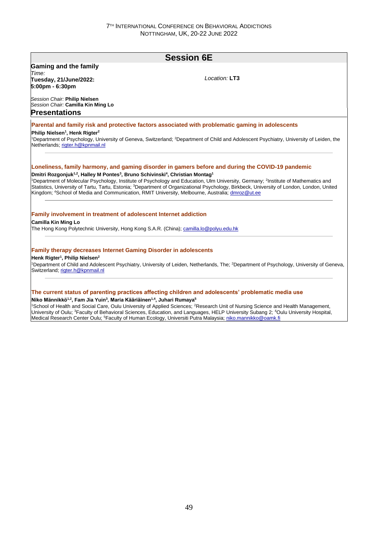# **Session 6E Gaming and the family** *Time:*  **Tuesday, 21/June/2022: 5:00pm - 6:30pm** *Session Chair:* **Philip Nielsen** *Session Chair:* **Camilla Kin Ming Lo** *Location:* **LT3 Presentations Parental and family risk and protective factors associated with problematic gaming in adolescents Philip Nielsen<sup>1</sup> , Henk Rigter<sup>2</sup>** <sup>1</sup>Department of Psychology, University of Geneva, Switzerland; <sup>2</sup>Department of Child and Adolescent Psychiatry, University of Leiden, the Netherlands; rigter.h@kpnmail.nl **Loneliness, family harmony, and gaming disorder in gamers before and during the COVID-19 pandemic Dmitri Rozgonjuk1,2, Halley M Pontes<sup>3</sup> , Bruno Schivinski<sup>4</sup> , Christian Montag<sup>1</sup>** <sup>1</sup>Department of Molecular Psychology, Institute of Psychology and Education, Ulm University, Germany; <sup>2</sup>Institute of Mathematics and Statistics, University of Tartu, Tartu, Estonia; <sup>3</sup>Department of Organizational Psychology, Birkbeck, University of London, London, United Kingdom; <sup>4</sup>School of Media and Communication, RMIT University, Melbourne, Australia; dmroz@ut.ee **Family involvement in treatment of adolescent Internet addiction Camilla Kin Ming Lo** The Hong Kong Polytechnic University, Hong Kong S.A.R. (China); camilla.lo@polyu.edu.hk **Family therapy decreases Internet Gaming Disorder in adolescents Henk Rigter<sup>1</sup> , Philip Nielsen<sup>2</sup>** <sup>1</sup>Department of Child and Adolescent Psychiatry, University of Leiden, Netherlands, The; <sup>2</sup>Department of Psychology, University of Geneva, Switzerland; rigter.h@kpnmail.nl **The current status of parenting practices affecting children and adolescents' problematic media use Niko Männikkö1,2, Fam Jia Yuin<sup>3</sup> , Maria Kääriäinen1,4, Juhari Rumaya<sup>5</sup>**

<sup>1</sup>School of Health and Social Care, Oulu University of Applied Sciences; <sup>2</sup>Research Unit of Nursing Science and Health Management, University of Oulu; <sup>3</sup>Faculty of Behavioral Sciences, Education, and Languages, HELP University Subang 2; <sup>4</sup>Oulu University Hospital, Medical Research Center Oulu; <sup>5</sup>Faculty of Human Ecology, Universiti Putra Malaysia; niko.mannikko@oamk.fi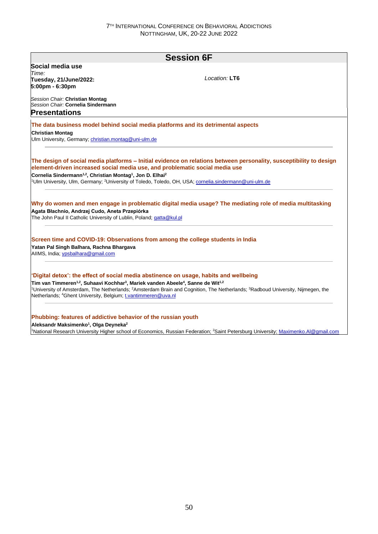| $I$ ocation: LT6                                                                                                                                                                                                                                                                                                                                                                                                                                                                                                                                                                                                                                                                                                                                                                                                                                                                                                                                                                                                                                                                                                                                                                                                                                                                                                                                                                                                                                                                                                                                                                                                                    |                                                               | <b>Session 6F</b> |
|-------------------------------------------------------------------------------------------------------------------------------------------------------------------------------------------------------------------------------------------------------------------------------------------------------------------------------------------------------------------------------------------------------------------------------------------------------------------------------------------------------------------------------------------------------------------------------------------------------------------------------------------------------------------------------------------------------------------------------------------------------------------------------------------------------------------------------------------------------------------------------------------------------------------------------------------------------------------------------------------------------------------------------------------------------------------------------------------------------------------------------------------------------------------------------------------------------------------------------------------------------------------------------------------------------------------------------------------------------------------------------------------------------------------------------------------------------------------------------------------------------------------------------------------------------------------------------------------------------------------------------------|---------------------------------------------------------------|-------------------|
| Time:<br>Tuesday, 21/June/2022:<br>5:00pm - 6:30pm<br>Session Chair: Christian Montaq<br>Session Chair: Cornelia Sindermann<br><b>Presentations</b><br>The data business model behind social media platforms and its detrimental aspects<br>Ulm University, Germany; christian.montag@uni-ulm.de<br>The design of social media platforms – Initial evidence on relations between personality, susceptibility to design<br>element-driven increased social media use, and problematic social media use<br>Cornelia Sindermann <sup>1,2</sup> , Christian Montag <sup>1</sup> , Jon D. Elhai <sup>2</sup><br><sup>1</sup> Ulm University, Ulm, Germany; <sup>2</sup> University of Toledo, Toledo, OH, USA; cornelia.sindermann@uni-ulm.de<br>Why do women and men engage in problematic digital media usage? The mediating role of media multitasking<br>Agata Błachnio, Andrzej Cudo, Aneta Przepiórka<br>The John Paul II Catholic University of Lublin, Poland; gatta@kul.pl<br>Screen time and COVID-19: Observations from among the college students in India<br>Yatan Pal Singh Balhara, Rachna Bhargava<br>AIIMS, India: ypsbalhara@gmail.com<br>'Digital detox': the effect of social media abstinence on usage, habits and wellbeing<br>Tim van Timmeren <sup>1,2</sup> , Suhaavi Kochhar <sup>3</sup> , Mariek vanden Abeele <sup>4</sup> , Sanne de Wit <sup>1,2</sup><br><sup>1</sup> University of Amsterdam, The Netherlands; <sup>2</sup> Amsterdam Brain and Cognition, The Netherlands; <sup>3</sup> Radboud University, Nijmegen, the<br>Netherlands; <sup>4</sup> Ghent University, Belgium; t.vantimmeren@uva.nl | Social media use                                              |                   |
|                                                                                                                                                                                                                                                                                                                                                                                                                                                                                                                                                                                                                                                                                                                                                                                                                                                                                                                                                                                                                                                                                                                                                                                                                                                                                                                                                                                                                                                                                                                                                                                                                                     |                                                               |                   |
|                                                                                                                                                                                                                                                                                                                                                                                                                                                                                                                                                                                                                                                                                                                                                                                                                                                                                                                                                                                                                                                                                                                                                                                                                                                                                                                                                                                                                                                                                                                                                                                                                                     |                                                               |                   |
|                                                                                                                                                                                                                                                                                                                                                                                                                                                                                                                                                                                                                                                                                                                                                                                                                                                                                                                                                                                                                                                                                                                                                                                                                                                                                                                                                                                                                                                                                                                                                                                                                                     |                                                               |                   |
|                                                                                                                                                                                                                                                                                                                                                                                                                                                                                                                                                                                                                                                                                                                                                                                                                                                                                                                                                                                                                                                                                                                                                                                                                                                                                                                                                                                                                                                                                                                                                                                                                                     |                                                               |                   |
|                                                                                                                                                                                                                                                                                                                                                                                                                                                                                                                                                                                                                                                                                                                                                                                                                                                                                                                                                                                                                                                                                                                                                                                                                                                                                                                                                                                                                                                                                                                                                                                                                                     |                                                               |                   |
|                                                                                                                                                                                                                                                                                                                                                                                                                                                                                                                                                                                                                                                                                                                                                                                                                                                                                                                                                                                                                                                                                                                                                                                                                                                                                                                                                                                                                                                                                                                                                                                                                                     |                                                               |                   |
|                                                                                                                                                                                                                                                                                                                                                                                                                                                                                                                                                                                                                                                                                                                                                                                                                                                                                                                                                                                                                                                                                                                                                                                                                                                                                                                                                                                                                                                                                                                                                                                                                                     |                                                               |                   |
|                                                                                                                                                                                                                                                                                                                                                                                                                                                                                                                                                                                                                                                                                                                                                                                                                                                                                                                                                                                                                                                                                                                                                                                                                                                                                                                                                                                                                                                                                                                                                                                                                                     | <b>Christian Montag</b>                                       |                   |
|                                                                                                                                                                                                                                                                                                                                                                                                                                                                                                                                                                                                                                                                                                                                                                                                                                                                                                                                                                                                                                                                                                                                                                                                                                                                                                                                                                                                                                                                                                                                                                                                                                     |                                                               |                   |
|                                                                                                                                                                                                                                                                                                                                                                                                                                                                                                                                                                                                                                                                                                                                                                                                                                                                                                                                                                                                                                                                                                                                                                                                                                                                                                                                                                                                                                                                                                                                                                                                                                     |                                                               |                   |
|                                                                                                                                                                                                                                                                                                                                                                                                                                                                                                                                                                                                                                                                                                                                                                                                                                                                                                                                                                                                                                                                                                                                                                                                                                                                                                                                                                                                                                                                                                                                                                                                                                     |                                                               |                   |
|                                                                                                                                                                                                                                                                                                                                                                                                                                                                                                                                                                                                                                                                                                                                                                                                                                                                                                                                                                                                                                                                                                                                                                                                                                                                                                                                                                                                                                                                                                                                                                                                                                     |                                                               |                   |
|                                                                                                                                                                                                                                                                                                                                                                                                                                                                                                                                                                                                                                                                                                                                                                                                                                                                                                                                                                                                                                                                                                                                                                                                                                                                                                                                                                                                                                                                                                                                                                                                                                     |                                                               |                   |
|                                                                                                                                                                                                                                                                                                                                                                                                                                                                                                                                                                                                                                                                                                                                                                                                                                                                                                                                                                                                                                                                                                                                                                                                                                                                                                                                                                                                                                                                                                                                                                                                                                     |                                                               |                   |
|                                                                                                                                                                                                                                                                                                                                                                                                                                                                                                                                                                                                                                                                                                                                                                                                                                                                                                                                                                                                                                                                                                                                                                                                                                                                                                                                                                                                                                                                                                                                                                                                                                     |                                                               |                   |
|                                                                                                                                                                                                                                                                                                                                                                                                                                                                                                                                                                                                                                                                                                                                                                                                                                                                                                                                                                                                                                                                                                                                                                                                                                                                                                                                                                                                                                                                                                                                                                                                                                     |                                                               |                   |
|                                                                                                                                                                                                                                                                                                                                                                                                                                                                                                                                                                                                                                                                                                                                                                                                                                                                                                                                                                                                                                                                                                                                                                                                                                                                                                                                                                                                                                                                                                                                                                                                                                     |                                                               |                   |
|                                                                                                                                                                                                                                                                                                                                                                                                                                                                                                                                                                                                                                                                                                                                                                                                                                                                                                                                                                                                                                                                                                                                                                                                                                                                                                                                                                                                                                                                                                                                                                                                                                     |                                                               |                   |
|                                                                                                                                                                                                                                                                                                                                                                                                                                                                                                                                                                                                                                                                                                                                                                                                                                                                                                                                                                                                                                                                                                                                                                                                                                                                                                                                                                                                                                                                                                                                                                                                                                     |                                                               |                   |
|                                                                                                                                                                                                                                                                                                                                                                                                                                                                                                                                                                                                                                                                                                                                                                                                                                                                                                                                                                                                                                                                                                                                                                                                                                                                                                                                                                                                                                                                                                                                                                                                                                     |                                                               |                   |
|                                                                                                                                                                                                                                                                                                                                                                                                                                                                                                                                                                                                                                                                                                                                                                                                                                                                                                                                                                                                                                                                                                                                                                                                                                                                                                                                                                                                                                                                                                                                                                                                                                     |                                                               |                   |
|                                                                                                                                                                                                                                                                                                                                                                                                                                                                                                                                                                                                                                                                                                                                                                                                                                                                                                                                                                                                                                                                                                                                                                                                                                                                                                                                                                                                                                                                                                                                                                                                                                     |                                                               |                   |
|                                                                                                                                                                                                                                                                                                                                                                                                                                                                                                                                                                                                                                                                                                                                                                                                                                                                                                                                                                                                                                                                                                                                                                                                                                                                                                                                                                                                                                                                                                                                                                                                                                     |                                                               |                   |
|                                                                                                                                                                                                                                                                                                                                                                                                                                                                                                                                                                                                                                                                                                                                                                                                                                                                                                                                                                                                                                                                                                                                                                                                                                                                                                                                                                                                                                                                                                                                                                                                                                     |                                                               |                   |
|                                                                                                                                                                                                                                                                                                                                                                                                                                                                                                                                                                                                                                                                                                                                                                                                                                                                                                                                                                                                                                                                                                                                                                                                                                                                                                                                                                                                                                                                                                                                                                                                                                     |                                                               |                   |
|                                                                                                                                                                                                                                                                                                                                                                                                                                                                                                                                                                                                                                                                                                                                                                                                                                                                                                                                                                                                                                                                                                                                                                                                                                                                                                                                                                                                                                                                                                                                                                                                                                     |                                                               |                   |
|                                                                                                                                                                                                                                                                                                                                                                                                                                                                                                                                                                                                                                                                                                                                                                                                                                                                                                                                                                                                                                                                                                                                                                                                                                                                                                                                                                                                                                                                                                                                                                                                                                     |                                                               |                   |
|                                                                                                                                                                                                                                                                                                                                                                                                                                                                                                                                                                                                                                                                                                                                                                                                                                                                                                                                                                                                                                                                                                                                                                                                                                                                                                                                                                                                                                                                                                                                                                                                                                     | Phubbing: features of addictive behavior of the russian youth |                   |

**Aleksandr Maksimenko<sup>1</sup> , Olga Deyneka<sup>2</sup>** <sup>1</sup>National Research University Higher school of Economics, Russian Federation; <sup>2</sup>Saint Petersburg University; Maximenko.Al@gmail.com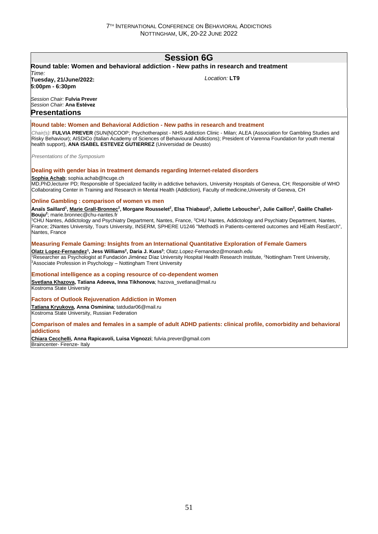# **Session 6G**

# **Round table: Women and behavioral addiction - New paths in research and treatment**

*Time:*  **Tuesday, 21/June/2022: 5:00pm - 6:30pm**

*Location:* **LT9**

*Session Chair:* **Fulvia Prever** *Session Chair:* **Ana Estévez Presentations**

#### **Round table: Women and Behavioral Addiction - New paths in research and treatment**

*Chair(s):* **FULVIA PREVER** (SUN(N)COOP; Psychotherapist - NHS Addiction Clinic - Milan; ALEA (Association for Gambling Studies and Risky Behaviour); AISDiCo (Italian Academy of Sciences of Behavioural Addictions); President of Varenna Foundation for youth mental health support), **ANA ISABEL ESTEVEZ GUTIERREZ** (Universidad de Deusto)

*Presentations of the Symposium*

#### **Dealing with gender bias in treatment demands regarding Internet-related disorders**

**Sophia Achab**; sophia.achab@hcuge.ch

MD,PhD,lecturer PD; Responsible of Specialized facility in addictive behaviors, University Hospitals of Geneva, CH; Responsible of WHO Collaborating Center in Training and Research in Mental Health (Addiction), Faculty of medicine,University of Geneva, CH

#### **Online Gambling : comparison of women vs men**

Anaïs Saillard<sup>1</sup>, <u>Marie Grall-Bronnec<sup>2</sup>,</u> Morgane Rousselet<sup>2</sup>, Elsa Thiabaud<sup>1</sup>, Juliette Leboucher<sup>1</sup>, Julie Caillon<sup>2</sup>, Gaëlle Challet-**Bouju<sup>2</sup>** ; marie.bronnec@chu-nantes.fr

<sup>1</sup>CHU Nantes, Addictology and Psychiatry Department, Nantes, France, <sup>2</sup>CHU Nantes, Addictology and Psychiatry Department, Nantes, France; 2Nantes University, Tours University, INSERM, SPHERE U1246 "MethodS in Patients-centered outcomes and HEalth ResEarch", Nantes, France

#### **Measuring Female Gaming: Insights from an International Quantitative Exploration of Female Gamers**

**Olatz Lopez-Fernandez<sup>1</sup> , Jess Williams<sup>2</sup> , Daria J. Kuss<sup>3</sup>** ; Olatz.Lopez-Fernandez@monash.edu <sup>1</sup>Researcher as Psychologist at Fundación Jiménez Díaz University Hospital Health Research Institute, <sup>2</sup>Nottingham Trent University, <sup>3</sup>Associate Profession in Psychology – Nottingham Trent University

#### **Emotional intelligence as a coping resource of co-dependent women**

**Svetlana Khazova, Tatiana Adeeva, Inna Tikhonova**; hazova\_svetlana@mail.ru Kostroma State University

#### **Factors of Outlook Rejuvenation Addiction in Women**

**Tatiana Kryukova, Anna Osminina**; tatdudar06@mail.ru Kostroma State University, Russian Federation

#### **Comparison of males and females in a sample of adult ADHD patients: clinical profile, comorbidity and behavioral addictions**

**Chiara Cecchelli, Anna Rapicavoli, Luisa Vignozzi**; fulvia.prever@gmail.com Braincenter- Firenze- Italy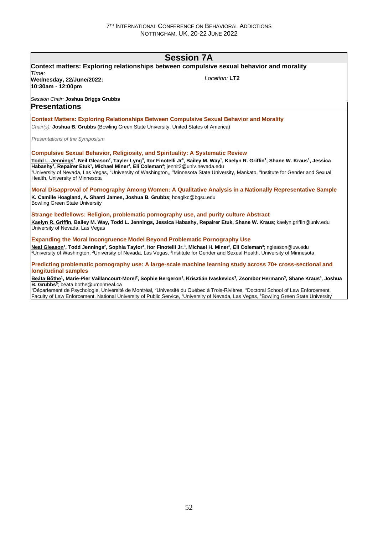# **Session 7A**

| Time:                                                                                                                                                                                                                                                           | Context matters: Exploring relationships between compulsive sexual behavior and morality                                                                                                                                                                                                                                                                                                                                                                                                                                                             |
|-----------------------------------------------------------------------------------------------------------------------------------------------------------------------------------------------------------------------------------------------------------------|------------------------------------------------------------------------------------------------------------------------------------------------------------------------------------------------------------------------------------------------------------------------------------------------------------------------------------------------------------------------------------------------------------------------------------------------------------------------------------------------------------------------------------------------------|
| Wednesday, 22/June/2022:<br>10:30am - 12:00pm                                                                                                                                                                                                                   | Location: LT2                                                                                                                                                                                                                                                                                                                                                                                                                                                                                                                                        |
| Session Chair: Joshua Briggs Grubbs<br><b>Presentations</b>                                                                                                                                                                                                     |                                                                                                                                                                                                                                                                                                                                                                                                                                                                                                                                                      |
| Chair(s): Joshua B. Grubbs (Bowling Green State University, United States of America)                                                                                                                                                                           | <b>Context Matters: Exploring Relationships Between Compulsive Sexual Behavior and Morality</b>                                                                                                                                                                                                                                                                                                                                                                                                                                                      |
| Presentations of the Symposium                                                                                                                                                                                                                                  |                                                                                                                                                                                                                                                                                                                                                                                                                                                                                                                                                      |
| <b>Compulsive Sexual Behavior, Religiosity, and Spirituality: A Systematic Review</b><br>Habashy <sup>1</sup> , Repairer Etuk <sup>1</sup> , Michael Miner <sup>4</sup> , Eli Coleman <sup>4</sup> ; jennit3@unlv.nevada.edu<br>Health, University of Minnesota | Todd L. Jennings <sup>1</sup> , Neil Gleason <sup>2</sup> , Tayler Lyng <sup>3</sup> , Itor Finotelli Jr <sup>4</sup> , Bailey M. Way <sup>1</sup> , Kaelyn R. Griffin <sup>1</sup> , Shane W. Kraus <sup>1</sup> , Jessica<br><sup>1</sup> University of Nevada, Las Vegas, <sup>2</sup> University of Washington,, <sup>3</sup> Minnesota State University, Mankato, <sup>4</sup> Institute for Gender and Sexual                                                                                                                                  |
| K. Camille Hoagland, A. Shanti James, Joshua B. Grubbs; hoaglkc@bgsu.edu<br><b>Bowling Green State University</b>                                                                                                                                               | Moral Disapproval of Pornography Among Women: A Qualitative Analysis in a Nationally Representative Sample                                                                                                                                                                                                                                                                                                                                                                                                                                           |
| Strange bedfellows: Religion, problematic pornography use, and purity culture Abstract<br>University of Nevada, Las Vegas                                                                                                                                       | Kaelyn R. Griffin, Bailey M. Way, Todd L. Jennings, Jessica Habashy, Repairer Etuk, Shane W. Kraus; kaelyn.griffin@unlv.edu                                                                                                                                                                                                                                                                                                                                                                                                                          |
| <b>Expanding the Moral Incongruence Model Beyond Problematic Pornography Use</b>                                                                                                                                                                                | Neal Gleason <sup>1</sup> , Todd Jennings <sup>2</sup> , Sophia Taylor <sup>1</sup> , Itor Finotelli Jr. <sup>3</sup> , Michael H. Miner <sup>3</sup> , Eli Coleman <sup>3</sup> ; ngleason@uw.edu<br><sup>1</sup> University of Washington, <sup>2</sup> University of Nevada, Las Vegas, <sup>3</sup> Institute for Gender and Sexual Health, University of Minnesota                                                                                                                                                                              |
| <b>longitudinal samples</b>                                                                                                                                                                                                                                     | Predicting problematic pornography use: A large-scale machine learning study across 70+ cross-sectional and                                                                                                                                                                                                                                                                                                                                                                                                                                          |
| <b>B. Grubbs</b> <sup>5</sup> ; beata.bothe@umontreal.ca                                                                                                                                                                                                        | Beáta Bőthe <sup>1</sup> , Marie-Pier Vaillancourt-Morel <sup>2</sup> , Sophie Bergeron <sup>1</sup> , Krisztián Ivaskevics <sup>3</sup> , Zsombor Hermann <sup>3</sup> , Shane Kraus <sup>4</sup> , Joshua<br><sup>1</sup> Département de Psychologie, Université de Montréal, <sup>2</sup> Université du Québec à Trois-Rivières, <sup>3</sup> Doctoral School of Law Enforcement,<br>Faculty of Law Enforcement, National University of Public Service, <sup>4</sup> University of Nevada, Las Vegas, <sup>5</sup> Bowling Green State University |
|                                                                                                                                                                                                                                                                 |                                                                                                                                                                                                                                                                                                                                                                                                                                                                                                                                                      |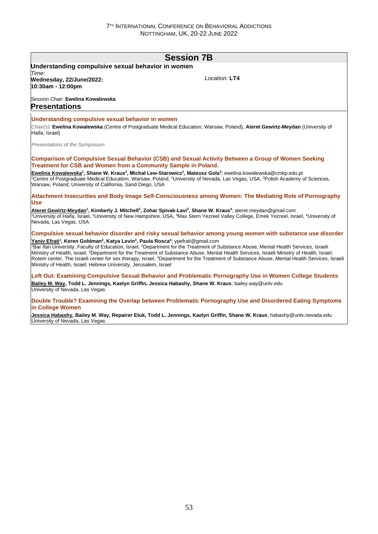# **Session 7B**

#### **Understanding compulsive sexual behavior in women** *Time:*  **Wednesday, 22/June/2022: 10:30am - 12:00pm**

*Location:* **LT4**

### *Session Chair:* **Ewelina Kowalewska**

## **Presentations**

#### **Understanding compulsive sexual behavior in women**

*Chair(s):* **Ewelina Kowalewska** (Centre of Postgraduate Medical Education, Warsaw, Poland), **Ateret Gewirtz-Meydan** (University of Haifa, Israel)

*Presentations of the Symposium*

**Comparison of Compulsive Sexual Behavior (CSB) and Sexual Activity Between a Group of Women Seeking Treatment for CSB and Women from a Community Sample in Poland.**

**Ewelina Kowalewska<sup>1</sup> , Shane W. Kraus<sup>2</sup> , Michał Lew-Starowicz<sup>1</sup> , Mateusz Gola<sup>3</sup>** ; ewelina.kowalewska@cmkp.edu.pl <sup>1</sup>Centre of Postgraduate Medical Education, Warsaw, Poland, <sup>2</sup>University of Nevada, Las Vegas, USA, <sup>3</sup>Polish Academy of Sciences, Warsaw, Poland; University of California, Sand Diego, USA

#### **Attachment Insecurities and Body Image Self-Consciousness among Women: The Mediating Role of Pornography Use**

Ateret Gewirtz-Meydan<sup>1</sup>, Kimberly J. Mitchell<sup>2</sup>, Zohar Spivak-Lavi<sup>3</sup>, Shane W. Kraus<sup>4</sup>; ateret.meydan@gmail.com <sup>1</sup>University of Haifa, Israel, <sup>2</sup>University of New Hampshire, USA, <sup>3</sup>Max Stern Yezreel Valley College, Emek Yezreel, Israel, <sup>4</sup>University of Nevada, Las Vegas, USA

# **Compulsive sexual behavior disorder and risky sexual behavior among young women with substance use disorder**

**Yaniv Efrati<sup>1</sup> , Keren Goldman<sup>2</sup> , Katya Levin<sup>3</sup> , Paula Rosca<sup>4</sup>** ; ypefrati@gmail.com <sup>1</sup>Bar Ilan University, Faculty of Education, Israel, <sup>2</sup>Department for the Treatment of Substance Abuse, Mental Health Services, Israeli Ministry of Health, Israel, <sup>3</sup>Department for the Treatment of Substance Abuse, Mental Health Services, Israeli Ministry of Health, Israel; Rotem center, The Israeli center for sex therapy, Israel, <sup>4</sup>Department for the Treatment of Substance Abuse, Mental Health Services, Israeli Ministry of Health, Israel; Hebrew University, Jerusalem, Israel

#### **Left Out: Examining Compulsive Sexual Behavior and Problematic Pornography Use in Women College Students Bailey M. Way, Todd L. Jennings, Kaelyn Griffin, Jessica Habashy, Shane W. Kraus**; bailey.way@unlv.edu University of Nevada, Las Vegas

#### **Double Trouble? Examining the Overlap between Problematic Pornography Use and Disordered Eating Symptoms in College Women**

Jessica Habashy, Bailey M. Way, Repairer Etuk, Todd L. Jennings, Kaelyn Griffin, Shane W. Kraus; habashy@unlv.nevada.edu University of Nevada, Las Vegas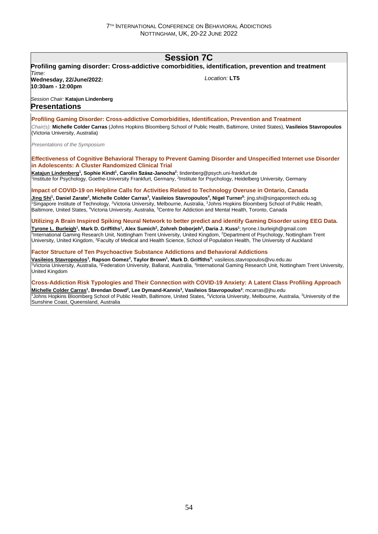# **Session 7C**

| Time:                                                                                                                                                                                             | Profiling gaming disorder: Cross-addictive comorbidities, identification, prevention and treatment                                                                                                                                                                                                                                                                  |
|---------------------------------------------------------------------------------------------------------------------------------------------------------------------------------------------------|---------------------------------------------------------------------------------------------------------------------------------------------------------------------------------------------------------------------------------------------------------------------------------------------------------------------------------------------------------------------|
| Wednesday, 22/June/2022:<br>10:30am - 12:00pm                                                                                                                                                     | Location: LT5                                                                                                                                                                                                                                                                                                                                                       |
| Session Chair: Katajun Lindenberg<br><b>Presentations</b>                                                                                                                                         |                                                                                                                                                                                                                                                                                                                                                                     |
| Profiling Gaming Disorder: Cross-addictive Comorbidities, Identification, Prevention and Treatment                                                                                                |                                                                                                                                                                                                                                                                                                                                                                     |
| (Victoria University, Australia)                                                                                                                                                                  | Chair(s): Michelle Colder Carras (Johns Hopkins Bloomberg School of Public Health, Baltimore, United States), Vasileios Stavropoulos                                                                                                                                                                                                                                |
| Presentations of the Symposium                                                                                                                                                                    |                                                                                                                                                                                                                                                                                                                                                                     |
| in Adolescents: A Cluster Randomized Clinical Trial                                                                                                                                               | Effectiveness of Cognitive Behavioral Therapy to Prevent Gaming Disorder and Unspecified Internet use Disorder                                                                                                                                                                                                                                                      |
| Katajun Lindenberg <sup>1</sup> , Sophie Kindt <sup>1</sup> , Carolin Szász-Janocha <sup>2</sup> ; lindenberg@psych.uni-frankfurt.de                                                              | <sup>1</sup> Institute for Psychology, Goethe-University Frankfurt, Germany, <sup>2</sup> Institute for Psychology, Heidelberg University, Germany                                                                                                                                                                                                                  |
|                                                                                                                                                                                                   | Impact of COVID-19 on Helpline Calls for Activities Related to Technology Overuse in Ontario, Canada                                                                                                                                                                                                                                                                |
| Baltimore, United States, <sup>4</sup> Victoria University, Australia, <sup>5</sup> Centre for Addiction and Mental Health, Toronto, Canada                                                       | Jing Shi <sup>1</sup> , Daniel Zarate <sup>2</sup> , Michelle Colder Carras <sup>3</sup> , Vasileios Stavropoulos <sup>4</sup> , Nigel Turner <sup>5</sup> ; jing.shi@singaporetech.edu.sg<br><sup>1</sup> Singapore Institute of Technology, <sup>2</sup> Victoria University, Melbourne, Australia, <sup>3</sup> Johns Hopkins Bloomberg School of Public Health, |
|                                                                                                                                                                                                   | Utilizing A Brain Inspired Spiking Neural Network to better predict and identify Gaming Disorder using EEG Data.                                                                                                                                                                                                                                                    |
| Tyrone L. Burleigh <sup>1</sup> , Mark D. Griffiths <sup>1</sup> , Alex Sumich <sup>2</sup> , Zohreh Doborjeh <sup>3</sup> , Daria J. Kuss <sup>1</sup> ; tyrone.l.burleigh@gmail.com             | <sup>1</sup> International Gaming Research Unit, Nottingham Trent University, United Kingdom, <sup>2</sup> Department of Psychology, Nottingham Trent<br>University, United Kingdom, <sup>3</sup> Faculty of Medical and Health Science, School of Population Health, The University of Auckland                                                                    |
| <b>Factor Structure of Ten Psychoactive Substance Addictions and Behavioral Addictions</b>                                                                                                        |                                                                                                                                                                                                                                                                                                                                                                     |
| Vasileios Stavropoulos <sup>1</sup> , Rapson Gomez <sup>2</sup> , Taylor Brown <sup>1</sup> , Mark D. Griffiths <sup>3</sup> ; vasileios stavropoulos@vu.edu.au<br><b>United Kingdom</b>          | <sup>1</sup> Victoria University, Australia, <sup>2</sup> Federation University, Ballarat, Australia, <sup>3</sup> International Gaming Research Unit, Nottingham Trent University,                                                                                                                                                                                 |
|                                                                                                                                                                                                   | Cross-Addiction Risk Typologies and Their Connection with COVID-19 Anxiety: A Latent Class Profiling Approach                                                                                                                                                                                                                                                       |
| Michelle Colder Carras <sup>1</sup> , Brendan Dowd <sup>2</sup> , Lee Dymand-Kannis <sup>3</sup> , Vasileios Stavropoulos <sup>2</sup> ; mcarras@jhu.edu<br>Sunshine Coast, Queensland, Australia | <sup>1</sup> Johns Hopkins Bloomberg School of Public Health, Baltimore, United States, <sup>2</sup> Victoria University, Melbourne, Australia, <sup>3</sup> University of the                                                                                                                                                                                      |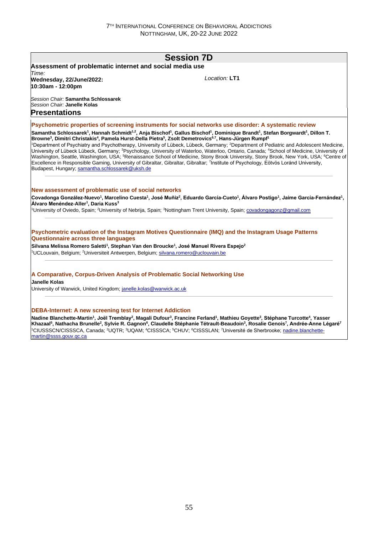|                                                                                                                                                                                                                       | <b>Session 7D</b>                                                                                                                                                                                                                                                                                                                                                                                                                                                                                                                                                                                                                                                                                                                                                                                                                                     |
|-----------------------------------------------------------------------------------------------------------------------------------------------------------------------------------------------------------------------|-------------------------------------------------------------------------------------------------------------------------------------------------------------------------------------------------------------------------------------------------------------------------------------------------------------------------------------------------------------------------------------------------------------------------------------------------------------------------------------------------------------------------------------------------------------------------------------------------------------------------------------------------------------------------------------------------------------------------------------------------------------------------------------------------------------------------------------------------------|
| Assessment of problematic internet and social media use<br>Time:                                                                                                                                                      |                                                                                                                                                                                                                                                                                                                                                                                                                                                                                                                                                                                                                                                                                                                                                                                                                                                       |
| Wednesday, 22/June/2022:<br>10:30am - 12:00pm                                                                                                                                                                         | Location: LT1                                                                                                                                                                                                                                                                                                                                                                                                                                                                                                                                                                                                                                                                                                                                                                                                                                         |
| Session Chair: Samantha Schlossarek<br>Session Chair: Janelle Kolas<br><b>Presentations</b>                                                                                                                           |                                                                                                                                                                                                                                                                                                                                                                                                                                                                                                                                                                                                                                                                                                                                                                                                                                                       |
|                                                                                                                                                                                                                       | Psychometric properties of screening instruments for social networks use disorder: A systematic review                                                                                                                                                                                                                                                                                                                                                                                                                                                                                                                                                                                                                                                                                                                                                |
| Browne <sup>3</sup> , Dimitri Christakis <sup>4</sup> , Pamela Hurst-Della Pietra <sup>5</sup> , Zsolt Demetrovics <sup>6,7</sup> , Hans-Jürgen Rumpf <sup>1</sup><br>Budapest, Hungary; samantha.schlossarek@uksh.de | Samantha Schlossarek <sup>1</sup> , Hannah Schmidt <sup>1,2</sup> , Anja Bischof <sup>1</sup> , Gallus Bischof <sup>1</sup> , Dominique Brandt <sup>1</sup> , Stefan Borgwardt <sup>1</sup> , Dillon T.<br><sup>1</sup> Department of Psychiatry and Psychotherapy, University of Lübeck, Lübeck, Germany; <sup>2</sup> Department of Pediatric and Adolescent Medicine,<br>University of Lübeck Lübeck, Germany; <sup>3</sup> Psychology, University of Waterloo, Waterloo, Ontario, Canada; <sup>4</sup> School of Medicine, University of<br>Washington, Seattle, Washington, USA; <sup>5</sup> Renaissance School of Medicine, Stony Brook University, Stony Brook, New York, USA; <sup>6</sup> Centre of<br>Excellence in Responsible Gaming, University of Gibraltar, Gibraltar, Gibraltar; 7Institute of Psychology, Eötvös Loránd University, |
| New assessment of problematic use of social networks                                                                                                                                                                  |                                                                                                                                                                                                                                                                                                                                                                                                                                                                                                                                                                                                                                                                                                                                                                                                                                                       |
| Álvaro Menéndez-Aller <sup>1</sup> , Daria Kuss <sup>3</sup>                                                                                                                                                          | Covadonga González-Nuevo <sup>1</sup> , Marcelino Cuesta <sup>1</sup> , José Muñiz <sup>2</sup> , Eduardo García-Cueto <sup>1</sup> , Álvaro Postigo <sup>1</sup> , Jaime García-Fernández <sup>1</sup> ,                                                                                                                                                                                                                                                                                                                                                                                                                                                                                                                                                                                                                                             |
|                                                                                                                                                                                                                       | <sup>1</sup> University of Oviedo, Spain; <sup>2</sup> University of Nebrija, Spain; <sup>3</sup> Nottingham Trent University, Spain; covadongagonz@gmail.com                                                                                                                                                                                                                                                                                                                                                                                                                                                                                                                                                                                                                                                                                         |
| <b>Questionnaire across three languages</b>                                                                                                                                                                           | Psychometric evaluation of the Instagram Motives Questionnaire (IMQ) and the Instagram Usage Patterns                                                                                                                                                                                                                                                                                                                                                                                                                                                                                                                                                                                                                                                                                                                                                 |
| Silvana Melissa Romero Saletti <sup>1</sup> , Stephan Van den Broucke <sup>1</sup> , José Manuel Rivera Espejo <sup>2</sup>                                                                                           |                                                                                                                                                                                                                                                                                                                                                                                                                                                                                                                                                                                                                                                                                                                                                                                                                                                       |
| <sup>1</sup> UCLouvain, Belgium; <sup>2</sup> Universiteit Antwerpen, Belgium; silvana.romero@uclouvain.be                                                                                                            |                                                                                                                                                                                                                                                                                                                                                                                                                                                                                                                                                                                                                                                                                                                                                                                                                                                       |
| A Comparative, Corpus-Driven Analysis of Problematic Social Networking Use<br><b>Janelle Kolas</b>                                                                                                                    |                                                                                                                                                                                                                                                                                                                                                                                                                                                                                                                                                                                                                                                                                                                                                                                                                                                       |
| University of Warwick, United Kingdom; janelle.kolas@warwick.ac.uk                                                                                                                                                    |                                                                                                                                                                                                                                                                                                                                                                                                                                                                                                                                                                                                                                                                                                                                                                                                                                                       |
| <b>DEBA-Internet: A new screening test for Internet Addiction</b>                                                                                                                                                     | Nadine Blanchette-Martin <sup>1</sup> , Joël Tremblay <sup>2</sup> , Magali Dufour <sup>3</sup> , Francine Ferland <sup>1</sup> , Mathieu Goyette <sup>3</sup> , Stéphane Turcotte <sup>4</sup> , Yasser<br>Khazaal <sup>5</sup> , Nathacha Brunelle <sup>2</sup> , Sylvie R. Gagnon <sup>6</sup> , Claudelle Stéphanie Tétrault-Beaudoin <sup>3</sup> , Rosalie Genois <sup>7</sup> , Andrée-Anne Légaré <sup>7</sup><br><sup>1</sup> CIUSSSCN/CISSSCA, Canada; <sup>2</sup> UQTR; <sup>3</sup> UQAM; <sup>4</sup> CISSSCA; <sup>5</sup> CHUV; <sup>6</sup> CISSSLAN; <sup>7</sup> Université de Sherbrooke; nadine.blanchette-                                                                                                                                                                                                                      |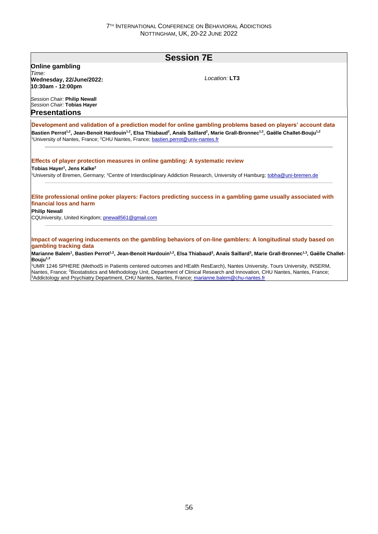# **Session 7E Online gambling** *Time:*  **Wednesday, 22/June/2022: 10:30am - 12:00pm** *Session Chair:* **Philip Newall** *Session Chair:* **Tobias Hayer** *Location:* **LT3 Presentations Development and validation of a prediction model for online gambling problems based on players' account data Bastien Perrot1,2, Jean-Benoit Hardouin1,2, Elsa Thiabaud<sup>2</sup> , Anaïs Saillard<sup>2</sup> , Marie Grall-Bronnec1,2, Gaëlle Challet-Bouju1,2** <sup>1</sup>University of Nantes, France; <sup>2</sup>CHU Nantes, France; bastien.perrot@univ-nantes.fr **Effects of player protection measures in online gambling: A systematic review Tobias Hayer<sup>1</sup> , Jens Kalke<sup>2</sup>** <sup>1</sup>University of Bremen, Germany; <sup>2</sup>Centre of Interdisciplinary Addiction Research, University of Hamburg; tobha@uni-bremen.de **Elite professional online poker players: Factors predicting success in a gambling game usually associated with financial loss and harm Philip Newall** CQUniversity, United Kingdom; pnewall561@gmail.com **Impact of wagering inducements on the gambling behaviors of on-line gamblers: A longitudinal study based on gambling tracking data**

Marianne Balem<sup>1</sup>, Bastien Perrot<sup>1,2</sup>, Jean-Benoit Hardouin<sup>1,2</sup>, Elsa Thiabaud<sup>3</sup>, Anaïs Saillard<sup>3</sup>, Marie Grall-Bronnec<sup>1,3</sup>, Gaëlle Challet-**Bouju1,3**

<sup>1</sup>UMR 1246 SPHERE (MethodS in Patients centered outcomes and HEalth ResEarch), Nantes University, Tours University, INSERM, Nantes, France; <sup>2</sup>Biostatistics and Methodology Unit, Department of Clinical Research and Innovation, CHU Nantes, Nantes, France; <sup>3</sup>Addictology and Psychiatry Department, CHU Nantes, Nantes, France; marianne.balem@chu-nantes.fr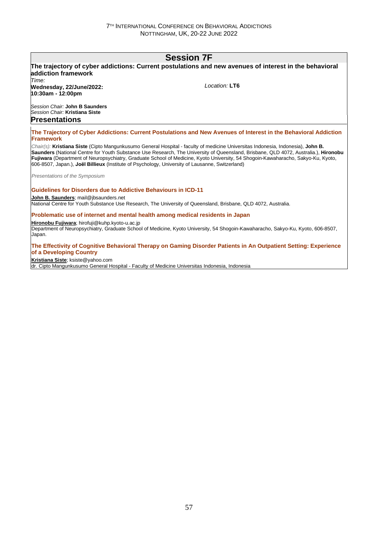# **Session 7F**

# **The trajectory of cyber addictions: Current postulations and new avenues of interest in the behavioral addiction framework** *Time:*  **Wednesday, 22/June/2022: 10:30am - 12:00pm** *Session Chair:* **John B Saunders** *Session Chair:* **Kristiana Siste** *Location:* **LT6 Presentations The Trajectory of Cyber Addictions: Current Postulations and New Avenues of Interest in the Behavioral Addiction Framework** *Chair(s):* **Kristiana Siste** (Cipto Mangunkusumo General Hospital - faculty of medicine Universitas Indonesia, Indonesia), **John B. Saunders** (National Centre for Youth Substance Use Research, The University of Queensland, Brisbane, QLD 4072, Australia.), **Hironobu** *Presentations of the Symposium* **Guidelines for Disorders due to Addictive Behaviours in ICD-11 John B. Saunders**; mail@jbsaunders.net National Centre for Youth Substance Use Research, The University of Queensland, Brisbane, QLD 4072, Australia. **Problematic use of internet and mental health among medical residents in Japan Hironobu Fujiwara**; hirofuji@kuhp.kyoto-u.ac.jp

Department of Neuropsychiatry, Graduate School of Medicine, Kyoto University, 54 Shogoin-Kawaharacho, Sakyo-Ku, Kyoto, 606-8507, Japan.

### **The Effectivity of Cognitive Behavioral Therapy on Gaming Disorder Patients in An Outpatient Setting: Experience of a Developing Country**

**Kristiana Siste**; ksiste@yahoo.com

dr. Cipto Mangunkusumo General Hospital - Faculty of Medicine Universitas Indonesia, Indonesia

**Fujiwara** (Department of Neuropsychiatry, Graduate School of Medicine, Kyoto University, 54 Shogoin-Kawaharacho, Sakyo-Ku, Kyoto, 606-8507, Japan.), **Joël Billieux** (Institute of Psychology, University of Lausanne, Switzerland)

57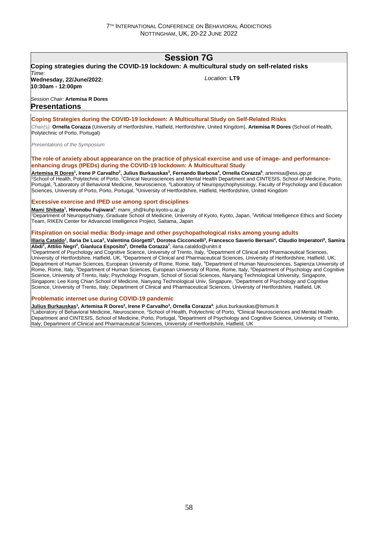# **Session 7G**

# **Coping strategies during the COVID-19 lockdown: A multicultural study on self-related risks** *Time:*

**Wednesday, 22/June/2022: 10:30am - 12:00pm**

*Location:* **LT9**

# *Session Chair:* **Artemisa R Dores**

# **Presentations**

## **Coping Strategies during the COVID-19 lockdown: A Multicultural Study on Self-Related Risks**

*Chair(s):* **Ornella Corazza** (University of Hertfordshire, Hatfield, Hertfordshire, United Kingdom), **Artemisa R Dores** (School of Health, Polytechnic of Porto, Portugal)

*Presentations of the Symposium*

### **The role of anxiety about appearance on the practice of physical exercise and use of image- and performanceenhancing drugs (IPEDs) during the COVID-19 lockdown: A Multicultural Study**

<u>Artemisa R Dores</u><sup>1</sup>, Irene P Carvalho<sup>2</sup>, Julius Burkauskas<sup>3</sup>, Fernando Barbosa<sup>4</sup>, Ornella Corazza<sup>s</sup>; artemisa@ess.ipp.pt <sup>1</sup>School of Health, Polytechnic of Porto, <sup>2</sup>Clinical Neurosciences and Mental Health Department and CINTESIS, School of Medicine, Porto, Portugal, <sup>3</sup>Laboratory of Behavioral Medicine, Neuroscience, <sup>4</sup>Laboratory of Neuropsychophysiology, Faculty of Psychology and Education Sciences, University of Porto, Porto, Portugal, <sup>5</sup>University of Hertfordshire, Hatfield, Hertfordshire, United Kingdom

### **Excessive exercise and IPED use among sport disciplines**

**Mami Shibata<sup>1</sup> , Hironobu Fujiwara<sup>2</sup>** ; mami\_sh@kuhp.kyoto-u.ac.jp

<sup>1</sup>Department of Neuropsychiatry, Graduate School of Medicine, University of Kyoto, Kyoto, Japan, <sup>2</sup>Artificial Intelligence Ethics and Society Team, RIKEN Center for Advanced Intelligence Project, Saitama, Japan

### **Fitspiration on social media: Body-image and other psychopathological risks among young adults**

<u>Illaria Cataldo</u><sup>1</sup>, Ilaria De Luca<sup>2</sup>, Valentina Giorgetti<sup>3</sup>, Dorotea Cicconcelli<sup>3</sup>, Francesco Saverio Bersani<sup>4</sup>, Claudio Imperatori<sup>s</sup>, Samira **Abdi<sup>2</sup> , Attilio Negri<sup>2</sup> , Gianluca Esposito<sup>6</sup> , Ornella Corazza<sup>7</sup>** ; ilaria.cataldo@unitn.it

<sup>1</sup>Department of Psychology and Cognitive Science, University of Trento, Italy, <sup>2</sup>Department of Clinical and Pharmaceutical Sciences University of Hertfordshire, Hatfield, UK, <sup>3</sup>Department of Clinical and Pharmaceutical Sciences, University of Hertfordshire, Hatfield, UK; Department of Human Sciences, European University of Rome, Rome, Italy, <sup>4</sup>Department of Human Neurosciences, Sapienza University of Rome, Rome, Italy, <sup>5</sup>Department of Human Sciences, European University of Rome, Rome, Italy, <sup>6</sup>Department of Psychology and Cognitive Science, University of Trento, Italy; Psychology Program, School of Social Sciences, Nanyang Technological University, Singapore, Singapore; Lee Kong Chian School of Medicine, Nanyang Technological Univ, Singapure, <sup>7</sup>Department of Psychology and Cognitive Science, University of Trento, Italy; Department of Clinical and Pharmaceutical Sciences, University of Hertfordshire, Hatfield, UK

### **Problematic internet use during COVID-19 pandemic**

<u>Julius Burkauskas</u>1, Artemisa R Dores<sup>2</sup>, Irene P Carvalho<sup>3</sup>, Ornella Corazza<sup>4</sup>; julius.burkauskas@lsmuni.lt <sup>1</sup>Laboratory of Behavioral Medicine, Neuroscience, <sup>2</sup>School of Health, Polytechnic of Porto, <sup>3</sup>Clinical Neurosciences and Mental Health Department and CINTESIS, School of Medicine, Porto, Portugal, <sup>4</sup>Department of Psychology and Cognitive Science, University of Trento, Italy; Department of Clinical and Pharmaceutical Sciences, University of Hertfordshire, Hatfield, UK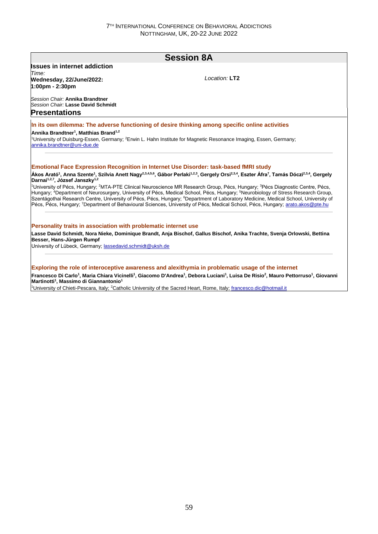|                                                                 | <b>Session 8A</b>                                                                                                                                                                                                                                                                                                                                                                                                                                                                                                                                                                                                                                                                                                                                                                                                                                                                                                                                      |
|-----------------------------------------------------------------|--------------------------------------------------------------------------------------------------------------------------------------------------------------------------------------------------------------------------------------------------------------------------------------------------------------------------------------------------------------------------------------------------------------------------------------------------------------------------------------------------------------------------------------------------------------------------------------------------------------------------------------------------------------------------------------------------------------------------------------------------------------------------------------------------------------------------------------------------------------------------------------------------------------------------------------------------------|
| <b>Issues in internet addiction</b>                             |                                                                                                                                                                                                                                                                                                                                                                                                                                                                                                                                                                                                                                                                                                                                                                                                                                                                                                                                                        |
| Time:                                                           | $I$ ocation: $LT2$                                                                                                                                                                                                                                                                                                                                                                                                                                                                                                                                                                                                                                                                                                                                                                                                                                                                                                                                     |
| Wednesday, 22/June/2022:<br>1:00pm - 2:30pm                     |                                                                                                                                                                                                                                                                                                                                                                                                                                                                                                                                                                                                                                                                                                                                                                                                                                                                                                                                                        |
|                                                                 |                                                                                                                                                                                                                                                                                                                                                                                                                                                                                                                                                                                                                                                                                                                                                                                                                                                                                                                                                        |
| Session Chair: Annika Brandtner                                 |                                                                                                                                                                                                                                                                                                                                                                                                                                                                                                                                                                                                                                                                                                                                                                                                                                                                                                                                                        |
| Session Chair: Lasse David Schmidt                              |                                                                                                                                                                                                                                                                                                                                                                                                                                                                                                                                                                                                                                                                                                                                                                                                                                                                                                                                                        |
| <b>Presentations</b>                                            |                                                                                                                                                                                                                                                                                                                                                                                                                                                                                                                                                                                                                                                                                                                                                                                                                                                                                                                                                        |
|                                                                 | In its own dilemma: The adverse functioning of desire thinking among specific online activities                                                                                                                                                                                                                                                                                                                                                                                                                                                                                                                                                                                                                                                                                                                                                                                                                                                        |
| Annika Brandtner <sup>1</sup> , Matthias Brand <sup>1,2</sup>   |                                                                                                                                                                                                                                                                                                                                                                                                                                                                                                                                                                                                                                                                                                                                                                                                                                                                                                                                                        |
|                                                                 | <sup>1</sup> University of Duisburg-Essen, Germany; <sup>2</sup> Erwin L. Hahn Institute for Magnetic Resonance Imaging, Essen, Germany;                                                                                                                                                                                                                                                                                                                                                                                                                                                                                                                                                                                                                                                                                                                                                                                                               |
| annika.brandtner@uni-due.de                                     |                                                                                                                                                                                                                                                                                                                                                                                                                                                                                                                                                                                                                                                                                                                                                                                                                                                                                                                                                        |
| Darnai <sup>1,2,7</sup> , József Janszky <sup>1,2</sup>         | <b>Emotional Face Expression Recognition in Internet Use Disorder: task-based fMRI study</b><br>Ákos Arató <sup>1</sup> , Anna Szente <sup>1</sup> , Szilvia Anett Nagy <sup>2,3,4,5,6</sup> , Gábor Perlaki <sup>1,2,3</sup> , Gergely Orsi <sup>2,3,4</sup> , Eszter Áfra <sup>7</sup> , Tamás Dóczi <sup>2,3,4</sup> , Gergely<br><sup>1</sup> University of Pécs, Hungary; <sup>2</sup> MTA-PTE Clinical Neuroscience MR Research Group, Pécs, Hungary; <sup>3</sup> Pécs Diagnostic Centre, Pécs,<br>Hungary; <sup>4</sup> Department of Neurosurgery, University of Pécs, Medical School, Pécs, Hungary; <sup>5</sup> Neurobiology of Stress Research Group,<br>Szentágothai Research Centre, University of Pécs, Pécs, Hungary; <sup>6</sup> Department of Laboratory Medicine, Medical School, University of<br>Pécs, Pécs, Hungary; 7Department of Behavioural Sciences, University of Pécs, Medical School, Pécs, Hungary; arato.akos@pte.hu |
|                                                                 |                                                                                                                                                                                                                                                                                                                                                                                                                                                                                                                                                                                                                                                                                                                                                                                                                                                                                                                                                        |
| Personality traits in association with problematic internet use |                                                                                                                                                                                                                                                                                                                                                                                                                                                                                                                                                                                                                                                                                                                                                                                                                                                                                                                                                        |
|                                                                 | Lasse David Schmidt, Nora Nieke, Dominique Brandt, Anja Bischof, Gallus Bischof, Anika Trachte, Svenja Orlowski, Bettina                                                                                                                                                                                                                                                                                                                                                                                                                                                                                                                                                                                                                                                                                                                                                                                                                               |
| Besser, Hans-Jürgen Rumpf                                       |                                                                                                                                                                                                                                                                                                                                                                                                                                                                                                                                                                                                                                                                                                                                                                                                                                                                                                                                                        |

**Exploring the role of interoceptive awareness and alexithymia in problematic usage of the internet**

**Francesco Di Carlo<sup>1</sup> , Maria Chiara Vicinelli<sup>1</sup> , Giacomo D'Andrea<sup>1</sup> , Debora Luciani<sup>1</sup> , Luisa De Risio<sup>2</sup> , Mauro Pettorruso<sup>1</sup> , Giovanni Martinotti<sup>1</sup> , Massimo di Giannantonio<sup>1</sup>**

<sup>1</sup>University of Chieti-Pescara, Italy; <sup>2</sup>Catholic University of the Sacred Heart, Rome, Italy; francesco.dic@hotmail.it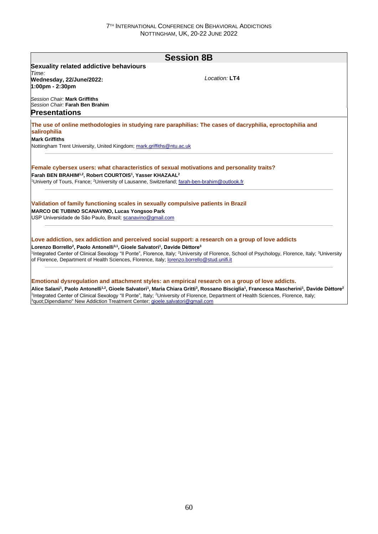|                                                                                                                                                                                           | <b>Session 8B</b>                                                                                         |
|-------------------------------------------------------------------------------------------------------------------------------------------------------------------------------------------|-----------------------------------------------------------------------------------------------------------|
| Sexuality related addictive behaviours                                                                                                                                                    |                                                                                                           |
| Time:                                                                                                                                                                                     |                                                                                                           |
| Wednesday, 22/June/2022:<br>1:00pm - 2:30pm                                                                                                                                               | Location: LT4                                                                                             |
| Session Chair: Mark Griffiths<br>Session Chair: Farah Ben Brahim                                                                                                                          |                                                                                                           |
| <b>Presentations</b>                                                                                                                                                                      |                                                                                                           |
| salirophilia                                                                                                                                                                              | The use of online methodologies in studying rare paraphilias: The cases of dacryphilia, eproctophilia and |
| <b>Mark Griffiths</b>                                                                                                                                                                     |                                                                                                           |
| Nottingham Trent University, United Kingdom; mark.griffiths@ntu.ac.uk                                                                                                                     |                                                                                                           |
| Female cybersex users: what characteristics of sexual motivations and personality traits?<br>Farah BEN BRAHIM <sup>1,2</sup> , Robert COURTOIS <sup>1</sup> , Yasser KHAZAAL <sup>2</sup> |                                                                                                           |
| <sup>1</sup> Univerty of Tours, France; <sup>2</sup> University of Lausanne, Switzerland; farah-ben-brahim@outlook.fr                                                                     |                                                                                                           |
| Validation of family functioning scales in sexually compulsive patients in Brazil<br><b>MARCO DE TUBINO SCANAVINO, Lucas Yongsoo Park</b>                                                 |                                                                                                           |
| USP Universidade de São Paulo, Brazil; scanavino@gmail.com                                                                                                                                |                                                                                                           |
| Lorenzo Borrello <sup>2</sup> , Paolo Antonelli <sup>3,1</sup> , Gioele Salvatori <sup>1</sup> , Davide Dèttore <sup>3</sup>                                                              | Love addiction, sex addiction and perceived social support: a research on a group of love addicts         |

Alice Salani<sup>1</sup>, Paolo Antonelli<sup>1,2</sup>, Gioele Salvatori<sup>1</sup>, Maria Chiara Gritti<sup>3</sup>, Rossano Bisciglia<sup>1</sup>, Francesca Mascherini<sup>1</sup>, Davide Dèttore<sup>2</sup> <sup>1</sup>Integrated Center of Clinical Sexology "Il Ponte", Italy; <sup>2</sup>University of Florence, Department of Health Sciences, Florence, Italy; <sup>3</sup>quot;Dipendiamo" New Addiction Treatment Center; **gioele.salvatori@gmail.com**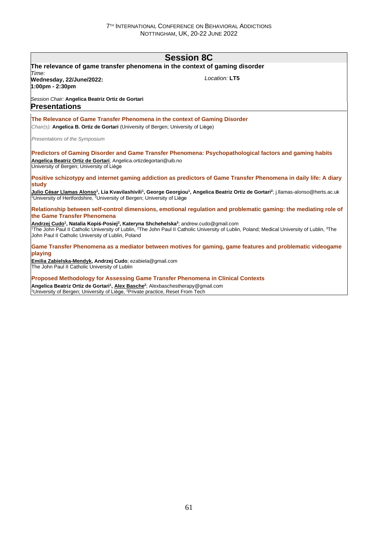| <b>Session 8C</b>                                                                                                                                                               |                                                                                                                                                                                        |  |
|---------------------------------------------------------------------------------------------------------------------------------------------------------------------------------|----------------------------------------------------------------------------------------------------------------------------------------------------------------------------------------|--|
| The relevance of game transfer phenomena in the context of gaming disorder<br>Time:                                                                                             |                                                                                                                                                                                        |  |
| Wednesday, 22/June/2022:<br>$1:00 \text{pm} - 2:30 \text{pm}$                                                                                                                   | Location: LT5                                                                                                                                                                          |  |
| Session Chair: Angelica Beatriz Ortiz de Gortari<br><b>Presentations</b>                                                                                                        |                                                                                                                                                                                        |  |
| The Relevance of Game Transfer Phenomena in the context of Gaming Disorder                                                                                                      |                                                                                                                                                                                        |  |
| <i>Chair(s):</i> Angelica B. Ortiz de Gortari (University of Bergen; University of Liège)                                                                                       |                                                                                                                                                                                        |  |
| Presentations of the Symposium                                                                                                                                                  |                                                                                                                                                                                        |  |
| Angelica Beatriz Ortiz de Gortari; Angelica.ortizdegortari@uib.no<br>University of Bergen; University of Liège                                                                  | Predictors of Gaming Disorder and Game Transfer Phenomena: Psychopathological factors and gaming habits                                                                                |  |
| study                                                                                                                                                                           | Positive schizotypy and internet gaming addiction as predictors of Game Transfer Phenomena in daily life: A diary                                                                      |  |
| <sup>1</sup> University of Hertfordshire, <sup>2</sup> University of Bergen; University of Liège                                                                                | Julio César Llamas Alonso <sup>1</sup> , Lia Kvavilashivili <sup>1</sup> , George Georgiou <sup>1</sup> , Angelica Beatriz Ortiz de Gortari <sup>2</sup> ; i.llamas-alonso@herts.ac.uk |  |
| the Game Transfer Phenomena                                                                                                                                                     | Relationship between self-control dimensions, emotional regulation and problematic gaming: the mediating role of                                                                       |  |
| Andrzej Cudo <sup>1</sup> , Natalia Kopiś-Posiej <sup>2</sup> , Kateryna Shchehelska <sup>3</sup> ; andrew.cudo@gmail.com<br>John Paul II Catholic University of Lublin, Poland | <sup>1</sup> The John Paul II Catholic University of Lublin, <sup>2</sup> The John Paul II Catholic University of Lublin, Poland: Medical University of Lublin, <sup>3</sup> The       |  |
| playing                                                                                                                                                                         | Game Transfer Phenomena as a mediator between motives for gaming, game features and problematic videogame                                                                              |  |
| Emilia Zabielska-Mendyk, Andrzej Cudo; ezabiela@gmail.com<br>The John Paul II Catholic University of Lublin                                                                     |                                                                                                                                                                                        |  |

**Proposed Methodology for Assessing Game Transfer Phenomena in Clinical Contexts**

**Angelica Beatriz Ortiz de Gortari<sup>1</sup> , Alex Basche<sup>2</sup>** ; Alexbaschestherapy@gmail.com <sup>1</sup>University of Bergen; University of Liège, <sup>2</sup>Private practice, Reset From Tech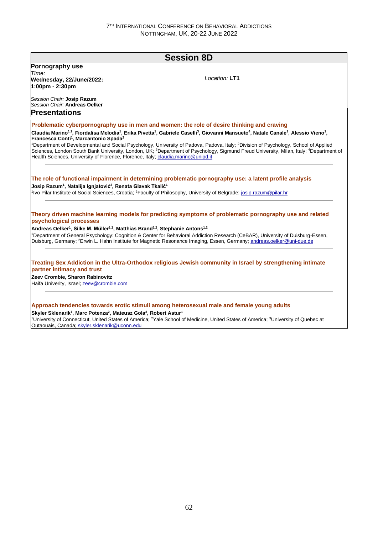# **Session 8D Pornography use** *Time:*  **Wednesday, 22/June/2022: 1:00pm - 2:30pm** *Session Chair:* **Josip Razum** *Session Chair:* **Andreas Oelker** *Location:* **LT1 Presentations Problematic cyberpornography use in men and women: the role of desire thinking and craving** Claudia Marino<sup>1,2</sup>, Fiordalisa Melodia<sup>1</sup>, Erika Pivetta<sup>1</sup>, Gabriele Caselli<sup>3</sup>, Giovanni Mansueto<sup>4</sup>, Natale Canale<sup>1</sup>, Alessio Vieno<sup>1</sup>, **Francesca Conti<sup>1</sup> , Marcantonio Spada<sup>2</sup>** <sup>1</sup>Department of Developmental and Social Psychology, University of Padova, Padova, Italy; <sup>2</sup>Division of Psychology, School of Applied Sciences, London South Bank University, London, UK; <sup>3</sup>Department of Psychology, Sigmund Freud University, Milan, Italy; <sup>4</sup>Department of Health Sciences, University of Florence, Florence, Italy; claudia.marino@unipd.it **The role of functional impairment in determining problematic pornography use: a latent profile analysis Josip Razum<sup>1</sup> , Natalija Ignjatović<sup>2</sup> , Renata Glavak Tkalić<sup>1</sup>** <sup>1</sup>Ivo Pilar Institute of Social Sciences, Croatia; <sup>2</sup>Faculty of Philosophy, University of Belgrade; josip.razum@pilar.hr **Theory driven machine learning models for predicting symptoms of problematic pornography use and related psychological processes Andreas Oelker<sup>1</sup> , Silke M. Müller1,2, Matthias Brand1,2, Stephanie Antons1,2** <sup>1</sup>Department of General Psychology: Cognition & Center for Behavioral Addiction Research (CeBAR), University of Duisburg-Essen, Duisburg, Germany; <sup>2</sup>Erwin L. Hahn Institute for Magnetic Resonance Imaging, Essen, Germany; andreas.oelker@uni-due.de **Treating Sex Addiction in the Ultra-Orthodox religious Jewish community in Israel by strengthening intimate partner intimacy and trust Zeev Crombie, Sharon Rabinovitz** Haifa Univerity, Israel; zeev@crombie.com **Approach tendencies towards erotic stimuli among heterosexual male and female young adults Skyler Sklenarik<sup>1</sup> , Marc Potenza<sup>2</sup> , Mateusz Gola<sup>3</sup> , Robert Astur<sup>1</sup>** <sup>1</sup>University of Connecticut, United States of America; <sup>2</sup>Yale School of Medicine, United States of America; <sup>3</sup>University of Quebec at Outaouais, Canada; skyler.sklenarik@uconn.edu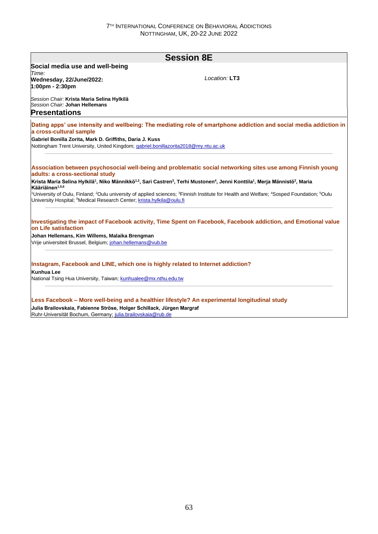| <b>Session 8E</b>                                                                   |                                                                                                                                                                                                       |  |
|-------------------------------------------------------------------------------------|-------------------------------------------------------------------------------------------------------------------------------------------------------------------------------------------------------|--|
| Social media use and well-being                                                     |                                                                                                                                                                                                       |  |
| Time:                                                                               | Location: LT3                                                                                                                                                                                         |  |
| Wednesday, 22/June/2022:<br>1:00pm - 2:30pm                                         |                                                                                                                                                                                                       |  |
|                                                                                     |                                                                                                                                                                                                       |  |
| Session Chair: Krista Maria Selina Hylkilä                                          |                                                                                                                                                                                                       |  |
| Session Chair: Johan Hellemans                                                      |                                                                                                                                                                                                       |  |
| <b>Presentations</b>                                                                |                                                                                                                                                                                                       |  |
| a cross-cultural sample                                                             | Dating apps' use intensity and wellbeing: The mediating role of smartphone addiction and social media addiction in                                                                                    |  |
| Gabriel Bonilla Zorita, Mark D. Griffiths, Daria J. Kuss                            |                                                                                                                                                                                                       |  |
| Nottingham Trent University, United Kingdom; gabriel.bonillazorita2018@my.ntu.ac.uk |                                                                                                                                                                                                       |  |
|                                                                                     |                                                                                                                                                                                                       |  |
| adults: a cross-sectional study                                                     | Association between psychosocial well-being and problematic social networking sites use among Finnish young                                                                                           |  |
| Kääriäinen <sup>1,5,6</sup>                                                         | Krista Maria Selina Hylkilä <sup>1</sup> , Niko Männikkö <sup>1,2</sup> , Sari Castren <sup>3</sup> , Terhi Mustonen <sup>4</sup> , Jenni Konttila <sup>1</sup> , Merja Männistö <sup>2</sup> , Maria |  |
| University Hospital; <sup>6</sup> Medical Research Center; krista.hylkila@oulu.fi   | <sup>1</sup> University of Oulu, Finland; <sup>2</sup> Oulu university of applied sciences; <sup>3</sup> Finnish Institute for Health and Welfare; <sup>4</sup> Sosped Foundation; <sup>5</sup> Oulu  |  |
| on Life satisfaction                                                                | Investigating the impact of Facebook activity, Time Spent on Facebook, Facebook addiction, and Emotional value                                                                                        |  |
| Johan Hellemans, Kim Willems, Malaika Brengman                                      |                                                                                                                                                                                                       |  |
| Vrije universiteit Brussel, Belgium; johan.hellemans@vub.be                         |                                                                                                                                                                                                       |  |
| Instagram, Facebook and LINE, which one is highly related to Internet addiction?    |                                                                                                                                                                                                       |  |
| <b>Kunhua Lee</b>                                                                   |                                                                                                                                                                                                       |  |

**Less Facebook – More well-being and a healthier lifestyle? An experimental longitudinal study Julia Brailovskaia, Fabienne Ströse, Holger Schillack, Jürgen Margraf** Ruhr-Universität Bochum, Germany; julia.brailovskaia@rub.de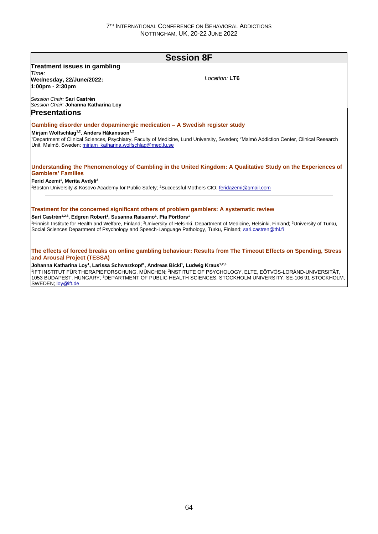| <b>Session 8F</b>                                                                                                                  |                                                                                                                                                                                   |  |
|------------------------------------------------------------------------------------------------------------------------------------|-----------------------------------------------------------------------------------------------------------------------------------------------------------------------------------|--|
| <b>Treatment issues in gambling</b>                                                                                                |                                                                                                                                                                                   |  |
| Time:                                                                                                                              |                                                                                                                                                                                   |  |
| Wednesday, 22/June/2022:<br>1:00pm - 2:30pm                                                                                        | Location: LT6                                                                                                                                                                     |  |
| Session Chair: Sari Castrén<br>Session Chair: Johanna Katharina Loy                                                                |                                                                                                                                                                                   |  |
| <b>Presentations</b>                                                                                                               |                                                                                                                                                                                   |  |
| Gambling disorder under dopaminergic medication - A Swedish register study                                                         |                                                                                                                                                                                   |  |
| Mirjam Wolfschlag <sup>1,2</sup> , Anders Håkansson <sup>1,2</sup>                                                                 |                                                                                                                                                                                   |  |
|                                                                                                                                    | <sup>1</sup> Department of Clinical Sciences, Psychiatry, Faculty of Medicine, Lund University, Sweden; <sup>2</sup> Malmö Addiction Center, Clinical Research                    |  |
| Unit, Malmö, Sweden; mirjam_katharina.wolfschlag@med.lu.se                                                                         |                                                                                                                                                                                   |  |
| <b>Gamblers' Families</b><br>Ferid Azemi <sup>1</sup> , Merita Avdyli <sup>2</sup>                                                 | Boston University & Kosovo Academy for Public Safety: <sup>2</sup> Successful Mothers CIO: feridazemi@gmail.com                                                                   |  |
|                                                                                                                                    | Treatment for the concerned significant others of problem gamblers: A systematic review                                                                                           |  |
| Sari Castrén <sup>1,2,3</sup> , Edgren Robert <sup>1</sup> , Susanna Raisamo <sup>1</sup> , Pia Pörtfors <sup>1</sup>              |                                                                                                                                                                                   |  |
|                                                                                                                                    | <sup>1</sup> Finnish Institute for Health and Welfare, Finland: <sup>2</sup> University of Helsinki, Department of Medicine, Helsinki, Finland: <sup>3</sup> University of Turku, |  |
|                                                                                                                                    | Social Sciences Department of Psychology and Speech-Language Pathology, Turku, Finland; sari.castren@thl.fi                                                                       |  |
|                                                                                                                                    |                                                                                                                                                                                   |  |
| and Arousal Project (TESSA)                                                                                                        | The effects of forced breaks on online gambling behaviour: Results from The Timeout Effects on Spending, Stress                                                                   |  |
| Johanna Katharina Loy <sup>1</sup> , Larissa Schwarzkopf <sup>1</sup> , Andreas Bickl <sup>1</sup> , Ludwig Kraus <sup>1,2,3</sup> |                                                                                                                                                                                   |  |
|                                                                                                                                    | 11FT INSTITLIT FÜR THERAPIEFORSCHLING, MÜNCHEN: <sup>2</sup> INSTITLITE OF PSYCHOLOGY, ELTE, FÖTVÖS LORÁND LINIVERSITÄT,                                                          |  |

1 IFT INSTITUT FÜR THERAPIEFORSCHUNG, MÜNCHEN; <sup>2</sup> INSTITUTE OF PSYCHOLOGY, ELTE, EÖTVÖS-LORÁND-UNIVERSITÄT, 1053 BUDAPEST, HUNGARY; <sup>3</sup>DEPARTMENT OF PUBLIC HEALTH SCIENCES, STOCKHOLM UNIVERSITY, SE-106 91 STOCKHOLM, SWEDEN; loy@ift.de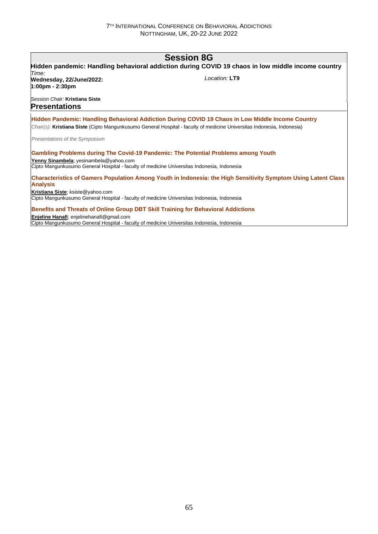# **Session 8G Hidden pandemic: Handling behavioral addiction during COVID 19 chaos in low middle income country** *Time:*  **Wednesday, 22/June/2022: 1:00pm - 2:30pm** *Session Chair:* **Kristiana Siste** *Location:* **LT9 Presentations Hidden Pandemic: Handling Behavioral Addiction During COVID 19 Chaos in Low Middle Income Country** *Chair(s):* **Kristiana Siste** (Cipto Mangunkusumo General Hospital - faculty of medicine Universitas Indonesia, Indonesia) *Presentations of the Symposium* **Gambling Problems during The Covid-19 Pandemic: The Potential Problems among Youth Yenny Sinambela**; yesinambela@yahoo.com Cipto Mangunkusumo General Hospital - faculty of medicine Universitas Indonesia, Indonesia **Characteristics of Gamers Population Among Youth in Indonesia: the High Sensitivity Symptom Using Latent Class Analysis Kristiana Siste**; ksiste@yahoo.com Cipto Mangunkusumo General Hospital - faculty of medicine Universitas Indonesia, Indonesia **Benefits and Threats of Online Group DBT Skill Training for Behavioral Addictions Enjeline Hanafi**; enjelinehanafi@gmail.com

Cipto Mangunkusumo General Hospital - faculty of medicine Universitas Indonesia, Indonesia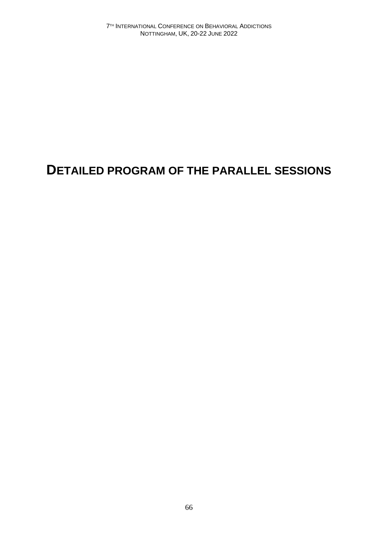# **DETAILED PROGRAM OF THE PARALLEL SESSIONS**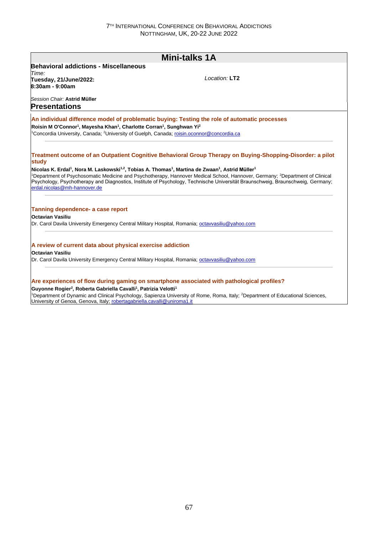|                                                                                                                                                                                                                                                           | <b>Mini-talks 1A</b>                                                                                                                                                                                                                                                                    |
|-----------------------------------------------------------------------------------------------------------------------------------------------------------------------------------------------------------------------------------------------------------|-----------------------------------------------------------------------------------------------------------------------------------------------------------------------------------------------------------------------------------------------------------------------------------------|
| <b>Behavioral addictions - Miscellaneous</b>                                                                                                                                                                                                              |                                                                                                                                                                                                                                                                                         |
| Time:                                                                                                                                                                                                                                                     | $I$ ocation: $LT2$                                                                                                                                                                                                                                                                      |
| Tuesday, 21/June/2022:<br>8:30am - 9:00am                                                                                                                                                                                                                 |                                                                                                                                                                                                                                                                                         |
|                                                                                                                                                                                                                                                           |                                                                                                                                                                                                                                                                                         |
| Session Chair: Astrid Müller                                                                                                                                                                                                                              |                                                                                                                                                                                                                                                                                         |
| <b>Presentations</b>                                                                                                                                                                                                                                      |                                                                                                                                                                                                                                                                                         |
|                                                                                                                                                                                                                                                           | An individual difference model of problematic buying: Testing the role of automatic processes                                                                                                                                                                                           |
| Roisin M O'Connor <sup>1</sup> , Mayesha Khan <sup>1</sup> , Charlotte Corran <sup>1</sup> , Sunghwan Yi <sup>2</sup>                                                                                                                                     |                                                                                                                                                                                                                                                                                         |
| <sup>1</sup> Concordia University, Canada: <sup>2</sup> University of Guelph, Canada; roisin.oconnor@concordia.ca                                                                                                                                         |                                                                                                                                                                                                                                                                                         |
|                                                                                                                                                                                                                                                           |                                                                                                                                                                                                                                                                                         |
|                                                                                                                                                                                                                                                           | Treatment outcome of an Outpatient Cognitive Behavioral Group Therapy on Buying-Shopping-Disorder: a pilot                                                                                                                                                                              |
| study                                                                                                                                                                                                                                                     |                                                                                                                                                                                                                                                                                         |
| Nicolas K. Erdal <sup>1</sup> , Nora M. Laskowski <sup>1,2</sup> , Tobias A. Thomas <sup>1</sup> , Martina de Zwaan <sup>1</sup> , Astrid Müller <sup>1</sup>                                                                                             |                                                                                                                                                                                                                                                                                         |
|                                                                                                                                                                                                                                                           | <sup>1</sup> Department of Psychosomatic Medicine and Psychotherapy, Hannover Medical School, Hannover, Germany; <sup>2</sup> Department of Clinical<br>Psychology, Psychotherapy and Diagnostics, Institute of Psychology, Technische Universität Braunschweig, Braunschweig, Germany; |
|                                                                                                                                                                                                                                                           |                                                                                                                                                                                                                                                                                         |
|                                                                                                                                                                                                                                                           |                                                                                                                                                                                                                                                                                         |
| erdal.nicolas@mh-hannover.de                                                                                                                                                                                                                              |                                                                                                                                                                                                                                                                                         |
|                                                                                                                                                                                                                                                           |                                                                                                                                                                                                                                                                                         |
|                                                                                                                                                                                                                                                           |                                                                                                                                                                                                                                                                                         |
|                                                                                                                                                                                                                                                           |                                                                                                                                                                                                                                                                                         |
|                                                                                                                                                                                                                                                           |                                                                                                                                                                                                                                                                                         |
|                                                                                                                                                                                                                                                           |                                                                                                                                                                                                                                                                                         |
|                                                                                                                                                                                                                                                           |                                                                                                                                                                                                                                                                                         |
| Tanning dependence- a case report<br><b>Octavian Vasiliu</b><br>Dr. Carol Davila University Emergency Central Military Hospital, Romania; octavvasiliu@yahoo.com<br>A review of current data about physical exercise addiction<br><b>Octavian Vasiliu</b> |                                                                                                                                                                                                                                                                                         |
| Dr. Carol Davila University Emergency Central Military Hospital, Romania; octavvasiliu@yahoo.com                                                                                                                                                          |                                                                                                                                                                                                                                                                                         |
|                                                                                                                                                                                                                                                           |                                                                                                                                                                                                                                                                                         |
|                                                                                                                                                                                                                                                           | Are experiences of flow during gaming on smartphone associated with pathological profiles?                                                                                                                                                                                              |
| Guyonne Rogier <sup>2</sup> , Roberta Gabriella Cavalli <sup>1</sup> , Patrizia Velotti <sup>1</sup>                                                                                                                                                      | <sup>1</sup> Department of Dynamic and Clinical Psychology, Sapienza University of Rome, Roma, Italy; <sup>2</sup> Department of Educational Sciences,                                                                                                                                  |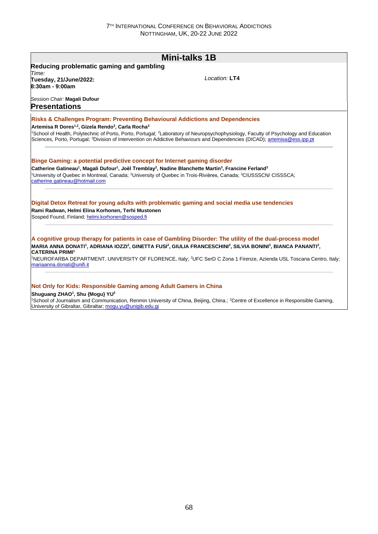|                                                                                                                                                                                                                                                                                  | <b>Mini-talks 1B</b>                                                                                                                                                                                                                                                                                  |
|----------------------------------------------------------------------------------------------------------------------------------------------------------------------------------------------------------------------------------------------------------------------------------|-------------------------------------------------------------------------------------------------------------------------------------------------------------------------------------------------------------------------------------------------------------------------------------------------------|
| Reducing problematic gaming and gambling                                                                                                                                                                                                                                         |                                                                                                                                                                                                                                                                                                       |
| Time:<br>Tuesday, 21/June/2022:<br>8:30am - 9:00am                                                                                                                                                                                                                               | Location: LT4                                                                                                                                                                                                                                                                                         |
| Session Chair: Magali Dufour<br><b>Presentations</b>                                                                                                                                                                                                                             |                                                                                                                                                                                                                                                                                                       |
| <b>Risks &amp; Challenges Program: Preventing Behavioural Addictions and Dependencies</b><br>Artemisa R Dores <sup>1,2</sup> , Gizela Rendo <sup>3</sup> , Carla Rocha <sup>3</sup>                                                                                              |                                                                                                                                                                                                                                                                                                       |
|                                                                                                                                                                                                                                                                                  | <sup>1</sup> School of Health, Polytechnic of Porto, Porto, Portugal; <sup>2</sup> Laboratory of Neuropsychophysiology, Faculty of Psychology and Education<br>Sciences, Porto, Portugal; <sup>3</sup> Division of Intervention on Addictive Behaviours and Dependencies (DICAD); artemisa@ess.ipp.pt |
|                                                                                                                                                                                                                                                                                  |                                                                                                                                                                                                                                                                                                       |
|                                                                                                                                                                                                                                                                                  |                                                                                                                                                                                                                                                                                                       |
|                                                                                                                                                                                                                                                                                  | <sup>1</sup> University of Quebec in Montreal, Canada: <sup>2</sup> University of Quebec in Trois-Rivières, Canada: <sup>3</sup> CIUSSSCN/ CISSSCA:                                                                                                                                                   |
| Binge Gaming: a potential predictive concept for Internet gaming disorder<br>Catherine Gatineau <sup>1</sup> , Magali Dufour <sup>1</sup> , Joël Tremblay <sup>2</sup> , Nadine Blanchette Martin <sup>3</sup> , Francine Ferland <sup>3</sup><br>catherine.gatineau@hotmail.com | Digital Detox Retreat for young adults with problematic gaming and social media use tendencies                                                                                                                                                                                                        |
| Rami Radwan, Helmi Elina Korhonen, Terhi Mustonen<br>Sosped Found, Finland; helmi.korhonen@sosped.fi                                                                                                                                                                             |                                                                                                                                                                                                                                                                                                       |
|                                                                                                                                                                                                                                                                                  | A cognitive group therapy for patients in case of Gambling Disorder: The utility of the dual-process model                                                                                                                                                                                            |
| <b>CATERINA PRIMI<sup>1</sup></b>                                                                                                                                                                                                                                                | MARIA ANNA DONATI <sup>1</sup> , ADRIANA IOZZI <sup>2</sup> , GINETTA FUSI <sup>2</sup> , GIULIA FRANCESCHINI <sup>2</sup> , SILVIA BONINI <sup>2</sup> , BIANCA PANANTI <sup>2</sup> ,                                                                                                               |

**Not Only for Kids: Responsible Gaming among Adult Gamers in China**

#### **Shuguang ZHAO<sup>1</sup> , Shu {Mogu} YU<sup>2</sup>**

<sup>1</sup>School of Journalism and Communication, Renmin University of China, Beijing, China.; <sup>2</sup>Centre of Excellence in Responsible Gaming, University of Gibraltar, Gibraltar; mogu.yu@unigib.edu.gi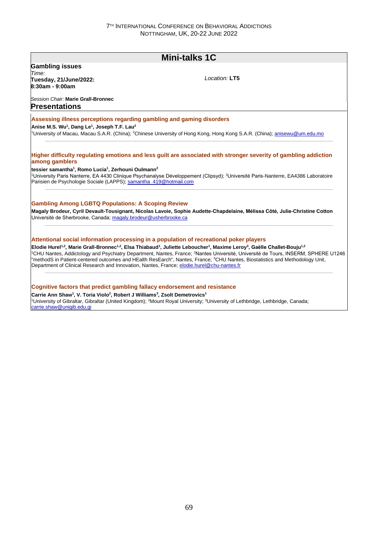# **Mini-talks 1C**

**Gambling issues**

*Time:*  **Tuesday, 21/June/2022: 8:30am - 9:00am**

*Location:* **LT5**

*Session Chair:* **Marie Grall-Bronnec Presentations**

#### **Assessing illness perceptions regarding gambling and gaming disorders**

**Anise M.S. Wu<sup>1</sup> , Dang Le<sup>1</sup> , Joseph T.F. Lau<sup>2</sup>**

<sup>1</sup>University of Macau, Macau S.A.R. (China); <sup>2</sup>Chinese University of Hong Kong, Hong Kong S.A.R. (China); anisewu@um.edu.mo

### **Higher difficulty regulating emotions and less guilt are associated with stronger severity of gambling addiction among gamblers**

**tessier samantha<sup>1</sup> , Romo Lucia<sup>1</sup> , Zerhouni Oulmann<sup>2</sup>** <sup>1</sup>University Paris Nanterre, EA 4430 Clinique Psychanalyse Développement (Clipsyd); <sup>2</sup>Université Paris-Nanterre, EA4386 Laboratoire Parisien de Psychologie Sociale (LAPPS); samantha\_419@hotmail.com

### **Gambling Among LGBTQ Populations: A Scoping Review**

**Magaly Brodeur, Cyril Devault-Tousignant, Nicolas Lavoie, Sophie Audette-Chapdelaine, Mélissa Côté, Julie-Christine Cotton** Université de Sherbrooke, Canada; magaly.brodeur@usherbrooke.ca

#### **Attentional social information processing in a population of recreational poker players**

**Elodie Hurel1,2, Marie Grall-Bronnec1,2, Elsa Thiabaud<sup>1</sup> , Juliette Leboucher<sup>1</sup> , Maxime Leroy<sup>3</sup> , Gaëlle Challet-Bouju1,2** <sup>1</sup>CHU Nantes, Addictology and Psychiatry Department, Nantes, France; <sup>2</sup>Nantes Université, Université de Tours, INSERM, SPHERE U1246 "methodS in Patient-centered outcomes and HEalth ResEarch", Nantes, France; <sup>3</sup>CHU Nantes, Biostatistics and Methodology Unit, Department of Clinical Research and Innovation, Nantes, France; elodie.hurel@chu-nantes.fr

#### **Cognitive factors that predict gambling fallacy endorsement and resistance**

**Carrie Ann Shaw<sup>1</sup> , V. Toria Violo<sup>2</sup> , Robert J Williams<sup>3</sup> , Zsolt Demetrovics<sup>1</sup>** <sup>1</sup>University of Gibraltar, Gibraltar (United Kingdom); <sup>2</sup>Mount Royal University; <sup>3</sup>University of Lethbridge, Lethbridge, Canada; carrie.shaw@unigib.edu.gi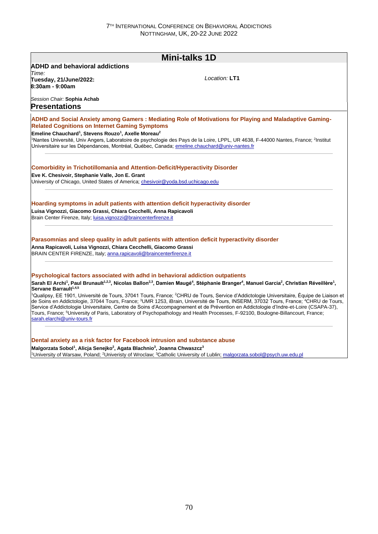| <b>Mini-talks 1D</b>                                                                                                                   |                                                                                                                                                                                                                                                                                                     |  |  |
|----------------------------------------------------------------------------------------------------------------------------------------|-----------------------------------------------------------------------------------------------------------------------------------------------------------------------------------------------------------------------------------------------------------------------------------------------------|--|--|
| <b>ADHD and behavioral addictions</b>                                                                                                  |                                                                                                                                                                                                                                                                                                     |  |  |
| Time:                                                                                                                                  | Location: LT1                                                                                                                                                                                                                                                                                       |  |  |
| Tuesday, 21/June/2022:<br>8:30am - 9:00am                                                                                              |                                                                                                                                                                                                                                                                                                     |  |  |
|                                                                                                                                        |                                                                                                                                                                                                                                                                                                     |  |  |
| Session Chair: Sophia Achab                                                                                                            |                                                                                                                                                                                                                                                                                                     |  |  |
| Presentations                                                                                                                          |                                                                                                                                                                                                                                                                                                     |  |  |
|                                                                                                                                        | ADHD and Social Anxiety among Gamers: Mediating Role of Motivations for Playing and Maladaptive Gaming-                                                                                                                                                                                             |  |  |
| <b>Related Cognitions on Internet Gaming Symptoms</b>                                                                                  |                                                                                                                                                                                                                                                                                                     |  |  |
| Emeline Chauchard <sup>1</sup> , Stevens Rouzo <sup>1</sup> , Axelle Moreau <sup>2</sup>                                               |                                                                                                                                                                                                                                                                                                     |  |  |
|                                                                                                                                        | <sup>1</sup> Nantes Université, Univ Angers, Laboratoire de psychologie des Pays de la Loire, LPPL, UR 4638, F-44000 Nantes, France; <sup>2</sup> Institut                                                                                                                                          |  |  |
| Universitaire sur les Dépendances, Montréal, Québec, Canada; emeline.chauchard@univ-nantes.fr                                          |                                                                                                                                                                                                                                                                                                     |  |  |
|                                                                                                                                        |                                                                                                                                                                                                                                                                                                     |  |  |
| <b>Comorbidity in Trichotillomania and Attention-Deficit/Hyperactivity Disorder</b>                                                    |                                                                                                                                                                                                                                                                                                     |  |  |
| Eve K. Chesivoir, Stephanie Valle, Jon E. Grant                                                                                        |                                                                                                                                                                                                                                                                                                     |  |  |
| University of Chicago, United States of America; chesivoir@yoda.bsd.uchicago.edu                                                       |                                                                                                                                                                                                                                                                                                     |  |  |
| Luisa Vignozzi, Giacomo Grassi, Chiara Cecchelli, Anna Rapicavoli<br>Brain Center Firenze, Italy; luisa.vignozzi@braincenterfirenze.it |                                                                                                                                                                                                                                                                                                     |  |  |
|                                                                                                                                        | Parasomnias and sleep quality in adult patients with attention deficit hyperactivity disorder                                                                                                                                                                                                       |  |  |
| Anna Rapicavoli, Luisa Vignozzi, Chiara Cecchelli, Giacomo Grassi                                                                      |                                                                                                                                                                                                                                                                                                     |  |  |
| BRAIN CENTER FIRENZE, Italy; anna.rapicavoli@braincenterfirenze.it                                                                     |                                                                                                                                                                                                                                                                                                     |  |  |
|                                                                                                                                        |                                                                                                                                                                                                                                                                                                     |  |  |
| Psychological factors associated with adhd in behavioral addiction outpatients                                                         | Sarah El Archi <sup>1</sup> , Paul Brunault <sup>1,2,3</sup> , Nicolas Ballon <sup>2,3</sup> , Damien Maugé <sup>4</sup> , Stéphanie Branger <sup>4</sup> , Manuel Garcia <sup>2</sup> , Christian Réveillère <sup>1</sup> ,                                                                        |  |  |
| Servane Barrault <sup>1,4,5</sup>                                                                                                      |                                                                                                                                                                                                                                                                                                     |  |  |
|                                                                                                                                        | <sup>1</sup> Qualipsy, EE 1901, Université de Tours, 37041 Tours, France; <sup>2</sup> CHRU de Tours, Service d'Addictologie Universitaire, Équipe de Liaison et                                                                                                                                    |  |  |
|                                                                                                                                        | de Soins en Addictologie, 37044 Tours, France; <sup>3</sup> UMR 1253, iBrain, Université de Tours, INSERM, 37032 Tours, France; <sup>4</sup> CHRU de Tours,<br>Service d'Addictologie Universitaire, Centre de Soins d'Accompagnement et de Prévention en Addictologie d'Indre-et-Loire (CSAPA-37), |  |  |
|                                                                                                                                        | Tours, France; <sup>5</sup> University of Paris, Laboratory of Psychopathology and Health Processes, F-92100, Boulogne-Billancourt, France;                                                                                                                                                         |  |  |
| sarah.elarchi@univ-tours.fr                                                                                                            |                                                                                                                                                                                                                                                                                                     |  |  |
|                                                                                                                                        |                                                                                                                                                                                                                                                                                                     |  |  |
| Dental anxiety as a risk factor for Facebook intrusion and substance abuse                                                             |                                                                                                                                                                                                                                                                                                     |  |  |
| Malgorzata Sobol <sup>1</sup> , Alicja Senejko <sup>2</sup> , Agata Blachnio <sup>3</sup> , Joanna Chwaszcz <sup>3</sup>               |                                                                                                                                                                                                                                                                                                     |  |  |
|                                                                                                                                        | <sup>1</sup> University of Warsaw, Poland; <sup>2</sup> Univeristy of Wroclaw; <sup>3</sup> Catholic University of Lublin; malgorzata.sobol@psych.uw.edu.pl                                                                                                                                         |  |  |

1University of Warsaw, Poland; 2Univeristy of Wroclaw; 3Catholic University of Lublin; malgorzata.sobol@psych.uw.edu.pl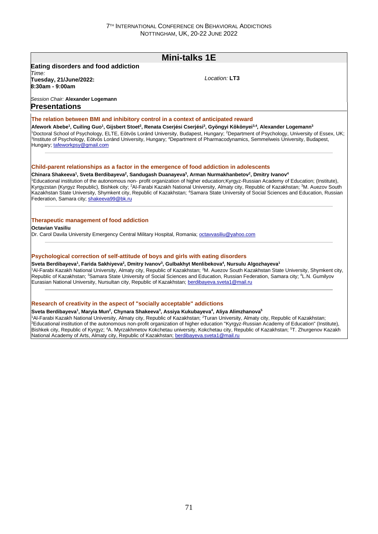# **Mini-talks 1E Eating disorders and food addiction** *Time:*  **Tuesday, 21/June/2022: 8:30am - 9:00am** *Session Chair:* **Alexander Logemann** *Location:* **LT3 Presentations The relation between BMI and inhibitory control in a context of anticipated reward Afework Abebe<sup>1</sup> , Cuiling Guo<sup>1</sup> , Gijsbert Stoet<sup>2</sup> , Renata Cserjési Cserjési<sup>3</sup> , Gyöngyi Kökönyei3,4, Alexander Logemann<sup>3</sup>** <sup>1</sup>Doctoral School of Psychology, ELTE, Eötvös Loránd University, Budapest, Hungary; <sup>2</sup>Department of Psychology, University of Essex, UK; 3 Institute of Psychology, Eötvös Loránd University, Hungary; <sup>4</sup>Department of Pharmacodynamics, Semmelweis University, Budapest, Hungary; tafeworkpsy@gmail.com **Child-parent relationships as a factor in the emergence of food addiction in adolescents Chinara Shakeeva<sup>1</sup> , Sveta Berdibayeva<sup>2</sup> , Sandugash Duanayeva<sup>3</sup> , Arman Nurmakhanbetov<sup>2</sup> , Dmitry Ivanov<sup>4</sup>** <sup>1</sup>Educational institution of the autonomous non- profit organization of higher education;Kyrgyz-Russian Academy of Education; (Institute), Kyrgyzstan (Kyrgyz Republic), Bishkek city; <sup>2</sup>Al-Farabi Kazakh National University, Almaty city, Republic of Kazakhstan; <sup>3</sup>M. Auezov South Kazakhstan State University, Shymkent city, Republic of Kazakhstan; <sup>4</sup>Samara State University of Social Sciences and Education, Russian Federation, Samara city; shakeeva99@bk.ru **Therapeutic management of food addiction Octavian Vasiliu** Dr. Carol Davila University Emergency Central Military Hospital, Romania; octavvasiliu@yahoo.com **Psychological correction of self-attitude of boys and girls with eating disorders Sveta Berdibayeva<sup>1</sup> , Farida Sakhiyeva<sup>2</sup> , Dmitry Ivanov<sup>3</sup> , Gulbakhyt Menlibekova<sup>4</sup> , Nursulu Algozhayeva<sup>1</sup>** <sup>1</sup>Al-Farabi Kazakh National University, Almaty city, Republic of Kazakhstan; <sup>2</sup>M. Auezov South Kazakhstan State University, Shymkent city, Republic of Kazakhstan: <sup>3</sup>Samara State University of Social Sciences and Education, Russian Federation, Samara city; <sup>4</sup>L.N. Gumilyov Eurasian National University, Nursultan city, Republic of Kazakhstan; berdibayeva.sveta1@mail.ru

**Research of creativity in the aspect of "socially acceptable" addictions**

#### **Sveta Berdibayeva<sup>1</sup> , Maryia Mun<sup>2</sup> , Chynara Shakeeva<sup>3</sup> , Assiya Kukubayeva<sup>4</sup> , Aliya Alimzhanova<sup>5</sup>**

1Al-Farabi Kazakh National University, Almaty city, Republic of Kazakhstan; <sup>2</sup>Turan University, Almaty city, Republic of Kazakhstan; <sup>3</sup>Educational institution of the autonomous non-profit organization of higher education "Kyrgyz-Russian Academy of Education" (Institute), Bishkek city, Republic of Kyrgyz; <sup>4</sup>A. Myrzakhmetov Kokchetau university, Kokchetau city, Republic of Kazakhstan; <sup>5</sup>T. Zhurgenov Kazakh National Academy of Arts, Almaty city, Republic of Kazakhstan; berdibayeva.sveta1@mail.ru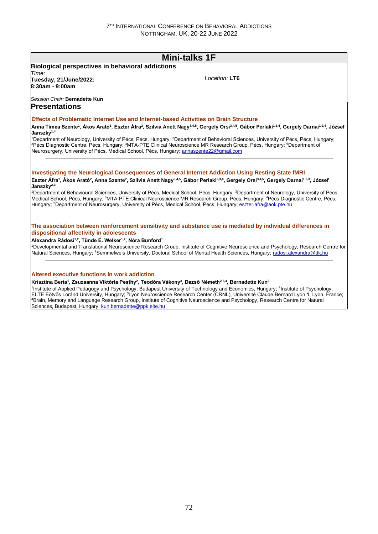# **Mini-talks 1F**

#### **Biological perspectives in behavioral addictions** *Time:*  **Tuesday, 21/June/2022:**

*Location:* **LT6**

# *Session Chair:* **Bernadette Kun**

## **Presentations**

**8:30am - 9:00am**

### **Effects of Problematic Internet Use and Internet-based Activities on Brain Structure**

Anna Tímea Szente<sup>1</sup>, Ákos Arató<sup>1</sup>, Eszter Áfra<sup>2</sup>, Szilvia Anett Nagy<sup>3,4,5</sup>, Gergely Orsi<sup>3,4,5</sup>, Gábor Perlaki<sup>1,3,4</sup>, Gergely Darnai<sup>1,2,4</sup>, József Janszky<sup>1,</sup>

<sup>1</sup>Department of Neurology, University of Pécs, Pécs, Hungary; <sup>2</sup>Department of Behavioral Sciences, University of Pécs, Pécs, Hungary; <sup>3</sup>Pécs Diagnostic Centre, Pécs, Hungary; <sup>4</sup>MTA-PTE Clinical Neuroscience MR Research Group, Pécs, Hungary; <sup>5</sup>Department of Neurosurgery, University of Pécs, Medical School, Pécs, Hungary; annaszente22@gmail.com

### **Investigating the Neurological Consequences of General Internet Addiction Using Resting State fMRI**

Eszter Áfra<sup>1</sup>, Ákos Arató<sup>2</sup>, Anna Szente<sup>2</sup>, Szilvia Anett Nagy<sup>3,4,5</sup>, Gábor Perlaki<sup>2,3,4</sup>, Gergely Orsi<sup>3,4,5</sup>, Gergely Darnai<sup>1,2,3</sup>, József **Janszky**<sup>2,</sup>

1Department of Behavioural Sciences. University of Pécs, Medical School, Pécs, Hungary; <sup>2</sup>Department of Neurology, University of Pécs, Medical School, Pécs, Hungary; <sup>3</sup>MTA-PTE Clinical Neuroscience MR Research Group, Pécs, Hungary; <sup>4</sup>Pécs Diagnostic Centre, Pécs, Hungary; <sup>5</sup>Department of Neurosurgery, University of Pécs, Medical School, Pécs, Hungary; eszter.afra@aok.pte.hu

### **The association between reinforcement sensitivity and substance use is mediated by individual differences in dispositional affectivity in adolescents**

### **Alexandra Rádosi1,2, Tünde É. Welker1,2, Nóra Bunford<sup>1</sup>**

<sup>1</sup>Developmental and Translational Neuroscience Research Group, Institute of Cognitive Neuroscience and Psychology, Research Centre for Natural Sciences, Hungary; <sup>2</sup>Semmelweis University, Doctoral School of Mental Health Sciences, Hungary; radosi.alexandra@ttk.hu

#### **Altered executive functions in work addiction**

#### **Krisztina Berta<sup>1</sup> , Zsuzsanna Viktória Pesthy<sup>2</sup> , Teodóra Vékony<sup>3</sup> , Dezső Németh2,3,4, Bernadette Kun<sup>2</sup>**

<sup>1</sup>Institute of Applied Pedagogy and Psychology, Budapest University of Technology and Economics, Hungary; <sup>2</sup>Institute of Psychology, ELTE Eötvös Loránd University, Hungary; <sup>3</sup>Lyon Neuroscience Research Center (CRNL), Université Claude Bernard Lyon 1, Lyon, France; <sup>4</sup>Brain, Memory and Language Research Group, Institute of Cognitive Neuroscience and Psychology, Research Centre for Natural Sciences, Budapest, Hungary; kun.bernadette@ppk.elte.hu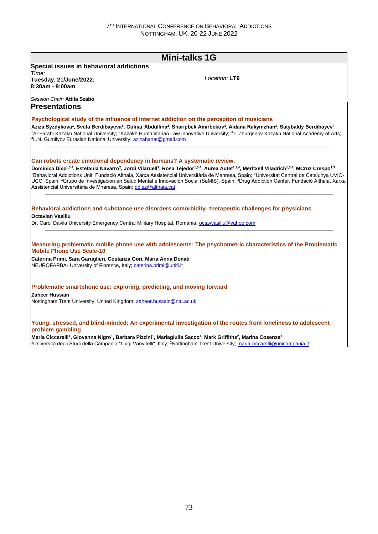|                                                                                                                                                                                                                                           | <b>Mini-talks 1G</b>                                                                                                                                                                                                                                                                                                                                                                                     |
|-------------------------------------------------------------------------------------------------------------------------------------------------------------------------------------------------------------------------------------------|----------------------------------------------------------------------------------------------------------------------------------------------------------------------------------------------------------------------------------------------------------------------------------------------------------------------------------------------------------------------------------------------------------|
| Special issues in behavioral addictions                                                                                                                                                                                                   |                                                                                                                                                                                                                                                                                                                                                                                                          |
| Time:<br>Tuesday, 21/June/2022:<br>8:30am - 9:00am                                                                                                                                                                                        | Location: LT9                                                                                                                                                                                                                                                                                                                                                                                            |
| Session Chair: Attila Szabo<br><b>Presentations</b>                                                                                                                                                                                       |                                                                                                                                                                                                                                                                                                                                                                                                          |
| Psychological study of the influence of internet addiction on the perception of musicians                                                                                                                                                 |                                                                                                                                                                                                                                                                                                                                                                                                          |
| <sup>4</sup> L.N. Gumilyov Eurasian National University; azizahanat@gmail.com                                                                                                                                                             | Aziza Syzdykova <sup>1</sup> , Sveta Berdibayeva <sup>1</sup> , Gulnar Abdullina <sup>2</sup> , Sharipbek Amirbekov <sup>3</sup> , Aidana Rakymzhan <sup>1</sup> , Satybaldy Berdibayev <sup>4</sup><br><sup>1</sup> Al-Farabi Kazakh National University; <sup>2</sup> Kazakh Humanitarian Law Innovative University; <sup>3</sup> T. Zhurgenov Kazakh National Academy of Arts;                        |
| Can robots create emotional dependency in humans? A systematic review.                                                                                                                                                                    |                                                                                                                                                                                                                                                                                                                                                                                                          |
|                                                                                                                                                                                                                                           | Dominica Díez <sup>1,3,4</sup> , Estefania Navarro <sup>2</sup> , Jordi Vilardell <sup>2</sup> , Rosa Tejedor <sup>1,3,4</sup> , Aurea Autet <sup>1,3,4</sup> , Meritxell Viladrich <sup>1,3,4</sup> , MCruz Crespo <sup>1,3</sup><br><sup>1</sup> Behavioral Addictions Unit. Fundació Althaia, Xarxa Assistencial Universitària de Manresa, Spain; <sup>2</sup> Universitat Central de Catalunya UVIC- |
| Assistencial Universitària de Mnaresa, Spain; ddiez@althaia.cat                                                                                                                                                                           |                                                                                                                                                                                                                                                                                                                                                                                                          |
|                                                                                                                                                                                                                                           | Behavioral addictions and substance use disorders comorbidity- therapeutic challenges for physicians                                                                                                                                                                                                                                                                                                     |
| Octavian Vasiliu<br>Dr. Carol Davila University Emergency Central Military Hospital, Romania; octavvasiliu@yahoo.com                                                                                                                      | UCC, Spain; <sup>3</sup> Grupo de Investigacion en Salud Mental e Innovación Social (SaMIS), Spain; <sup>4</sup> Drug Addiction Center. Fundació Althaia, Xarxa                                                                                                                                                                                                                                          |
| <b>Mobile Phone Use Scale-10</b>                                                                                                                                                                                                          | Measuring problematic mobile phone use with adolescents: The psychometric characteristics of the Problematic                                                                                                                                                                                                                                                                                             |
|                                                                                                                                                                                                                                           |                                                                                                                                                                                                                                                                                                                                                                                                          |
| Caterina Primi, Sara Garuglieri, Costanza Gori, Maria Anna Donati<br>NEUROFARBA- University of Florence, Italy; caterina.primi@unifi.it<br>Problematic smartphone use: exploring, predicting, and moving forward<br><b>Zaheer Hussain</b> |                                                                                                                                                                                                                                                                                                                                                                                                          |

<sup>1</sup>Università degli Studi della Campania "Luigi Vanvitelli", Italy; <sup>2</sup>Nottingham Trent University; maria.ciccarelli@unicampania.it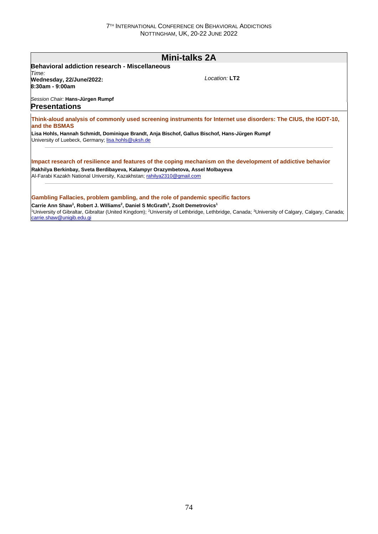## **Mini-talks 2A Behavioral addiction research - Miscellaneous** *Time:*  **Wednesday, 22/June/2022: 8:30am - 9:00am** *Session Chair:* **Hans-Jürgen Rumpf** *Location:* **LT2 Presentations Think-aloud analysis of commonly used screening instruments for Internet use disorders: The CIUS, the IGDT-10, and the BSMAS Lisa Hohls, Hannah Schmidt, Dominique Brandt, Anja Bischof, Gallus Bischof, Hans-Jürgen Rumpf** University of Luebeck, Germany; lisa.hohls@uksh.de **Impact research of resilience and features of the coping mechanism on the development of addictive behavior Rakhilya Berkinbay, Sveta Berdibayeva, Kalampyr Orazymbetova, Assel Molbayeva** Al-Farabi Kazakh National University, Kazakhstan; rahilya2310@gmail.com **Gambling Fallacies, problem gambling, and the role of pandemic specific factors Carrie Ann Shaw<sup>1</sup> , Robert J. Williams<sup>2</sup> , Daniel S McGrath<sup>3</sup> , Zsolt Demetrovics<sup>1</sup>** <sup>1</sup>University of Gibraltar, Gibraltar (United Kingdom); <sup>2</sup>University of Lethbridge, Lethbridge, Canada; <sup>3</sup>University of Calgary, Calgary, Canada; carrie.shaw@unigib.edu.gi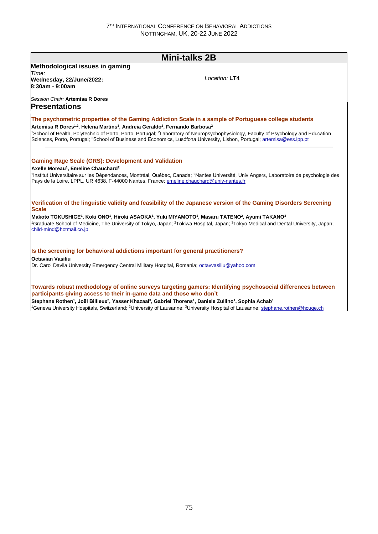|                                                                                                                                        | <b>Mini-talks 2B</b>                                                                                                                                                                                                                                                                                                                                |  |  |  |  |
|----------------------------------------------------------------------------------------------------------------------------------------|-----------------------------------------------------------------------------------------------------------------------------------------------------------------------------------------------------------------------------------------------------------------------------------------------------------------------------------------------------|--|--|--|--|
| Methodological issues in gaming                                                                                                        |                                                                                                                                                                                                                                                                                                                                                     |  |  |  |  |
| Time:                                                                                                                                  | Location: LT4                                                                                                                                                                                                                                                                                                                                       |  |  |  |  |
| Wednesday, 22/June/2022:<br>8:30am - 9:00am                                                                                            |                                                                                                                                                                                                                                                                                                                                                     |  |  |  |  |
| Session Chair: Artemisa R Dores<br><b>Presentations</b>                                                                                |                                                                                                                                                                                                                                                                                                                                                     |  |  |  |  |
|                                                                                                                                        | The psychometric properties of the Gaming Addiction Scale in a sample of Portuguese college students                                                                                                                                                                                                                                                |  |  |  |  |
| Artemisa R Dores <sup>1,2</sup> , Helena Martins <sup>3</sup> , Andreia Geraldo <sup>2</sup> , Fernando Barbosa <sup>2</sup>           |                                                                                                                                                                                                                                                                                                                                                     |  |  |  |  |
|                                                                                                                                        | <sup>1</sup> School of Health, Polytechnic of Porto, Porto, Portugal; <sup>2</sup> Laboratory of Neuropsychophysiology, Faculty of Psychology and Education<br>Sciences, Porto, Portugal; <sup>3</sup> School of Business and Economics, Lusófona University, Lisbon, Portugal; artemisa@ess.ipp.pt                                                 |  |  |  |  |
| <b>Gaming Rage Scale (GRS): Development and Validation</b>                                                                             |                                                                                                                                                                                                                                                                                                                                                     |  |  |  |  |
| Axelle Moreau <sup>1</sup> . Emeline Chauchard <sup>2</sup>                                                                            |                                                                                                                                                                                                                                                                                                                                                     |  |  |  |  |
| Pays de la Loire, LPPL, UR 4638, F-44000 Nantes, France; emeline.chauchard@univ-nantes.fr                                              | <sup>1</sup> Institut Universitaire sur les Dépendances, Montréal, Québec, Canada; <sup>2</sup> Nantes Université, Univ Angers, Laboratoire de psychologie des                                                                                                                                                                                      |  |  |  |  |
| <b>Scale</b>                                                                                                                           | Verification of the linguistic validity and feasibility of the Japanese version of the Gaming Disorders Screening                                                                                                                                                                                                                                   |  |  |  |  |
|                                                                                                                                        | Makoto TOKUSHIGE <sup>1</sup> , Koki ONO <sup>1</sup> , Hiroki ASAOKA <sup>1</sup> , Yuki MIYAMOTO <sup>1</sup> , Masaru TATENO <sup>2</sup> , Ayumi TAKANO <sup>3</sup><br><sup>1</sup> Graduate School of Medicine, The University of Tokyo, Japan; <sup>2</sup> Tokiwa Hospital, Japan; <sup>3</sup> Tokyo Medical and Dental University, Japan; |  |  |  |  |
| child-mind@hotmail.co.jp<br>Is the screening for behavioral addictions important for general practitioners?<br><b>Octavian Vasiliu</b> |                                                                                                                                                                                                                                                                                                                                                     |  |  |  |  |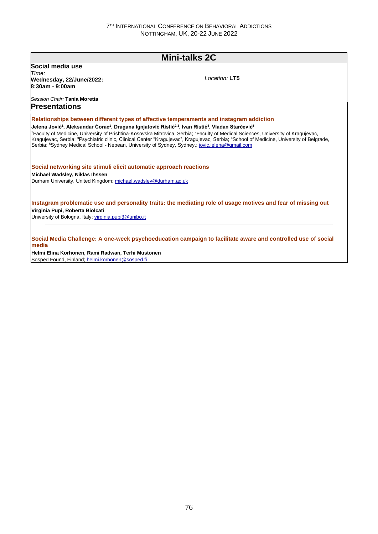## **Mini-talks 2C Social media use** *Time:*  **Wednesday, 22/June/2022: 8:30am - 9:00am** *Session Chair:* **Tania Moretta** *Location:* **LT5 Presentations Relationships between different types of affective temperaments and instagram addiction Jelena Jović<sup>1</sup> , Aleksandar Ćorac<sup>1</sup> , Dragana Ignjatović Ristić2,3, Ivan Ristić<sup>4</sup> , Vladan Starčević<sup>5</sup>** <sup>1</sup>Faculty of Medicine, University of Prishtina-Kosovska Mitrovica, Serbia; <sup>2</sup>Faculty of Medical Sciences, University of Kragujevac, Kragujevac, Serbia; <sup>3</sup>Psychiatric clinic, Clinical Center "Kragujevac", Kragujevac, Serbia; <sup>4</sup>School of Medicine, University of Belgrade, Serbia; <sup>5</sup>Sydney Medical School - Nepean, University of Sydney, Sydney,; jovic.jelena@gmail.com **Social networking site stimuli elicit automatic approach reactions Michael Wadsley, Niklas Ihssen** Durham University, United Kingdom; michael.wadsley@durham.ac.uk **Instagram problematic use and personality traits: the mediating role of usage motives and fear of missing out Virginia Pupi, Roberta Biolcati** University of Bologna, Italy; virginia.pupi3@unibo.it **Social Media Challenge: A one-week psychoeducation campaign to facilitate aware and controlled use of social media**

**Helmi Elina Korhonen, Rami Radwan, Terhi Mustonen** Sosped Found, Finland; helmi.korhonen@sosped.fi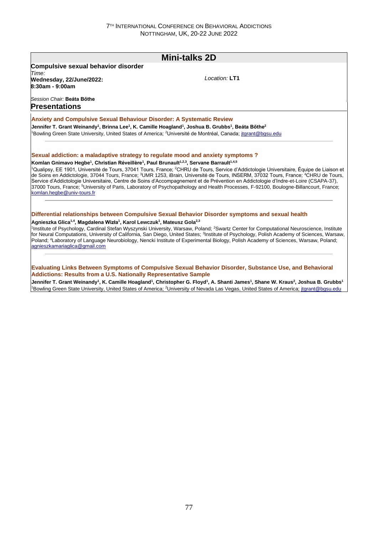| <b>Mini-talks 2D</b>                                                                                                                                                                                                                                        |                                                                                                                                                                                                                                                                                                                                                                                                                                                                                                                                                                                                                              |  |
|-------------------------------------------------------------------------------------------------------------------------------------------------------------------------------------------------------------------------------------------------------------|------------------------------------------------------------------------------------------------------------------------------------------------------------------------------------------------------------------------------------------------------------------------------------------------------------------------------------------------------------------------------------------------------------------------------------------------------------------------------------------------------------------------------------------------------------------------------------------------------------------------------|--|
| <b>Compulsive sexual behavior disorder</b>                                                                                                                                                                                                                  |                                                                                                                                                                                                                                                                                                                                                                                                                                                                                                                                                                                                                              |  |
| Time:<br>Wednesday, 22/June/2022:<br>8:30am - 9:00am                                                                                                                                                                                                        | Location: LT1                                                                                                                                                                                                                                                                                                                                                                                                                                                                                                                                                                                                                |  |
| Session Chair: Beata Böthe<br><b>Presentations</b>                                                                                                                                                                                                          |                                                                                                                                                                                                                                                                                                                                                                                                                                                                                                                                                                                                                              |  |
| <b>Anxiety and Compulsive Sexual Behaviour Disorder: A Systematic Review</b>                                                                                                                                                                                |                                                                                                                                                                                                                                                                                                                                                                                                                                                                                                                                                                                                                              |  |
| Jennifer T. Grant Weinandy <sup>1</sup> , Brinna Lee <sup>1</sup> , K. Camille Hoagland <sup>1</sup> , Joshua B. Grubbs <sup>1</sup> , Beáta Bőthe <sup>2</sup>                                                                                             |                                                                                                                                                                                                                                                                                                                                                                                                                                                                                                                                                                                                                              |  |
|                                                                                                                                                                                                                                                             | <sup>1</sup> Bowling Green State University, United States of America; <sup>2</sup> Université de Montréal, Canada; jtgrant@bgsu.edu                                                                                                                                                                                                                                                                                                                                                                                                                                                                                         |  |
| Sexual addiction: a maladaptive strategy to regulate mood and anxiety symptoms?<br>Komlan Gnimavo Hegbe <sup>1</sup> , Christian Réveillère <sup>1</sup> , Paul Brunault <sup>1,2,3</sup> , Servane Barrault <sup>1,4,5</sup><br>komlan.hegbe@univ-tours.fr | <sup>1</sup> Qualipsy, EE 1901, Université de Tours, 37041 Tours, France; <sup>2</sup> CHRU de Tours, Service d'Addictologie Universitaire, Équipe de Liaison et<br>de Soins en Addictologie, 37044 Tours, France; <sup>3</sup> UMR 1253, iBrain, Université de Tours, INSERM, 37032 Tours, France; <sup>4</sup> CHRU de Tours,<br>Service d'Addictologie Universitaire, Centre de Soins d'Accompagnement et de Prévention en Addictologie d'Indre-et-Loire (CSAPA-37),<br>37000 Tours, France; <sup>5</sup> University of Paris, Laboratory of Psychopathology and Health Processes, F-92100, Boulogne-Billancourt, France; |  |
|                                                                                                                                                                                                                                                             | Differential relationships between Compulsive Sexual Behavior Disorder symptoms and sexual health                                                                                                                                                                                                                                                                                                                                                                                                                                                                                                                            |  |
| Agnieszka Glica <sup>1,4</sup> , Magdalena Wizła <sup>1</sup> , Karol Lewczuk <sup>1</sup> , Mateusz Gola <sup>2,3</sup>                                                                                                                                    | <sup>1</sup> Institute of Psychology, Cardinal Stefan Wyszynski University, Warsaw, Poland; <sup>2</sup> Swartz Center for Computational Neuroscience, Institute<br>for Neural Computations, University of California, San Diego, United States: <sup>3</sup> Institute of Psychology, Polish Academy of Sciences, Warsaw,<br>Poland; <sup>4</sup> Laboratory of Language Neurobiology, Nencki Institute of Experimental Biology, Polish Academy of Sciences, Warsaw, Poland;                                                                                                                                                |  |

**Jennifer T. Grant Weinandy<sup>1</sup> , K. Camille Hoagland<sup>1</sup> , Christopher G. Floyd<sup>1</sup> , A. Shanti James<sup>1</sup> , Shane W. Kraus<sup>2</sup> , Joshua B. Grubbs<sup>1</sup>** <sup>1</sup>Bowling Green State University, United States of America; <sup>2</sup>University of Nevada Las Vegas, United States of America; jtgrant@bgsu.edu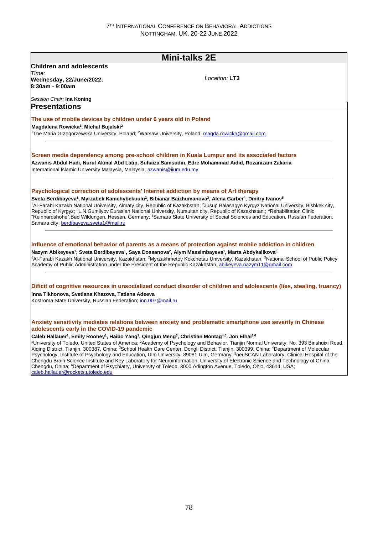|                                                                                                                                                                  | <b>Mini-talks 2E</b>                                                                                                                                                                                                                                                                                                                                                                                                                                                                                                                                                                                                                          |
|------------------------------------------------------------------------------------------------------------------------------------------------------------------|-----------------------------------------------------------------------------------------------------------------------------------------------------------------------------------------------------------------------------------------------------------------------------------------------------------------------------------------------------------------------------------------------------------------------------------------------------------------------------------------------------------------------------------------------------------------------------------------------------------------------------------------------|
| <b>Children and adolescents</b><br>Time:                                                                                                                         |                                                                                                                                                                                                                                                                                                                                                                                                                                                                                                                                                                                                                                               |
| Wednesday, 22/June/2022:<br>8:30am - 9:00am                                                                                                                      | Location: LT3                                                                                                                                                                                                                                                                                                                                                                                                                                                                                                                                                                                                                                 |
| Session Chair: <b>Ina Koning</b><br><b>Presentations</b>                                                                                                         |                                                                                                                                                                                                                                                                                                                                                                                                                                                                                                                                                                                                                                               |
| The use of mobile devices by children under 6 years old in Poland<br>Magdalena Rowicka <sup>1</sup> , Michał Bujalski <sup>2</sup>                               |                                                                                                                                                                                                                                                                                                                                                                                                                                                                                                                                                                                                                                               |
| <sup>1</sup> The Maria Grzegorzewska University, Poland; <sup>2</sup> Warsaw University, Poland; <u>magda.rowicka@gmail.com</u>                                  |                                                                                                                                                                                                                                                                                                                                                                                                                                                                                                                                                                                                                                               |
| International Islamic University Malaysia, Malaysia; azwanis@iium.edu.my                                                                                         | Screen media dependency among pre-school children in Kuala Lumpur and its associated factors<br>Azwanis Abdul Hadi, Nurul Akmal Abd Latip, Suhaiza Samsudin, Edre Mohammad Aidid, Rozanizam Zakaria                                                                                                                                                                                                                                                                                                                                                                                                                                           |
| Psychological correction of adolescents' Internet addiction by means of Art therapy                                                                              |                                                                                                                                                                                                                                                                                                                                                                                                                                                                                                                                                                                                                                               |
| Samara city; berdibayeva.sveta1@mail.ru                                                                                                                          | Sveta Berdibayeva <sup>1</sup> , Myrzabek Kamchybekuulu <sup>2</sup> , Bibianar Baizhumanova <sup>3</sup> , Alena Garber <sup>4</sup> , Dmitry Ivanov <sup>5</sup><br><sup>1</sup> Al-Farabi Kazakh National University, Almaty city, Republic of Kazakhstan; <sup>2</sup> Jusup Balasagyn Kyrgyz National University, Bishkek city,<br>Republic of Kyrgyz; <sup>3</sup> L.N.Gumilyov Eurasian National University, Nursultan city, Republic of Kazakhstan;; <sup>4</sup> Rehabilitation Clinic<br>"Reinhardshöhe",Bad Wildungen, Hessen, Germany; <sup>5</sup> Samara State University of Social Sciences and Education, Russian Federation, |
|                                                                                                                                                                  | Influence of emotional behavior of parents as a means of protection against mobile addiction in children                                                                                                                                                                                                                                                                                                                                                                                                                                                                                                                                      |
|                                                                                                                                                                  | Nazym Abikeyeva <sup>1</sup> , Sveta Berdibayeva <sup>1</sup> , Saya Dossanova <sup>2</sup> , Aiym Massimbayeva <sup>1</sup> , Marta Abdykalikova <sup>3</sup><br><sup>1</sup> Al-Farabi Kazakh National University, Kazakhstan; <sup>2</sup> Myrzakhmetov Kokchetau University, Kazakhstan; <sup>3</sup> National School of Public Policy<br>Academy of Public Administration under the President of the Republic Kazakhstan; abikeyeva.nazym11@gmail.com                                                                                                                                                                                    |
|                                                                                                                                                                  | Dificit of cognitive resources in unsocialized conduct disorder of children and adolescents (lies, stealing, truancy)                                                                                                                                                                                                                                                                                                                                                                                                                                                                                                                         |
|                                                                                                                                                                  |                                                                                                                                                                                                                                                                                                                                                                                                                                                                                                                                                                                                                                               |
| Inna Tikhonova, Svetlana Khazova, Tatiana Adeeva<br>Kostroma State University, Russian Federation; inn.007@mail.ru<br>adolescents early in the COVID-19 pandemic | Anxiety sensitivity mediates relations between anxiety and problematic smartphone use severity in Chinese                                                                                                                                                                                                                                                                                                                                                                                                                                                                                                                                     |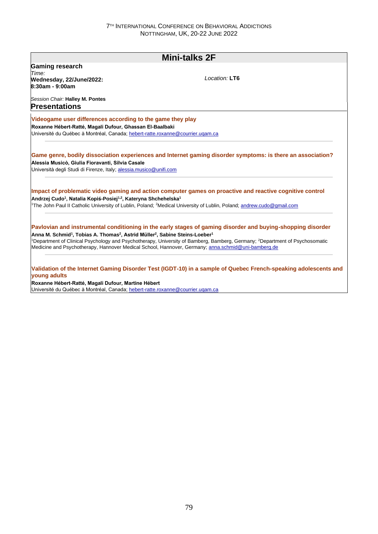| <b>Mini-talks 2F</b>                                                                                                         |                                                                                                                                                                                                                                              |  |
|------------------------------------------------------------------------------------------------------------------------------|----------------------------------------------------------------------------------------------------------------------------------------------------------------------------------------------------------------------------------------------|--|
| <b>Gaming research</b>                                                                                                       |                                                                                                                                                                                                                                              |  |
| Time:<br>Wednesday, 22/June/2022:<br>8:30am - 9:00am                                                                         | Location: LT6                                                                                                                                                                                                                                |  |
| Session Chair: Halley M. Pontes                                                                                              |                                                                                                                                                                                                                                              |  |
| <b>Presentations</b>                                                                                                         |                                                                                                                                                                                                                                              |  |
| Videogame user differences according to the game they play                                                                   |                                                                                                                                                                                                                                              |  |
| Roxanne Hébert-Ratté, Magali Dufour, Ghassan El-Baalbaki                                                                     |                                                                                                                                                                                                                                              |  |
| Université du Québec à Montréal, Canada; hebert-ratte.roxanne@courrier.ugam.ca                                               |                                                                                                                                                                                                                                              |  |
|                                                                                                                              | Game genre, bodily dissociation experiences and Internet gaming disorder symptoms: is there an association?                                                                                                                                  |  |
| Alessia Musicò, Giulia Fioravanti, Silvia Casale                                                                             |                                                                                                                                                                                                                                              |  |
| Università degli Studi di Firenze, Italy; alessia.musico@unifi.com                                                           |                                                                                                                                                                                                                                              |  |
|                                                                                                                              | Impact of problematic video gaming and action computer games on proactive and reactive cognitive control                                                                                                                                     |  |
| Andrzej Cudo <sup>1</sup> , Natalia Kopiś-Posiej <sup>1,2</sup> , Kateryna Shchehelska <sup>1</sup>                          |                                                                                                                                                                                                                                              |  |
|                                                                                                                              | <sup>1</sup> The John Paul II Catholic University of Lublin, Poland: <sup>2</sup> Medical University of Lublin, Poland: andrew.cudo@gmail.com                                                                                                |  |
|                                                                                                                              | Pavlovian and instrumental conditioning in the early stages of gaming disorder and buying-shopping disorder                                                                                                                                  |  |
| Anna M. Schmid <sup>1</sup> , Tobias A. Thomas <sup>2</sup> , Astrid Müller <sup>2</sup> , Sabine Steins-Loeber <sup>1</sup> |                                                                                                                                                                                                                                              |  |
|                                                                                                                              | Department of Clinical Psychology and Psychotherapy, University of Bamberg, Bamberg, Germany; <sup>2</sup> Department of Psychosomatic<br>Medicine and Psychotherapy, Hannover Medical School, Hannover, Germany; anna.schmid@uni-bamberg.de |  |
| young adults                                                                                                                 | Validation of the Internet Gaming Disorder Test (IGDT-10) in a sample of Quebec French-speaking adolescents and                                                                                                                              |  |
| Roxanne Hébert-Ratté, Magali Dufour, Martine Hébert                                                                          |                                                                                                                                                                                                                                              |  |
| Université du Québec à Montréal, Canada; hebert-ratte.roxanne@courrier.ugam.ca                                               |                                                                                                                                                                                                                                              |  |